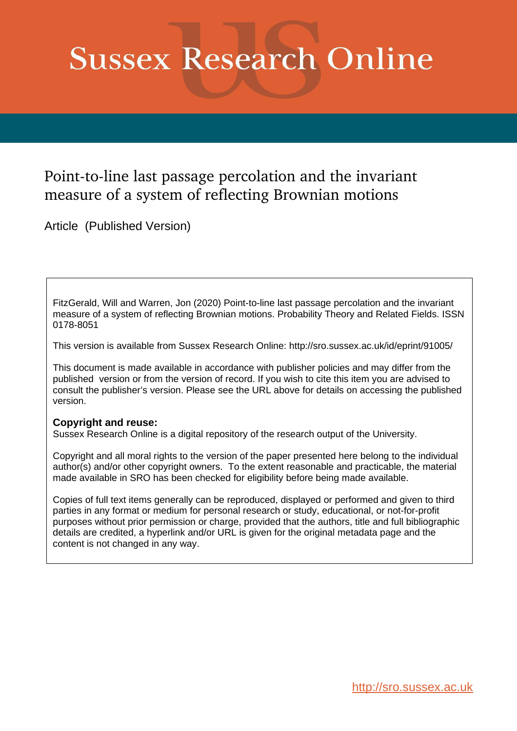# **Sussex Research Online**

# Point-to-line last passage percolation and the invariant measure of a system of reflecting Brownian motions

Article (Published Version)

FitzGerald, Will and Warren, Jon (2020) Point-to-line last passage percolation and the invariant measure of a system of reflecting Brownian motions. Probability Theory and Related Fields. ISSN 0178-8051

This version is available from Sussex Research Online: http://sro.sussex.ac.uk/id/eprint/91005/

This document is made available in accordance with publisher policies and may differ from the published version or from the version of record. If you wish to cite this item you are advised to consult the publisher's version. Please see the URL above for details on accessing the published version.

# **Copyright and reuse:**

Sussex Research Online is a digital repository of the research output of the University.

Copyright and all moral rights to the version of the paper presented here belong to the individual author(s) and/or other copyright owners. To the extent reasonable and practicable, the material made available in SRO has been checked for eligibility before being made available.

Copies of full text items generally can be reproduced, displayed or performed and given to third parties in any format or medium for personal research or study, educational, or not-for-profit purposes without prior permission or charge, provided that the authors, title and full bibliographic details are credited, a hyperlink and/or URL is given for the original metadata page and the content is not changed in any way.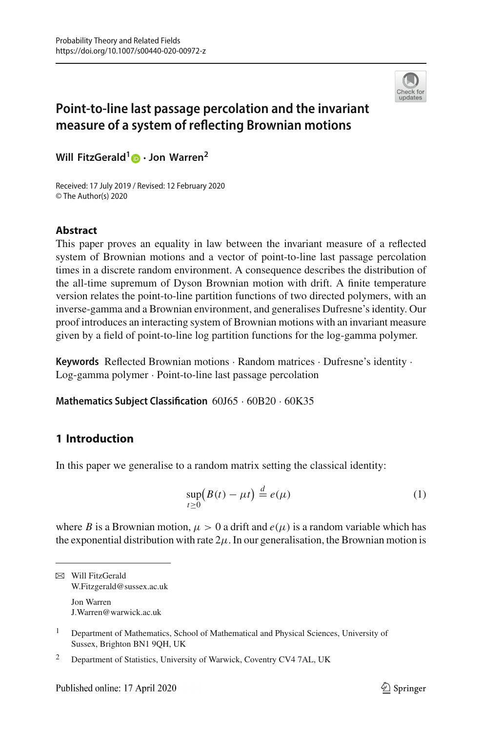

# **Point-to-line last passage percolation and the invariant measure of a system of reflecting Brownian motions**

**Will FitzGerald[1](http://orcid.org/0000-0002-3605-5682) · Jon Warren<sup>2</sup>**

Received: 17 July 2019 / Revised: 12 February 2020 © The Author(s) 2020

### **Abstract**

This paper proves an equality in law between the invariant measure of a reflected system of Brownian motions and a vector of point-to-line last passage percolation times in a discrete random environment. A consequence describes the distribution of the all-time supremum of Dyson Brownian motion with drift. A finite temperature version relates the point-to-line partition functions of two directed polymers, with an inverse-gamma and a Brownian environment, and generalises Dufresne's identity. Our proof introduces an interacting system of Brownian motions with an invariant measure given by a field of point-to-line log partition functions for the log-gamma polymer.

**Keywords** Reflected Brownian motions · Random matrices · Dufresne's identity · Log-gamma polymer · Point-to-line last passage percolation

**Mathematics Subject Classification** 60J65 · 60B20 · 60K35

## **1 Introduction**

In this paper we generalise to a random matrix setting the classical identity:

<span id="page-1-0"></span>
$$
\sup_{t\geq 0} \left( B(t) - \mu t \right) \stackrel{d}{=} e(\mu) \tag{1}
$$

where *B* is a Brownian motion,  $\mu > 0$  a drift and  $e(\mu)$  is a random variable which has the exponential distribution with rate  $2\mu$ . In our generalisation, the Brownian motion is

 $\boxtimes$  Will FitzGerald W.Fitzgerald@sussex.ac.uk Jon Warren J.Warren@warwick.ac.uk

<sup>&</sup>lt;sup>1</sup> Department of Mathematics, School of Mathematical and Physical Sciences, University of Sussex, Brighton BN1 9QH, UK

<sup>&</sup>lt;sup>2</sup> Department of Statistics, University of Warwick, Coventry CV4 7AL, UK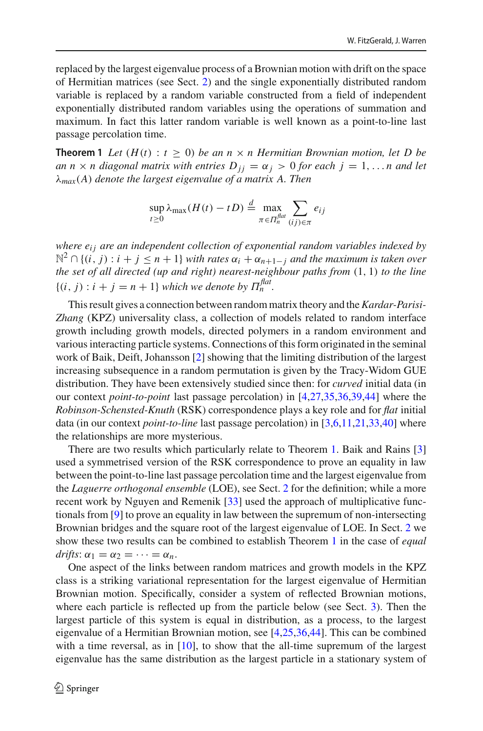replaced by the largest eigenvalue process of a Brownian motion with drift on the space of Hermitian matrices (see Sect. [2\)](#page-5-0) and the single exponentially distributed random variable is replaced by a random variable constructed from a field of independent exponentially distributed random variables using the operations of summation and maximum. In fact this latter random variable is well known as a point-to-line last passage percolation time.

**Theorem 1** Let  $(H(t): t \geq 0)$  be an  $n \times n$  Hermitian Brownian motion, let D be *an*  $n \times n$  diagonal matrix with entries  $D_{ij} = \alpha_j > 0$  for each  $j = 1, \ldots n$  and let λ*max*(*A*) *denote the largest eigenvalue of a matrix A. Then*

<span id="page-2-0"></span>
$$
\sup_{t\geq 0} \lambda_{\max}(H(t) - tD) \stackrel{d}{=} \max_{\pi \in \Pi_n^{flat}} \sum_{(ij)\in \pi} e_{ij}
$$

*where e<sub>ij</sub> are an independent collection of exponential random variables indexed by*  $\mathbb{N}^2 ∩ \{(i, j) : i + j \leq n+1\}$  *with rates*  $\alpha_i + \alpha_{n+1-i}$  *and the maximum is taken over the set of all directed (up and right) nearest-neighbour paths from* (1, 1) *to the line*  $\{(i, j) : i + j = n + 1\}$  *which we denote by*  $\Pi_n^{\text{flat}}$ .

This result gives a connection between random matrix theory and the*Kardar-Parisi-Zhang* (KPZ) universality class, a collection of models related to random interface growth including growth models, directed polymers in a random environment and various interacting particle systems. Connections of this form originated in the seminal work of Baik, Deift, Johansson [\[2](#page-49-0)] showing that the limiting distribution of the largest increasing subsequence in a random permutation is given by the Tracy-Widom GUE distribution. They have been extensively studied since then: for *curved* initial data (in our context *point-to-point* last passage percolation) in [\[4](#page-49-1)[,27](#page-50-0)[,35](#page-51-0)[,36](#page-51-1)[,39](#page-51-2)[,44](#page-51-3)] where the *Robinson-Schensted-Knuth* (RSK) correspondence plays a key role and for *flat* initial data (in our context *point-to-line* last passage percolation) in [\[3](#page-49-2)[,6](#page-50-1)[,11](#page-50-2)[,21](#page-50-3)[,33](#page-50-4)[,40](#page-51-4)] where the relationships are more mysterious.

There are two results which particularly relate to Theorem [1.](#page-2-0) Baik and Rains [\[3\]](#page-49-2) used a symmetrised version of the RSK correspondence to prove an equality in law between the point-to-line last passage percolation time and the largest eigenvalue from the *Laguerre orthogonal ensemble* (LOE), see Sect. [2](#page-5-0) for the definition; while a more recent work by Nguyen and Remenik [\[33](#page-50-4)] used the approach of multiplicative functionals from [\[9\]](#page-50-5) to prove an equality in law between the supremum of non-intersecting Brownian bridges and the square root of the largest eigenvalue of LOE. In Sect. [2](#page-5-0) we show these two results can be combined to establish Theorem [1](#page-2-0) in the case of *equal*  $drifts: \alpha_1 = \alpha_2 = \cdots = \alpha_n.$ 

One aspect of the links between random matrices and growth models in the KPZ class is a striking variational representation for the largest eigenvalue of Hermitian Brownian motion. Specifically, consider a system of reflected Brownian motions, where each particle is reflected up from the particle below (see Sect. [3\)](#page-7-0). Then the largest particle of this system is equal in distribution, as a process, to the largest eigenvalue of a Hermitian Brownian motion, see [\[4](#page-49-1)[,25](#page-50-6)[,36](#page-51-1)[,44](#page-51-3)]. This can be combined with a time reversal, as in  $[10]$ , to show that the all-time supremum of the largest eigenvalue has the same distribution as the largest particle in a stationary system of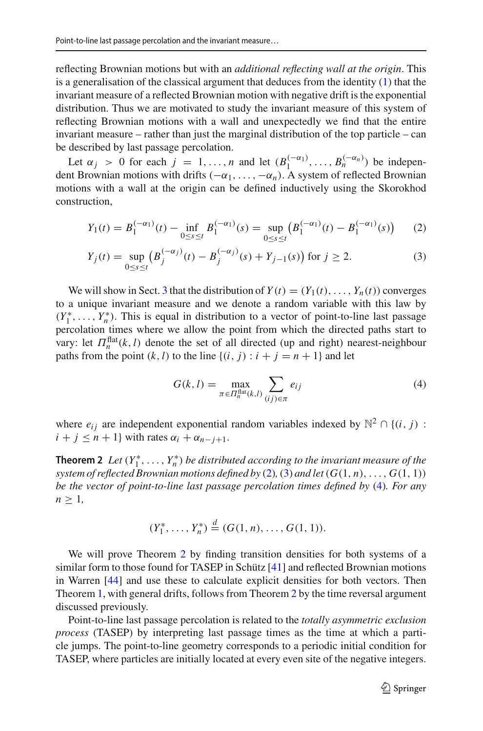reflecting Brownian motions but with an *additional reflecting wall at the origin*. This is a generalisation of the classical argument that deduces from the identity  $(1)$  that the invariant measure of a reflected Brownian motion with negative drift is the exponential distribution. Thus we are motivated to study the invariant measure of this system of reflecting Brownian motions with a wall and unexpectedly we find that the entire invariant measure – rather than just the marginal distribution of the top particle – can be described by last passage percolation.

Let  $\alpha_j > 0$  for each  $j = 1, ..., n$  and let  $(B_1^{(-\alpha_1)}, ..., B_n^{(-\alpha_n)})$  be independent Brownian motions with drifts  $(-\alpha_1,\ldots,-\alpha_n)$ . A system of reflected Brownian motions with a wall at the origin can be defined inductively using the Skorokhod construction,

$$
Y_1(t) = B_1^{(-\alpha_1)}(t) - \inf_{0 \le s \le t} B_1^{(-\alpha_1)}(s) = \sup_{0 \le s \le t} \left( B_1^{(-\alpha_1)}(t) - B_1^{(-\alpha_1)}(s) \right) \tag{2}
$$

$$
Y_j(t) = \sup_{0 \le s \le t} \left( B_j^{(-\alpha_j)}(t) - B_j^{(-\alpha_j)}(s) + Y_{j-1}(s) \right) \text{ for } j \ge 2.
$$
 (3)

We will show in Sect. [3](#page-7-0) that the distribution of  $Y(t) = (Y_1(t), \ldots, Y_n(t))$  converges to a unique invariant measure and we denote a random variable with this law by  $(Y_1^*, \ldots, Y_n^*)$ . This is equal in distribution to a vector of point-to-line last passage percolation times where we allow the point from which the directed paths start to vary: let  $\Pi_n^{\text{flat}}(k, l)$  denote the set of all directed (up and right) nearest-neighbour paths from the point  $(k, l)$  to the line  $\{(i, j) : i + j = n + 1\}$  and let

<span id="page-3-2"></span><span id="page-3-1"></span><span id="page-3-0"></span>
$$
G(k, l) = \max_{\pi \in \Pi_n^{\text{flat}}(k, l)} \sum_{(ij) \in \pi} e_{ij}
$$
 (4)

<span id="page-3-3"></span>where  $e_{ij}$  are independent exponential random variables indexed by  $\mathbb{N}^2 \cap \{(i, j) :$  $i + j \leq n + 1$ } with rates  $\alpha_i + \alpha_{n-j+1}$ .

**Theorem 2** Let  $(Y_1^*, \ldots, Y_n^*)$  be distributed according to the invariant measure of the *system of reflected Brownian motions defined by* [\(2\)](#page-3-0), [\(3\)](#page-3-1) *and let*  $(G(1, n), \ldots, G(1, 1))$ *be the vector of point-to-line last passage percolation times defined by* [\(4\)](#page-3-2)*. For any*  $n \geq 1$ ,

$$
(Y_1^*, \ldots, Y_n^*) \stackrel{d}{=} (G(1, n), \ldots, G(1, 1)).
$$

We will prove Theorem [2](#page-3-3) by finding transition densities for both systems of a similar form to those found for TASEP in Schütz [\[41\]](#page-51-5) and reflected Brownian motions in Warren [\[44](#page-51-3)] and use these to calculate explicit densities for both vectors. Then Theorem [1,](#page-2-0) with general drifts, follows from Theorem [2](#page-3-3) by the time reversal argument discussed previously.

Point-to-line last passage percolation is related to the *totally asymmetric exclusion process* (TASEP) by interpreting last passage times as the time at which a particle jumps. The point-to-line geometry corresponds to a periodic initial condition for TASEP, where particles are initially located at every even site of the negative integers.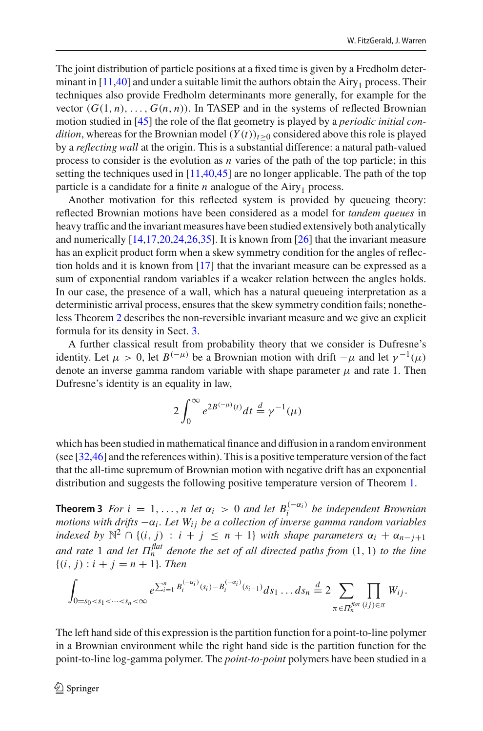The joint distribution of particle positions at a fixed time is given by a Fredholm determinant in  $[11,40]$  $[11,40]$  and under a suitable limit the authors obtain the Airy<sub>1</sub> process. Their techniques also provide Fredholm determinants more generally, for example for the vector  $(G(1, n), \ldots, G(n, n))$ . In TASEP and in the systems of reflected Brownian motion studied in [\[45](#page-51-6)] the role of the flat geometry is played by a *periodic initial condition*, whereas for the Brownian model  $(Y(t))_{t>0}$  considered above this role is played by a *reflecting wall* at the origin. This is a substantial difference: a natural path-valued process to consider is the evolution as *n* varies of the path of the top particle; in this setting the techniques used in  $[11,40,45]$  $[11,40,45]$  $[11,40,45]$  are no longer applicable. The path of the top particle is a candidate for a finite  $n$  analogue of the Airy<sub>1</sub> process.

Another motivation for this reflected system is provided by queueing theory: reflected Brownian motions have been considered as a model for *tandem queues* in heavy traffic and the invariant measures have been studied extensively both analytically and numerically [\[14](#page-50-8)[,17](#page-50-9)[,20](#page-50-10)[,24](#page-50-11)[,26](#page-50-12)[,35\]](#page-51-0). It is known from [\[26](#page-50-12)] that the invariant measure has an explicit product form when a skew symmetry condition for the angles of reflection holds and it is known from [\[17\]](#page-50-9) that the invariant measure can be expressed as a sum of exponential random variables if a weaker relation between the angles holds. In our case, the presence of a wall, which has a natural queueing interpretation as a deterministic arrival process, ensures that the skew symmetry condition fails; nonetheless Theorem [2](#page-3-3) describes the non-reversible invariant measure and we give an explicit formula for its density in Sect. [3.](#page-7-0)

A further classical result from probability theory that we consider is Dufresne's identity. Let  $\mu > 0$ , let  $B^{(-\mu)}$  be a Brownian motion with drift  $-\mu$  and let  $\gamma^{-1}(\mu)$ denote an inverse gamma random variable with shape parameter  $\mu$  and rate 1. Then Dufresne's identity is an equality in law,

$$
2\int_0^\infty e^{2B^{(-\mu)}(t)}dt \stackrel{d}{=} \gamma^{-1}(\mu)
$$

which has been studied in mathematical finance and diffusion in a random environment (see [\[32](#page-50-13)[,46](#page-51-7)] and the references within). This is a positive temperature version of the fact that the all-time supremum of Brownian motion with negative drift has an exponential distribution and suggests the following positive temperature version of Theorem [1.](#page-2-0)

<span id="page-4-0"></span>**Theorem 3** *For*  $i = 1, ..., n$  *let*  $\alpha_i > 0$  *and let*  $B_i^{(-\alpha_i)}$  *be independent Brownian motions with drifts* −α*<sup>i</sup> . Let Wi j be a collection of inverse gamma random variables indexed by*  $\mathbb{N}^2 \cap \{(i, j) : i + j \leq n + 1\}$  *with shape parameters*  $\alpha_i + \alpha_{n-j+1}$ *and rate* 1 *and let*  $\Pi_n^{\text{flat}}$  *denote the set of all directed paths from*  $(1, 1)$  *to the line*  ${(i, j) : i + j = n + 1}.$  Then

$$
\int_{0=s_0
$$

The left hand side of this expression is the partition function for a point-to-line polymer in a Brownian environment while the right hand side is the partition function for the point-to-line log-gamma polymer. The *point-to-point* polymers have been studied in a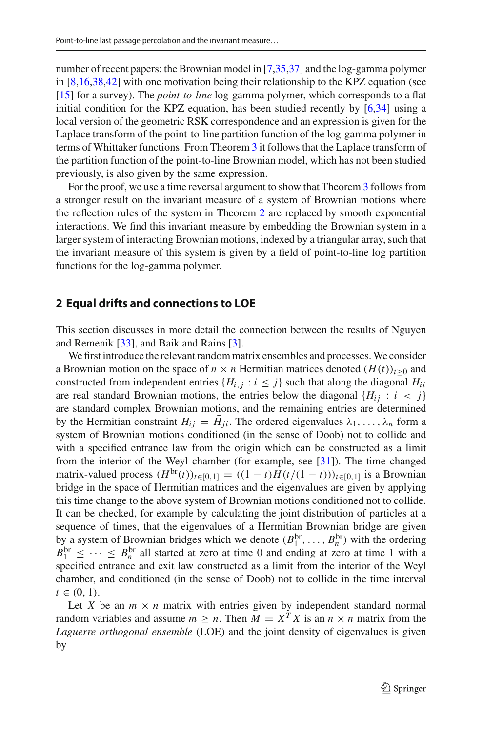number of recent papers: the Brownian model in [\[7](#page-50-14)[,35](#page-51-0)[,37\]](#page-51-8) and the log-gamma polymer in [\[8](#page-50-15)[,16](#page-50-16)[,38](#page-51-9)[,42\]](#page-51-10) with one motivation being their relationship to the KPZ equation (see [\[15](#page-50-17)] for a survey). The *point-to-line* log-gamma polymer, which corresponds to a flat initial condition for the KPZ equation, has been studied recently by [\[6](#page-50-1)[,34\]](#page-51-11) using a local version of the geometric RSK correspondence and an expression is given for the Laplace transform of the point-to-line partition function of the log-gamma polymer in terms of Whittaker functions. From Theorem [3](#page-4-0) it follows that the Laplace transform of the partition function of the point-to-line Brownian model, which has not been studied previously, is also given by the same expression.

For the proof, we use a time reversal argument to show that Theorem [3](#page-4-0) follows from a stronger result on the invariant measure of a system of Brownian motions where the reflection rules of the system in Theorem [2](#page-3-3) are replaced by smooth exponential interactions. We find this invariant measure by embedding the Brownian system in a larger system of interacting Brownian motions, indexed by a triangular array, such that the invariant measure of this system is given by a field of point-to-line log partition functions for the log-gamma polymer.

#### <span id="page-5-0"></span>**2 Equal drifts and connections to LOE**

This section discusses in more detail the connection between the results of Nguyen and Remenik [\[33](#page-50-4)], and Baik and Rains [\[3](#page-49-2)].

We first introduce the relevant random matrix ensembles and processes.We consider a Brownian motion on the space of  $n \times n$  Hermitian matrices denoted  $(H(t))_{t>0}$  and constructed from independent entries  ${H_{i,j} : i \leq j}$  such that along the diagonal  $H_{ii}$ are real standard Brownian motions, the entries below the diagonal  ${H_{ii} : i < j}$ are standard complex Brownian motions, and the remaining entries are determined by the Hermitian constraint  $H_{ij} = \bar{H}_{ji}$ . The ordered eigenvalues  $\lambda_1, \ldots, \lambda_n$  form a system of Brownian motions conditioned (in the sense of Doob) not to collide and with a specified entrance law from the origin which can be constructed as a limit from the interior of the Weyl chamber (for example, see [\[31](#page-50-18)]). The time changed matrix-valued process  $(H^{br}(t))_{t \in [0,1]} = ((1 - t)H(t/(1 - t)))_{t \in [0,1]}$  is a Brownian bridge in the space of Hermitian matrices and the eigenvalues are given by applying this time change to the above system of Brownian motions conditioned not to collide. It can be checked, for example by calculating the joint distribution of particles at a sequence of times, that the eigenvalues of a Hermitian Brownian bridge are given by a system of Brownian bridges which we denote  $(B_1^{br}, \ldots, B_n^{br})$  with the ordering  $B_1^{\text{br}} \leq \cdots \leq B_n^{\text{br}}$  all started at zero at time 0 and ending at zero at time 1 with a specified entrance and exit law constructed as a limit from the interior of the Weyl chamber, and conditioned (in the sense of Doob) not to collide in the time interval  $t \in (0, 1)$ .

Let *X* be an  $m \times n$  matrix with entries given by independent standard normal random variables and assume  $m \ge n$ . Then  $M = X^T X$  is an  $n \times n$  matrix from the *Laguerre orthogonal ensemble* (LOE) and the joint density of eigenvalues is given by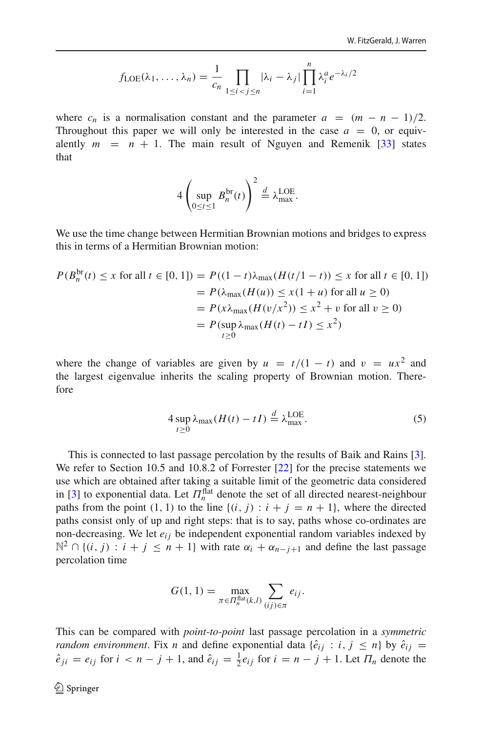$$
f_{\text{LOE}}(\lambda_1, \ldots, \lambda_n) = \frac{1}{c_n} \prod_{1 \leq i < j \leq n} |\lambda_i - \lambda_j| \prod_{i=1}^n \lambda_i^a e^{-\lambda_i/2}
$$

where  $c_n$  is a normalisation constant and the parameter  $a = (m - n - 1)/2$ . Throughout this paper we will only be interested in the case  $a = 0$ , or equivalently  $m = n + 1$ . The main result of Nguyen and Remenik [\[33\]](#page-50-4) states that

$$
4\left(\sup_{0\leq t\leq 1} B_n^{\text{br}}(t)\right)^2 \stackrel{d}{=} \lambda_{\text{max}}^{\text{LOE}}.
$$

We use the time change between Hermitian Brownian motions and bridges to express this in terms of a Hermitian Brownian motion:

$$
P(B_n^{\text{br}}(t) \le x \text{ for all } t \in [0, 1]) = P((1 - t)\lambda_{\text{max}}(H(t/1 - t)) \le x \text{ for all } t \in [0, 1])
$$
  
=  $P(\lambda_{\text{max}}(H(u)) \le x(1 + u) \text{ for all } u \ge 0)$   
=  $P(x\lambda_{\text{max}}(H(v/x^2)) \le x^2 + v \text{ for all } v \ge 0)$   
=  $P(\sup_{t \ge 0} \lambda_{\text{max}}(H(t) - tI) \le x^2)$ 

where the change of variables are given by  $u = t/(1 - t)$  and  $v = ux^2$  and the largest eigenvalue inherits the scaling property of Brownian motion. Therefore

<span id="page-6-0"></span>
$$
4 \sup_{t \ge 0} \lambda_{\max}(H(t) - tI) \stackrel{d}{=} \lambda_{\max}^{\text{LOE}}.
$$
 (5)

This is connected to last passage percolation by the results of Baik and Rains [\[3](#page-49-2)]. We refer to Section 10.5 and 10.8.2 of Forrester [\[22](#page-50-19)] for the precise statements we use which are obtained after taking a suitable limit of the geometric data considered in [\[3\]](#page-49-2) to exponential data. Let  $\Pi_n^{\text{flat}}$  denote the set of all directed nearest-neighbour paths from the point  $(1, 1)$  to the line  $\{(i, j) : i + j = n + 1\}$ , where the directed paths consist only of up and right steps: that is to say, paths whose co-ordinates are non-decreasing. We let  $e_{ij}$  be independent exponential random variables indexed by  $\mathbb{N}^2$  ∩ {(*i*, *j*) : *i* + *j* ≤ *n* + 1} with rate  $\alpha_i + \alpha_{n-i+1}$  and define the last passage percolation time

$$
G(1, 1) = \max_{\pi \in \Pi_n^{\text{flat}}(k, l)} \sum_{(ij) \in \pi} e_{ij}.
$$

This can be compared with *point-to-point* last passage percolation in a *symmetric random environment*. Fix *n* and define exponential data  $\{\hat{e}_{ij} : i, j \leq n\}$  by  $\hat{e}_{ij}$  =  $\hat{e}_{ji} = e_{ij}$  for  $i < n - j + 1$ , and  $\hat{e}_{ij} = \frac{1}{2}e_{ij}$  for  $i = n - j + 1$ . Let  $\Pi_n$  denote the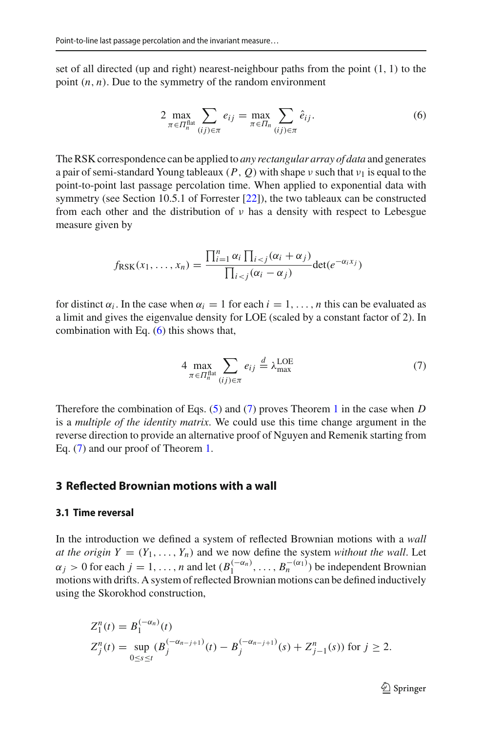set of all directed (up and right) nearest-neighbour paths from the point  $(1, 1)$  to the point  $(n, n)$ . Due to the symmetry of the random environment

<span id="page-7-1"></span>
$$
2 \max_{\pi \in \Pi_n^{\text{flat}}} \sum_{(ij) \in \pi} e_{ij} = \max_{\pi \in \Pi_n} \sum_{(ij) \in \pi} \hat{e}_{ij}.
$$
 (6)

The RSK correspondence can be applied to *any rectangular array of data* and generates a pair of semi-standard Young tableaux  $(P, Q)$  with shape  $\nu$  such that  $\nu_1$  is equal to the point-to-point last passage percolation time. When applied to exponential data with symmetry (see Section 10.5.1 of Forrester [\[22\]](#page-50-19)), the two tableaux can be constructed from each other and the distribution of  $\nu$  has a density with respect to Lebesgue measure given by

$$
f_{\text{RSK}}(x_1,\ldots,x_n)=\frac{\prod_{i=1}^n\alpha_i\prod_{i
$$

for distinct  $\alpha_i$ . In the case when  $\alpha_i = 1$  for each  $i = 1, \ldots, n$  this can be evaluated as a limit and gives the eigenvalue density for LOE (scaled by a constant factor of 2). In combination with Eq.  $(6)$  this shows that,

<span id="page-7-2"></span>
$$
4 \max_{\pi \in \Pi_n^{\text{flat}}}(i_j) \in \pi} e_{ij} \stackrel{d}{=} \lambda_{\text{max}}^{\text{LOE}} \tag{7}
$$

Therefore the combination of Eqs. [\(5\)](#page-6-0) and [\(7\)](#page-7-2) proves Theorem [1](#page-2-0) in the case when *D* is a *multiple of the identity matrix*. We could use this time change argument in the reverse direction to provide an alternative proof of Nguyen and Remenik starting from Eq. [\(7\)](#page-7-2) and our proof of Theorem [1.](#page-2-0)

#### <span id="page-7-0"></span>**3 Reflected Brownian motions with a wall**

#### **3.1 Time reversal**

In the introduction we defined a system of reflected Brownian motions with a *wall at the origin*  $Y = (Y_1, \ldots, Y_n)$  and we now define the system *without the wall*. Let  $\alpha_j > 0$  for each  $j = 1, \ldots, n$  and let  $(B_1^{(-\alpha_n)}, \ldots, B_n^{(-(\alpha_1)})$  be independent Brownian motions with drifts. A system of reflected Brownian motions can be defined inductively using the Skorokhod construction,

$$
Z_j^n(t) = B_1^{(-\alpha_n)}(t)
$$
  
\n
$$
Z_j^n(t) = \sup_{0 \le s \le t} (B_j^{(-\alpha_{n-j+1})}(t) - B_j^{(-\alpha_{n-j+1})}(s) + Z_{j-1}^n(s)) \text{ for } j \ge 2.
$$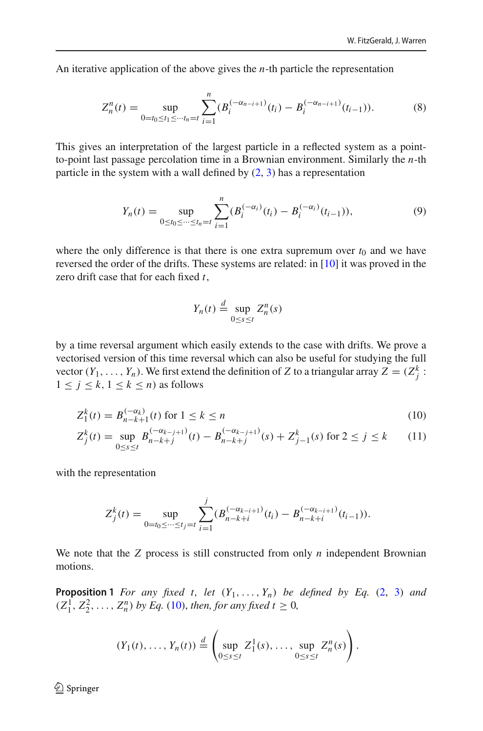An iterative application of the above gives the *n*-th particle the representation

<span id="page-8-3"></span>
$$
Z_n^n(t) = \sup_{0 = t_0 \le t_1 \le \dots t_n = t} \sum_{i=1}^n (B_i^{(-\alpha_{n-i+1})}(t_i) - B_i^{(-\alpha_{n-i+1})}(t_{i-1})).
$$
 (8)

This gives an interpretation of the largest particle in a reflected system as a pointto-point last passage percolation time in a Brownian environment. Similarly the *n*-th particle in the system with a wall defined by  $(2, 3)$  $(2, 3)$  $(2, 3)$  has a representation

<span id="page-8-2"></span>
$$
Y_n(t) = \sup_{0 \le t_0 \le \dots \le t_n = t} \sum_{i=1}^n (B_i^{(-\alpha_i)}(t_i) - B_i^{(-\alpha_i)}(t_{i-1})),\tag{9}
$$

where the only difference is that there is one extra supremum over  $t_0$  and we have reversed the order of the drifts. These systems are related: in [\[10](#page-50-7)] it was proved in the zero drift case that for each fixed *t*,

<span id="page-8-0"></span>
$$
Y_n(t) \stackrel{d}{=} \sup_{0 \le s \le t} Z_n^n(s)
$$

by a time reversal argument which easily extends to the case with drifts. We prove a vectorised version of this time reversal which can also be useful for studying the full vector  $(Y_1, \ldots, Y_n)$ . We first extend the definition of *Z* to a triangular array  $Z = (Z_j^k)$ :  $1 \leq j \leq k, 1 \leq k \leq n$  as follows

$$
Z_1^k(t) = B_{n-k+1}^{(-\alpha_k)}(t) \text{ for } 1 \le k \le n
$$
 (10)

$$
Z_j^k(t) = \sup_{0 \le s \le t} B_{n-k+j}^{(-\alpha_{k-j+1})}(t) - B_{n-k+j}^{(-\alpha_{k-j+1})}(s) + Z_{j-1}^k(s) \text{ for } 2 \le j \le k \tag{11}
$$

with the representation

$$
Z_j^k(t) = \sup_{0=t_0 \le \dots \le t_j=t} \sum_{i=1}^j (B_{n-k+i}^{(-\alpha_{k-i+1})}(t_i) - B_{n-k+i}^{(-\alpha_{k-i+1})}(t_{i-1})).
$$

<span id="page-8-1"></span>We note that the *Z* process is still constructed from only *n* independent Brownian motions.

**Proposition 1** *For any fixed t, let*  $(Y_1, \ldots, Y_n)$  *be defined by Eq.* [\(2,](#page-3-0) [3\)](#page-3-1) *and*  $(Z_1^1, Z_2^2, \ldots, Z_n^n)$  by Eq. [\(10\)](#page-8-0), then, for any fixed  $t \ge 0$ ,

$$
(Y_1(t),\ldots,Y_n(t))\stackrel{d}{=} \left(\sup_{0\leq s\leq t}Z_1^1(s),\ldots,\sup_{0\leq s\leq t}Z_n^n(s)\right).
$$

 $\textcircled{2}$  Springer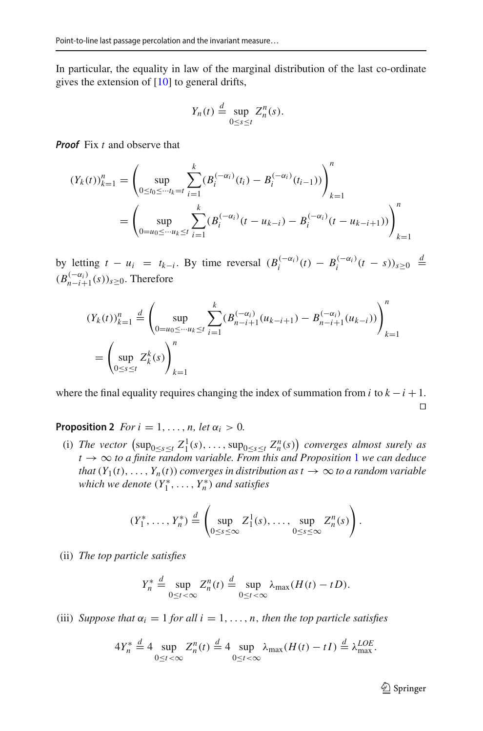In particular, the equality in law of the marginal distribution of the last co-ordinate gives the extension of [\[10](#page-50-7)] to general drifts,

$$
Y_n(t) \stackrel{d}{=} \sup_{0 \le s \le t} Z_n^n(s).
$$

*Proof* Fix *t* and observe that

$$
(Y_k(t))_{k=1}^n = \left(\sup_{0 \le t_0 \le \dots t_k = t} \sum_{i=1}^k (B_i^{(-\alpha_i)}(t_i) - B_i^{(-\alpha_i)}(t_{i-1}))\right)_{k=1}^n
$$
  
= 
$$
\left(\sup_{0 = u_0 \le \dots u_k \le t} \sum_{i=1}^k (B_i^{(-\alpha_i)}(t - u_{k-i}) - B_i^{(-\alpha_i)}(t - u_{k-i+1}))\right)_{k=1}^n
$$

by letting  $t - u_i = t_{k-i}$ . By time reversal  $(B_i^{(-\alpha_i)}(t) - B_i^{(-\alpha_i)}(t-s))_{s \ge 0} \stackrel{d}{=}$  $(B_{n-i+1}^{(-\alpha_i)}(s))_{s\geq 0}$ . Therefore

$$
(Y_k(t))_{k=1}^n \stackrel{d}{=} \left(\sup_{0=u_0\leq \dots u_k\leq t} \sum_{i=1}^k (B_{n-i+1}^{(-\alpha_i)}(u_{k-i+1}) - B_{n-i+1}^{(-\alpha_i)}(u_{k-i}))\right)_{k=1}^n
$$
  
= 
$$
\left(\sup_{0\leq s\leq t} Z_k^k(s)\right)_{k=1}^n
$$

where the final equality requires changing the index of summation from *i* to  $k - i + 1$ .  $\Box$ 

<span id="page-9-0"></span>**Proposition 2** *For*  $i = 1, ..., n$ *, let*  $\alpha_i > 0$ *.* 

(i) *The vector*  $(\sup_{0 \le s \le t} Z_1^1(s), \ldots, \sup_{0 \le s \le t} Z_n^n(s))$  *converges almost surely as t* → ∞ *to a finite random variable. From this and Proposition* [1](#page-8-1) *we can deduce that*  $(Y_1(t), \ldots, Y_n(t))$  *converges in distribution as t*  $\rightarrow \infty$  *to a random variable which we denote*  $(Y_1^*, \ldots, Y_n^*)$  *and satisfies* 

$$
(Y_1^*,\ldots,Y_n^*)\stackrel{d}{=} \left(\sup_{0\leq s\leq\infty}Z_1^1(s),\ldots,\sup_{0\leq s\leq\infty}Z_n^n(s)\right).
$$

(ii) *The top particle satisfies*

$$
Y_n^* \stackrel{d}{=} \sup_{0 \le t < \infty} Z_n^n(t) \stackrel{d}{=} \sup_{0 \le t < \infty} \lambda_{\max}(H(t) - tD).
$$

(iii) *Suppose that*  $\alpha_i = 1$  *for all*  $i = 1, \ldots, n$ *, then the top particle satisfies* 

$$
4Y_n^* \stackrel{d}{=} 4 \sup_{0 \le t < \infty} Z_n^n(t) \stackrel{d}{=} 4 \sup_{0 \le t < \infty} \lambda_{\max}(H(t) - tI) \stackrel{d}{=} \lambda_{\max}^{LOE}.
$$

 $\mathcal{D}$  Springer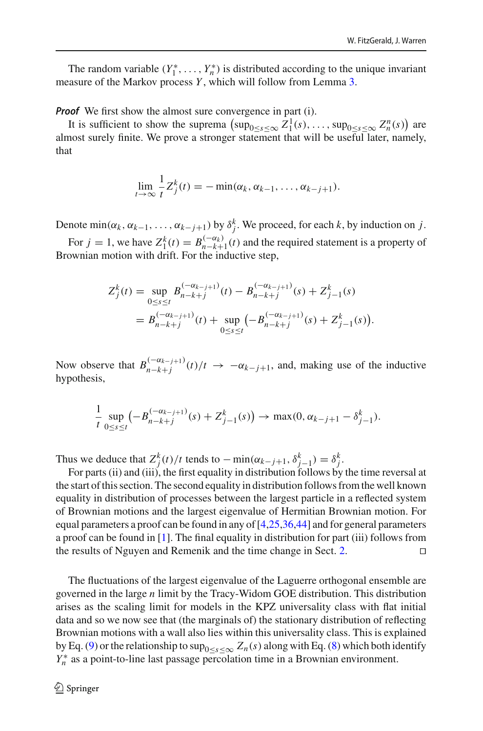The random variable  $(Y_1^*, \ldots, Y_n^*)$  is distributed according to the unique invariant measure of the Markov process *Y* , which will follow from Lemma [3.](#page-17-0)

*Proof* We first show the almost sure convergence in part (i).

It is sufficient to show the suprema  $(\sup_{0 \le s \le \infty} Z_1^1(s), \dots, \sup_{0 \le s \le \infty} Z_n^n(s))$  are almost surely finite. We prove a stronger statement that will be useful later, namely, that

$$
\lim_{t\to\infty}\frac{1}{t}Z_j^k(t)=-\min(\alpha_k,\alpha_{k-1},\ldots,\alpha_{k-j+1}).
$$

Denote  $\min(\alpha_k, \alpha_{k-1}, \ldots, \alpha_{k-j+1})$  by  $\delta_j^k$ . We proceed, for each *k*, by induction on *j*.

For  $j = 1$ , we have  $Z_1^k(t) = B_{n-k+1}^{(-\alpha_k)}(t)$  and the required statement is a property of Brownian motion with drift. For the inductive step,

$$
Z_j^k(t) = \sup_{0 \le s \le t} B_{n-k+j}^{(-\alpha_{k-j+1})}(t) - B_{n-k+j}^{(-\alpha_{k-j+1})}(s) + Z_{j-1}^k(s)
$$
  
=  $B_{n-k+j}^{(-\alpha_{k-j+1})}(t) + \sup_{0 \le s \le t} (-B_{n-k+j}^{(-\alpha_{k-j+1})}(s) + Z_{j-1}^k(s)).$ 

Now observe that  $B_{n-k+j}^{(-\alpha_{k-j+1})}(t)/t \to -\alpha_{k-j+1}$ , and, making use of the inductive hypothesis,

$$
\frac{1}{t}\sup_{0\leq s\leq t}\left(-B_{n-k+j}^{(-\alpha_{k-j+1})}(s)+Z_{j-1}^k(s)\right)\to \max(0,\alpha_{k-j+1}-\delta_{j-1}^k).
$$

Thus we deduce that  $Z_f^k(t)/t$  tends to  $-\min(\alpha_{k-j+1}, \delta_{j-1}^k) = \delta_f^k$ .

For parts (ii) and (iii), the first equality in distribution follows by the time reversal at the start of this section. The second equality in distribution follows from the well known equality in distribution of processes between the largest particle in a reflected system of Brownian motions and the largest eigenvalue of Hermitian Brownian motion. For equal parameters a proof can be found in any of  $[4,25,36,44]$  $[4,25,36,44]$  $[4,25,36,44]$  $[4,25,36,44]$  and for general parameters a proof can be found in [\[1\]](#page-49-3). The final equality in distribution for part (iii) follows from the results of Nguyen and Remenik and the time change in Sect. [2.](#page-5-0) 

The fluctuations of the largest eigenvalue of the Laguerre orthogonal ensemble are governed in the large *n* limit by the Tracy-Widom GOE distribution. This distribution arises as the scaling limit for models in the KPZ universality class with flat initial data and so we now see that (the marginals of) the stationary distribution of reflecting Brownian motions with a wall also lies within this universality class. This is explained by Eq. [\(9\)](#page-8-2) or the relationship to  $\sup_{0 \le s \le \infty} Z_n(s)$  along with Eq. [\(8\)](#page-8-3) which both identify *Y*<sup>∗</sup> as a point-to-line last passage percolation time in a Brownian environment.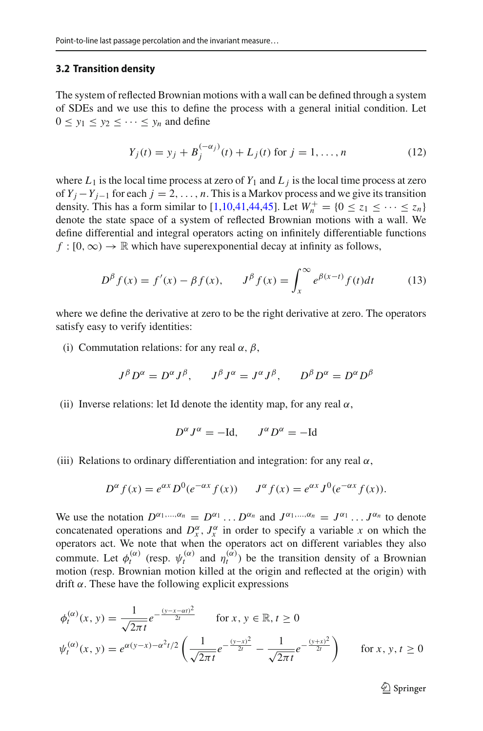#### **3.2 Transition density**

The system of reflected Brownian motions with a wall can be defined through a system of SDEs and we use this to define the process with a general initial condition. Let  $0 \le y_1 \le y_2 \le \cdots \le y_n$  and define

<span id="page-11-1"></span>
$$
Y_j(t) = y_j + B_j^{(-\alpha_j)}(t) + L_j(t) \text{ for } j = 1, ..., n
$$
 (12)

where  $L_1$  is the local time process at zero of  $Y_1$  and  $L_j$  is the local time process at zero of *Yj* −*Yj*−<sup>1</sup> for each *j* = 2,..., *n*. This is a Markov process and we give its transition density. This has a form similar to [\[1](#page-49-3)[,10](#page-50-7)[,41](#page-51-5)[,44](#page-51-3)[,45](#page-51-6)]. Let  $W_n^+ = \{0 \le z_1 \le \cdots \le z_n\}$ denote the state space of a system of reflected Brownian motions with a wall. We define differential and integral operators acting on infinitely differentiable functions  $f : [0, \infty) \to \mathbb{R}$  which have superexponential decay at infinity as follows,

<span id="page-11-0"></span>
$$
D^{\beta} f(x) = f'(x) - \beta f(x), \qquad J^{\beta} f(x) = \int_{x}^{\infty} e^{\beta(x-t)} f(t) dt \tag{13}
$$

where we define the derivative at zero to be the right derivative at zero. The operators satisfy easy to verify identities:

(i) Commutation relations: for any real  $\alpha$ ,  $\beta$ ,

$$
J^{\beta}D^{\alpha} = D^{\alpha}J^{\beta}, \qquad J^{\beta}J^{\alpha} = J^{\alpha}J^{\beta}, \qquad D^{\beta}D^{\alpha} = D^{\alpha}D^{\beta}
$$

(ii) Inverse relations: let Id denote the identity map, for any real  $\alpha$ ,

$$
D^{\alpha} J^{\alpha} = -\mathrm{Id}, \qquad J^{\alpha} D^{\alpha} = -\mathrm{Id}
$$

(iii) Relations to ordinary differentiation and integration: for any real  $\alpha$ ,

$$
D^{\alpha} f(x) = e^{\alpha x} D^{0} (e^{-\alpha x} f(x)) \qquad J^{\alpha} f(x) = e^{\alpha x} J^{0} (e^{-\alpha x} f(x)).
$$

We use the notation  $D^{\alpha_1,...,\alpha_n} = D^{\alpha_1} \dots D^{\alpha_n}$  and  $J^{\alpha_1,...,\alpha_n} = J^{\alpha_1} \dots J^{\alpha_n}$  to denote concatenated operations and  $D_x^{\alpha}$ ,  $J_x^{\alpha}$  in order to specify a variable *x* on which the operators act. We note that when the operators act on different variables they also commute. Let  $\phi_t^{(\alpha)}$  (resp.  $\psi_t^{(\alpha)}$  and  $\eta_t^{(\alpha)}$ ) be the transition density of a Brownian motion (resp. Brownian motion killed at the origin and reflected at the origin) with drift  $\alpha$ . These have the following explicit expressions

$$
\phi_t^{(\alpha)}(x, y) = \frac{1}{\sqrt{2\pi t}} e^{-\frac{(y - x - \alpha t)^2}{2t}} \quad \text{for } x, y \in \mathbb{R}, t \ge 0
$$
\n
$$
\psi_t^{(\alpha)}(x, y) = e^{\alpha(y - x) - \alpha^2 t/2} \left( \frac{1}{\sqrt{2\pi t}} e^{-\frac{(y - x)^2}{2t}} - \frac{1}{\sqrt{2\pi t}} e^{-\frac{(y + x)^2}{2t}} \right) \quad \text{for } x, y, t \ge 0
$$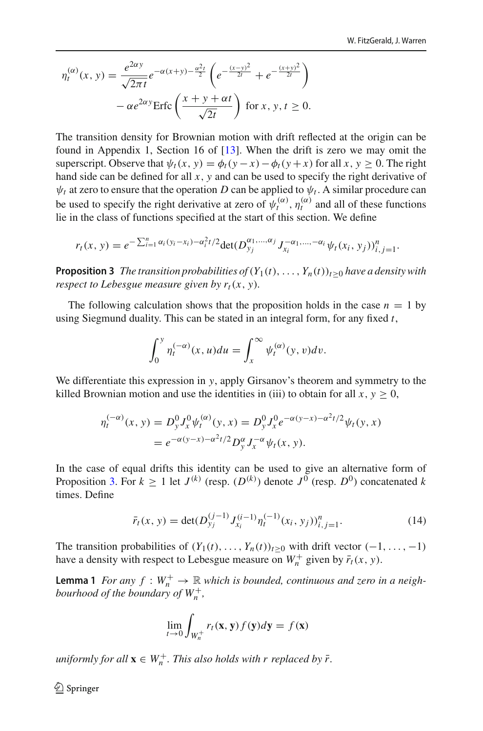$$
\eta_t^{(\alpha)}(x, y) = \frac{e^{2\alpha y}}{\sqrt{2\pi t}} e^{-\alpha(x+y) - \frac{\alpha^2 t}{2}} \left( e^{-\frac{(x-y)^2}{2t}} + e^{-\frac{(x+y)^2}{2t}} \right) \n- \alpha e^{2\alpha y} \text{Erfc} \left( \frac{x+y+\alpha t}{\sqrt{2t}} \right) \text{ for } x, y, t \ge 0.
$$

The transition density for Brownian motion with drift reflected at the origin can be found in Appendix 1, Section 16 of [\[13\]](#page-50-20). When the drift is zero we may omit the superscript. Observe that  $\psi_t(x, y) = \phi_t(y - x) - \phi_t(y + x)$  for all  $x, y \ge 0$ . The right hand side can be defined for all *x*, *y* and can be used to specify the right derivative of  $\psi_t$  at zero to ensure that the operation *D* can be applied to  $\psi_t$ . A similar procedure can be used to specify the right derivative at zero of  $\psi_t^{(\alpha)}$ ,  $\eta_t^{(\alpha)}$  and all of these functions lie in the class of functions specified at the start of this section. We define

$$
r_t(x, y) = e^{-\sum_{i=1}^n \alpha_i (y_i - x_i) - \alpha_i^2 t/2} \det(D_{y_j}^{\alpha_1, \dots, \alpha_j} J_{x_i}^{-\alpha_1, \dots, -\alpha_i} \psi_t(x_i, y_j))_{i,j=1}^n.
$$

<span id="page-12-0"></span>**Proposition 3** *The transition probabilities of* $(Y_1(t), \ldots, Y_n(t))_{t>0}$  *have a density with respect to Lebesgue measure given by*  $r_t(x, y)$ *.* 

The following calculation shows that the proposition holds in the case  $n = 1$  by using Siegmund duality. This can be stated in an integral form, for any fixed *t*,

$$
\int_0^y \eta_t^{(-\alpha)}(x, u) du = \int_x^\infty \psi_t^{(\alpha)}(y, v) dv.
$$

We differentiate this expression in *y*, apply Girsanov's theorem and symmetry to the killed Brownian motion and use the identities in (iii) to obtain for all  $x, y \ge 0$ ,

$$
\eta_t^{(-\alpha)}(x, y) = D_y^0 J_x^0 \psi_t^{(\alpha)}(y, x) = D_y^0 J_x^0 e^{-\alpha(y - x) - \alpha^2 t/2} \psi_t(y, x)
$$
  
=  $e^{-\alpha(y - x) - \alpha^2 t/2} D_y^{\alpha} J_x^{-\alpha} \psi_t(x, y).$ 

In the case of equal drifts this identity can be used to give an alternative form of Proposition [3.](#page-12-0) For  $k \ge 1$  let  $J^{(k)}$  (resp.  $(D^{(k)})$  denote  $J^0$  (resp.  $D^0$ ) concatenated *k* times. Define

<span id="page-12-2"></span>
$$
\bar{r}_t(x, y) = \det(D_{y_j}^{(j-1)} J_{x_i}^{(i-1)} \eta_t^{(-1)} (x_i, y_j))_{i,j=1}^n.
$$
 (14)

<span id="page-12-1"></span>The transition probabilities of  $(Y_1(t), \ldots, Y_n(t))_{t>0}$  with drift vector  $(-1, \ldots, -1)$ have a density with respect to Lebesgue measure on  $W_n^+$  given by  $\bar{r}_t(x, y)$ .

**Lemma 1** *For any*  $f: W_n^+ \to \mathbb{R}$  *which is bounded, continuous and zero in a neighbourhood of the boundary of*  $W_n^+$ ,

$$
\lim_{t \to 0} \int_{W_n^+} r_t(\mathbf{x}, \mathbf{y}) f(\mathbf{y}) d\mathbf{y} = f(\mathbf{x})
$$

 $uniformly$  for all  $\mathbf{x} \in W_n^+$ . This also holds with  $r$  replaced by  $\bar{r}$ .

 $\textcircled{2}$  Springer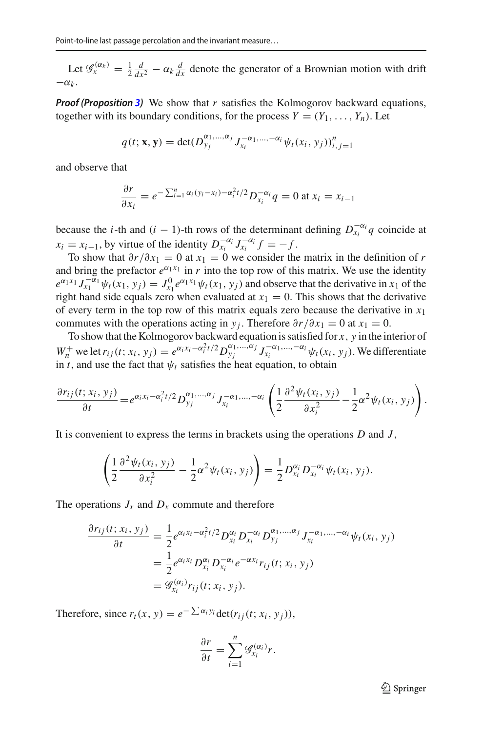Let  $\mathscr{G}_x^{(\alpha_k)} = \frac{1}{2} \frac{d}{dx^2} - \alpha_k \frac{d}{dx}$  denote the generator of a Brownian motion with drift  $-\alpha_k$ .

*Proof (Proposition [3\)](#page-12-0)* We show that *r* satisfies the Kolmogorov backward equations, together with its boundary conditions, for the process  $Y = (Y_1, \ldots, Y_n)$ . Let

$$
q(t; \mathbf{x}, \mathbf{y}) = \det(D_{y_j}^{\alpha_1, \dots, \alpha_j} J_{x_i}^{-\alpha_1, \dots, -\alpha_i} \psi_t(x_i, y_j))_{i,j=1}^n
$$

and observe that

$$
\frac{\partial r}{\partial x_i} = e^{-\sum_{i=1}^n \alpha_i (y_i - x_i) - \alpha_i^2 t/2} D_{x_i}^{-\alpha_i} q = 0 \text{ at } x_i = x_{i-1}
$$

because the *i*-th and (*i* − 1)-th rows of the determinant defining  $D_{x_i}^{-\alpha_i} q$  coincide at  $x_i = x_{i-1}$ , by virtue of the identity  $D_{x_i}^{-\alpha_i} J_{x_i}^{-\alpha_i} f = -f$ .

To show that  $\partial r/\partial x_1 = 0$  at  $x_1 = 0$  we consider the matrix in the definition of *r* and bring the prefactor  $e^{\alpha_1 x_1}$  in *r* into the top row of this matrix. We use the identity  $e^{\alpha_1 x_1} J_{x_1}^{-\alpha_1} \psi_t(x_1, y_j) = J_{x_1}^0 e^{\alpha_1 x_1} \psi_t(x_1, y_j)$  and observe that the derivative in *x*<sub>1</sub> of the right hand side equals zero when evaluated at  $x_1 = 0$ . This shows that the derivative of every term in the top row of this matrix equals zero because the derivative in  $x_1$ commutes with the operations acting in *y<sub>i</sub>*. Therefore  $\partial r/\partial x_1 = 0$  at  $x_1 = 0$ .

To show that the Kolmogorov backward equation is satisfied for *x*, *y* in the interior of  $W_n^+$  we let  $r_{ij}(t; x_i, y_j) = e^{\alpha_i x_i - \alpha_i^2 t/2} D_{y_j}^{\alpha_1, ..., \alpha_j} J_{x_i}^{-\alpha_1, ..., -\alpha_i} \psi_t(x_i, y_j)$ . We differentiate in *t*, and use the fact that  $\psi_t$  satisfies the heat equation, to obtain

$$
\frac{\partial r_{ij}(t;x_i,y_j)}{\partial t} = e^{\alpha_i x_i - \alpha_i^2 t/2} D_{y_j}^{\alpha_1,\dots,\alpha_j} J_{x_i}^{-\alpha_1,\dots,-\alpha_i} \left( \frac{1}{2} \frac{\partial^2 \psi_t(x_i,y_j)}{\partial x_i^2} - \frac{1}{2} \alpha^2 \psi_t(x_i,y_j) \right).
$$

It is convenient to express the terms in brackets using the operations *D* and *J* ,

$$
\left(\frac{1}{2}\frac{\partial^2\psi_t(x_i,y_j)}{\partial x_i^2}-\frac{1}{2}\alpha^2\psi_t(x_i,y_j)\right)=\frac{1}{2}D_{x_i}^{\alpha_i}D_{x_i}^{-\alpha_i}\psi_t(x_i,y_j).
$$

The operations  $J_x$  and  $D_x$  commute and therefore

$$
\frac{\partial r_{ij}(t; x_i, y_j)}{\partial t} = \frac{1}{2} e^{\alpha_i x_i - \alpha_i^2 t/2} D_{x_i}^{\alpha_i} D_{x_i}^{-\alpha_i} D_{y_j}^{\alpha_1, \dots, \alpha_j} J_{x_i}^{-\alpha_1, \dots, -\alpha_i} \psi_t(x_i, y_j)
$$
  
= 
$$
\frac{1}{2} e^{\alpha_i x_i} D_{x_i}^{\alpha_i} D_{x_i}^{-\alpha_i} e^{-\alpha x_i} r_{ij}(t; x_i, y_j)
$$
  
=  $\mathscr{G}_{x_i}^{(\alpha_i)} r_{ij}(t; x_i, y_j).$ 

Therefore, since  $r_t(x, y) = e^{-\sum \alpha_i y_i} \det(r_{ij}(t; x_i, y_j)),$ 

$$
\frac{\partial r}{\partial t} = \sum_{i=1}^n \mathscr{G}_{x_i}^{(\alpha_i)} r.
$$

 $\mathcal{D}$  Springer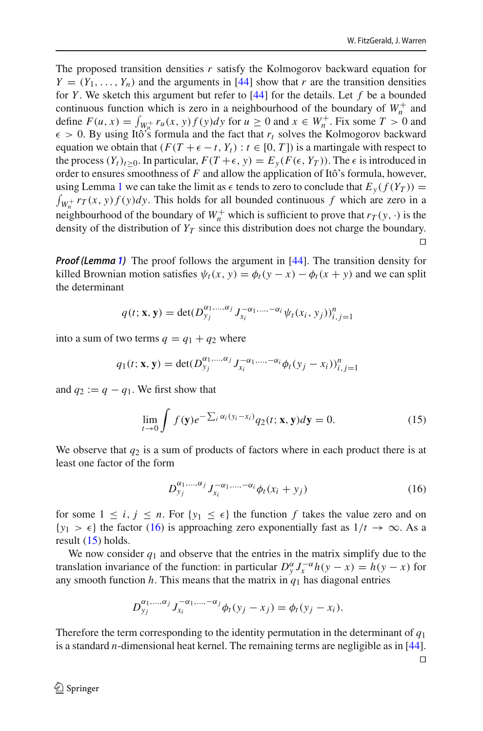The proposed transition densities *r* satisfy the Kolmogorov backward equation for  $Y = (Y_1, \ldots, Y_n)$  and the arguments in [\[44\]](#page-51-3) show that *r* are the transition densities for *Y* . We sketch this argument but refer to [\[44\]](#page-51-3) for the details. Let *f* be a bounded continuous function which is zero in a neighbourhood of the boundary of  $W_n^+$  and define  $F(u, x) = \int_{W_0^+} r_u(x, y) f(y) dy$  for  $u \ge 0$  and  $x \in W_n^+$ . Fix some  $T > 0$  and  $\epsilon > 0$ . By using Itô's formula and the fact that  $r_t$  solves the Kolmogorov backward equation we obtain that  $(F(T + \epsilon - t, Y_t) : t \in [0, T])$  is a martingale with respect to the process  $(Y_t)_{t\geq0}$ . In particular,  $F(T+\epsilon, y) = E_y(F(\epsilon, Y_T))$ . The  $\epsilon$  is introduced in order to ensures smoothness of *F* and allow the application of Itô's formula, however, using Lemma [1](#page-12-1) we can take the limit as  $\epsilon$  tends to zero to conclude that  $E_y(f(Y_T)) = \int_{W_n^+} r_T(x, y) f(y) dy$ . This holds for all bounded continuous f which are zero in a neighbourhood of the boundary of  $W_n^+$  which is sufficient to prove that  $r_T(y, \cdot)$  is the density of the distribution of  $Y_T$  since this distribution does not charge the boundary.  $\Box$ 

*Proof (Lemma [1\)](#page-12-1)* The proof follows the argument in [\[44\]](#page-51-3). The transition density for killed Brownian motion satisfies  $\psi_t(x, y) = \phi_t(y - x) - \phi_t(x + y)$  and we can split the determinant

$$
q(t; \mathbf{x}, \mathbf{y}) = \det(D_{y_j}^{\alpha_1, \dots, \alpha_j} J_{x_i}^{-\alpha_1, \dots, -\alpha_i} \psi_t(x_i, y_j))_{i,j=1}^n
$$

into a sum of two terms  $q = q_1 + q_2$  where

$$
q_1(t; \mathbf{x}, \mathbf{y}) = \det(D_{y_j}^{\alpha_1, \dots, \alpha_j} J_{x_i}^{-\alpha_1, \dots, -\alpha_i} \phi_t(y_j - x_i))_{i,j=1}^n
$$

and  $q_2 := q - q_1$ . We first show that

<span id="page-14-1"></span>
$$
\lim_{t \to 0} \int f(\mathbf{y}) e^{-\sum_{i} \alpha_i (y_i - x_i)} q_2(t; \mathbf{x}, \mathbf{y}) d\mathbf{y} = 0.
$$
 (15)

We observe that  $q_2$  is a sum of products of factors where in each product there is at least one factor of the form

<span id="page-14-0"></span>
$$
D_{y_j}^{\alpha_1,\dots,\alpha_j} J_{x_i}^{-\alpha_1,\dots,-\alpha_i} \phi_t(x_i + y_j) \tag{16}
$$

for some  $1 \leq i, j \leq n$ . For  $\{y_1 \leq \epsilon\}$  the function f takes the value zero and on  ${y_1 > \epsilon}$  the factor [\(16\)](#page-14-0) is approaching zero exponentially fast as  $1/t \to \infty$ . As a result [\(15\)](#page-14-1) holds.

We now consider  $q_1$  and observe that the entries in the matrix simplify due to the translation invariance of the function: in particular  $D_y^{\alpha} J_x^{-\alpha} h(y - x) = h(y - x)$  for any smooth function  $h$ . This means that the matrix in  $q_1$  has diagonal entries

$$
D_{y_j}^{\alpha_1,...,\alpha_j} J_{x_i}^{-\alpha_1,...,-\alpha_j} \phi_t(y_j - x_j) = \phi_t(y_j - x_i).
$$

Therefore the term corresponding to the identity permutation in the determinant of *q*<sup>1</sup> is a standard *n*-dimensional heat kernel. The remaining terms are negligible as in [\[44](#page-51-3)].

 $\Box$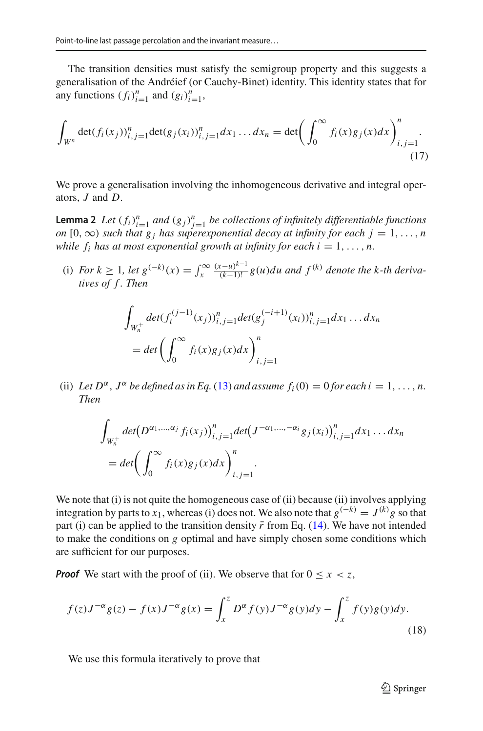The transition densities must satisfy the semigroup property and this suggests a generalisation of the Andréief (or Cauchy-Binet) identity. This identity states that for any functions  $(f_i)_{i=1}^n$  and  $(g_i)_{i=1}^n$ ,

<span id="page-15-1"></span>
$$
\int_{W^n} \det(f_i(x_j))_{i,j=1}^n \det(g_j(x_i))_{i,j=1}^n dx_1 \dots dx_n = \det \left( \int_0^\infty f_i(x) g_j(x) dx \right)_{i,j=1}^n.
$$
\n(17)

<span id="page-15-2"></span>We prove a generalisation involving the inhomogeneous derivative and integral operators, *J* and *D*.

**Lemma 2** *Let*  $(f_i)_{i=1}^n$  *and*  $(g_j)_{j=1}^n$  *be collections of infinitely differentiable functions on* [0,  $\infty$ ) *such that*  $g_j$  *has superexponential decay at infinity for each*  $j = 1, \ldots, n$ *while*  $f_i$  *has at most exponential growth at infinity for each i* = 1, ..., *n*.

(i) *For k*  $\geq 1$ *, let*  $g^{(-k)}(x) = \int_x^{\infty} \frac{(x-u)^{k-1}}{(k-1)!} g(u) du$  and  $f^{(k)}$  denote the k-th deriva*tives of f . Then*

$$
\int_{W_n^+} \det(f_i^{(j-1)}(x_j))_{i,j=1}^n \det(g_j^{(-i+1)}(x_i))_{i,j=1}^n dx_1 \dots dx_n
$$
  
= 
$$
\det \left( \int_0^\infty f_i(x)g_j(x)dx \right)_{i,j=1}^n
$$

(ii) Let  $D^{\alpha}$ ,  $J^{\alpha}$  be defined as in Eq. [\(13\)](#page-11-0) and assume  $f_i(0) = 0$  for each  $i = 1, \ldots, n$ . *Then*

$$
\int_{W_n^+} \det(D^{\alpha_1,\ldots,\alpha_j} f_i(x_j))_{i,j=1}^n \det(J^{-\alpha_1,\ldots,-\alpha_i} g_j(x_i))_{i,j=1}^n dx_1 \ldots dx_n
$$
\n
$$
= \det \left(\int_0^\infty f_i(x) g_j(x) dx\right)_{i,j=1}^n.
$$

We note that (i) is not quite the homogeneous case of (ii) because (ii) involves applying integration by parts to *x*<sub>1</sub>, whereas (i) does not. We also note that  $g^{(-k)} = J^{(k)}g$  so that part (i) can be applied to the transition density  $\bar{r}$  from Eq. [\(14\)](#page-12-2). We have not intended to make the conditions on *g* optimal and have simply chosen some conditions which are sufficient for our purposes.

*Proof* We start with the proof of (ii). We observe that for  $0 \le x < z$ ,

<span id="page-15-0"></span>
$$
f(z)J^{-\alpha}g(z) - f(x)J^{-\alpha}g(x) = \int_x^z D^{\alpha}f(y)J^{-\alpha}g(y)dy - \int_x^z f(y)g(y)dy.
$$
\n(18)

We use this formula iteratively to prove that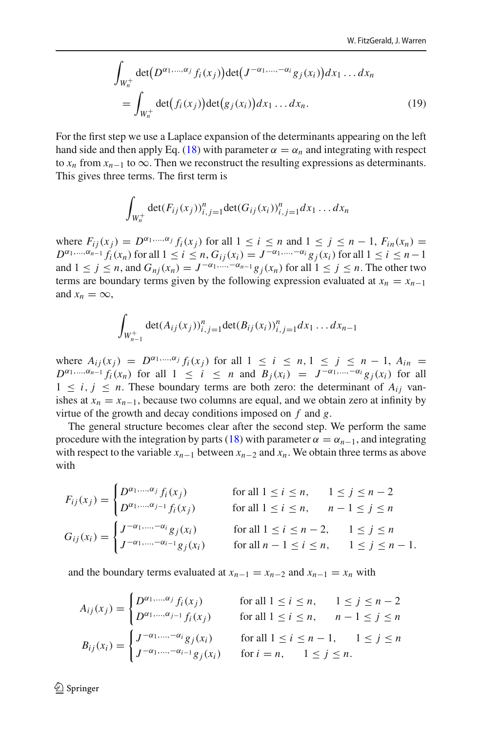<span id="page-16-0"></span>
$$
\int_{W_n^+} \det(D^{\alpha_1,\ldots,\alpha_j} f_i(x_j)) \det(J^{-\alpha_1,\ldots,-\alpha_i} g_j(x_i)) dx_1 \ldots dx_n
$$
\n
$$
= \int_{W_n^+} \det(f_i(x_j)) \det(g_j(x_i)) dx_1 \ldots dx_n.
$$
\n(19)

For the first step we use a Laplace expansion of the determinants appearing on the left hand side and then apply Eq. [\(18\)](#page-15-0) with parameter  $\alpha = \alpha_n$  and integrating with respect to  $x_n$  from  $x_{n-1}$  to  $\infty$ . Then we reconstruct the resulting expressions as determinants. This gives three terms. The first term is

$$
\int_{W_n^+} \det(F_{ij}(x_j))_{i,j=1}^n \det(G_{ij}(x_i))_{i,j=1}^n dx_1 \dots dx_n
$$

where  $F_{ii}(x_i) = D^{\alpha_1,...,\alpha_j} f_i(x_i)$  for all  $1 \le i \le n$  and  $1 \le j \le n-1$ ,  $F_{in}(x_n) =$  $D^{\alpha_1,...,\alpha_{n-1}} f_i(x_n)$  for all  $1 \le i \le n$ ,  $G_{ii}(x_i) = J^{-\alpha_1,...,-\alpha_i} g_i(x_i)$  for all  $1 \le i \le n-1$ and  $1 \leq j \leq n$ , and  $G_{ni}(x_n) = J^{-\alpha_1, \dots, -\alpha_{n-1}} g_j(x_n)$  for all  $1 \leq j \leq n$ . The other two terms are boundary terms given by the following expression evaluated at  $x_n = x_{n-1}$ and  $x_n = \infty$ ,

$$
\int_{W_{n-1}^+} \det(A_{ij}(x_j))_{i,j=1}^n \det(B_{ij}(x_i))_{i,j=1}^n dx_1 \dots dx_{n-1}
$$

where  $A_{ij}(x_j) = D^{\alpha_1,...,\alpha_j} f_i(x_j)$  for all  $1 \le i \le n, 1 \le j \le n-1, A_{in} =$  $D^{\alpha_1,...,\alpha_{n-1}} f_i(x_n)$  for all  $1 \leq i \leq n$  and  $B_i(x_i) = J^{-\alpha_1,...,-\alpha_i} g_i(x_i)$  for all  $1 \leq i, j \leq n$ . These boundary terms are both zero: the determinant of  $A_{ij}$  vanishes at  $x_n = x_{n-1}$ , because two columns are equal, and we obtain zero at infinity by virtue of the growth and decay conditions imposed on *f* and *g*.

The general structure becomes clear after the second step. We perform the same procedure with the integration by parts [\(18\)](#page-15-0) with parameter  $\alpha = \alpha_{n-1}$ , and integrating with respect to the variable  $x_{n-1}$  between  $x_{n-2}$  and  $x_n$ . We obtain three terms as above with

$$
F_{ij}(x_j) = \begin{cases} D^{\alpha_1, ..., \alpha_j} f_i(x_j) & \text{for all } 1 \le i \le n, & 1 \le j \le n - 2 \\ D^{\alpha_1, ..., \alpha_{j-1}} f_i(x_j) & \text{for all } 1 \le i \le n, & n - 1 \le j \le n \end{cases}
$$
  
\n
$$
G_{ij}(x_i) = \begin{cases} J^{-\alpha_1, ..., -\alpha_i} g_j(x_i) & \text{for all } 1 \le i \le n - 2, & 1 \le j \le n \\ J^{-\alpha_1, ..., -\alpha_{i-1}} g_j(x_i) & \text{for all } n - 1 \le i \le n, & 1 \le j \le n - 1. \end{cases}
$$

and the boundary terms evaluated at  $x_{n-1} = x_{n-2}$  and  $x_{n-1} = x_n$  with

$$
A_{ij}(x_j) = \begin{cases} D^{\alpha_1, ..., \alpha_j} f_i(x_j) & \text{for all } 1 \le i \le n, & 1 \le j \le n-2 \\ D^{\alpha_1, ..., \alpha_{j-1}} f_i(x_j) & \text{for all } 1 \le i \le n, & n-1 \le j \le n \end{cases}
$$
  

$$
B_{ij}(x_i) = \begin{cases} J^{-\alpha_1, ..., -\alpha_i} g_j(x_i) & \text{for all } 1 \le i \le n-1, & 1 \le j \le n \\ J^{-\alpha_1, ..., -\alpha_{i-1}} g_j(x_i) & \text{for } i = n, & 1 \le j \le n. \end{cases}
$$

 $\textcircled{2}$  Springer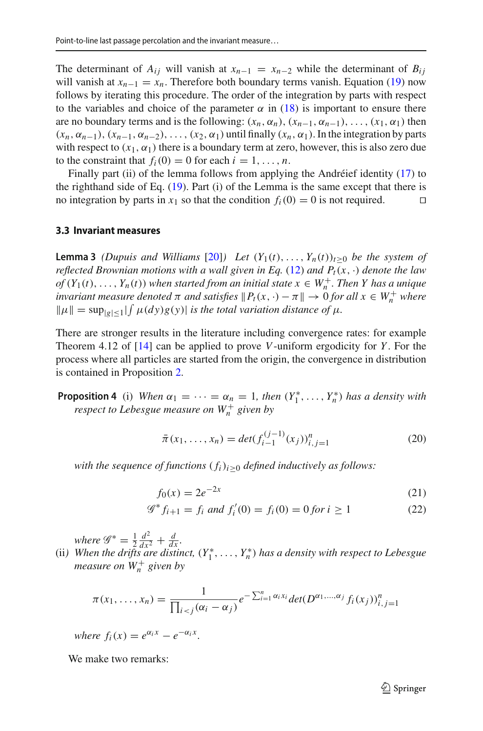The determinant of  $A_{ij}$  will vanish at  $x_{n-1} = x_{n-2}$  while the determinant of  $B_{ij}$ will vanish at  $x_{n-1} = x_n$ . Therefore both boundary terms vanish. Equation [\(19\)](#page-16-0) now follows by iterating this procedure. The order of the integration by parts with respect to the variables and choice of the parameter  $\alpha$  in [\(18\)](#page-15-0) is important to ensure there are no boundary terms and is the following:  $(x_n, \alpha_n)$ ,  $(x_{n-1}, \alpha_{n-1})$ , ...,  $(x_1, \alpha_1)$  then  $(x_n, \alpha_{n-1}), (x_{n-1}, \alpha_{n-2}), \ldots, (x_2, \alpha_1)$  until finally  $(x_n, \alpha_1)$ . In the integration by parts with respect to  $(x_1, \alpha_1)$  there is a boundary term at zero, however, this is also zero due to the constraint that  $f_i(0) = 0$  for each  $i = 1, \ldots, n$ .

Finally part (ii) of the lemma follows from applying the Andréief identity [\(17\)](#page-15-1) to the righthand side of Eq.  $(19)$ . Part  $(i)$  of the Lemma is the same except that there is no integration by parts in  $x_1$  so that the condition  $f_i(0) = 0$  is not required.

#### **3.3 Invariant measures**

<span id="page-17-0"></span>**Lemma 3** *(Dupuis and Williams* [\[20](#page-50-10)]*) Let*  $(Y_1(t), \ldots, Y_n(t))_{t \geq 0}$  *be the system of reflected Brownian motions with a wall given in Eq.* [\(12\)](#page-11-1) *and P<sub>t</sub>*( $x, \cdot$ ) *denote the law of*  $(Y_1(t), \ldots, Y_n(t))$  when started from an initial state  $x \in W_n^+$ . Then Y has a unique *invariant measure denoted*  $\pi$  *and satisfies*  $\|P_t(x, \cdot) - \pi\| \to 0$  *for all*  $x \in W_n^+$  *where*  $\|\mu\| = \sup_{|g| \leq 1} |\int \mu(dy)g(y)|$  *is the total variation distance of*  $\mu$ *.* 

There are stronger results in the literature including convergence rates: for example Theorem 4.12 of [\[14\]](#page-50-8) can be applied to prove *V*-uniform ergodicity for *Y* . For the process where all particles are started from the origin, the convergence in distribution is contained in Proposition [2.](#page-9-0)

<span id="page-17-1"></span>**Proposition 4** (i) *When*  $\alpha_1 = \cdots = \alpha_n = 1$ , then  $(Y_1^*, \ldots, Y_n^*)$  has a density with *respect to Lebesgue measure on W*+ *<sup>n</sup> given by*

<span id="page-17-2"></span>
$$
\bar{\pi}(x_1, \dots, x_n) = \det(f_{i-1}^{(j-1)}(x_j))_{i,j=1}^n \tag{20}
$$

*with the sequence of functions*  $(f_i)_{i\geq 0}$  *defined inductively as follows:* 

$$
f_0(x) = 2e^{-2x}
$$
 (21)

$$
\mathcal{G}^* f_{i+1} = f_i \text{ and } f'_i(0) = f_i(0) = 0 \text{ for } i \ge 1 \tag{22}
$$

*where*  $\mathscr{G}^* = \frac{1}{2} \frac{d^2}{dx^2} + \frac{d}{dx}$ .

(ii) When the drifts are distinct,  $(Y_1^*, \ldots, Y_n^*)$  has a density with respect to Lebesgue *measure on W*+ *<sup>n</sup> given by*

$$
\pi(x_1, ..., x_n) = \frac{1}{\prod_{i < j} (\alpha_i - \alpha_j)} e^{-\sum_{i=1}^n \alpha_i x_i} \det(D^{\alpha_1, ..., \alpha_j} f_i(x_j))_{i,j=1}^n
$$

*where*  $f_i(x) = e^{\alpha_i x} - e^{-\alpha_i x}$ .

We make two remarks: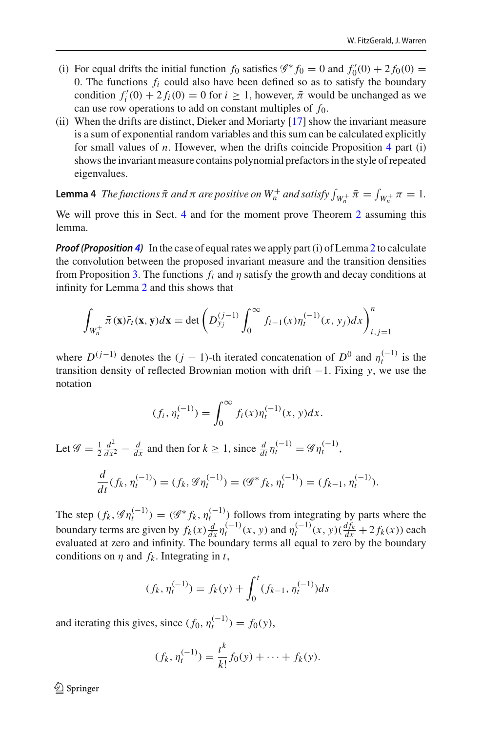- (i) For equal drifts the initial function  $f_0$  satisfies  $\mathscr{G}^* f_0 = 0$  and  $f'_0(0) + 2f_0(0) =$ 0. The functions  $f_i$  could also have been defined so as to satisfy the boundary condition  $f_i'(0) + 2f_i(0) = 0$  for  $i \ge 1$ , however,  $\bar{\pi}$  would be unchanged as we can use row operations to add on constant multiples of *f*0.
- (ii) When the drifts are distinct, Dieker and Moriarty [\[17](#page-50-9)] show the invariant measure is a sum of exponential random variables and this sum can be calculated explicitly for small values of *n*. However, when the drifts coincide Proposition [4](#page-17-1) part (i) shows the invariant measure contains polynomial prefactors in the style of repeated eigenvalues.

<span id="page-18-0"></span>**Lemma 4** *The functions*  $\bar{\pi}$  *and*  $\pi$  *are positive on*  $W_n^+$  *and satisfy*  $\int_{W_n^+} \bar{\pi} = \int_{W_n^+} \pi = 1$ .

We will prove this in Sect. [4](#page-19-0) and for the moment prove Theorem [2](#page-3-3) assuming this lemma.

*Proof (Proposition [4\)](#page-17-1)* In the case of equal rates we apply part (i) of Lemma [2](#page-15-2) to calculate the convolution between the proposed invariant measure and the transition densities from Proposition [3.](#page-12-0) The functions  $f_i$  and  $\eta$  satisfy the growth and decay conditions at infinity for Lemma [2](#page-15-2) and this shows that

$$
\int_{W_n^+} \bar{\pi}(\mathbf{x}) \bar{r}_t(\mathbf{x}, \mathbf{y}) d\mathbf{x} = \det \left( D_{y_j}^{(j-1)} \int_0^\infty f_{i-1}(x) \eta_t^{(-1)}(x, y_j) dx \right)_{i,j=1}^n
$$

where  $D^{(j-1)}$  denotes the  $(j-1)$ -th iterated concatenation of  $D^0$  and  $\eta_t^{(-1)}$  is the transition density of reflected Brownian motion with drift −1. Fixing *y*, we use the notation

$$
(f_i, \eta_t^{(-1)}) = \int_0^\infty f_i(x) \eta_t^{(-1)}(x, y) dx.
$$

Let  $\mathscr{G} = \frac{1}{2} \frac{d^2}{dx^2} - \frac{d}{dx}$  and then for  $k \ge 1$ , since  $\frac{d}{dt} \eta_t^{(-1)} = \mathscr{G} \eta_t^{(-1)}$ , *d*

$$
\frac{d}{dt}(f_k, \eta_t^{(-1)}) = (f_k, \mathcal{G}\eta_t^{(-1)}) = (\mathcal{G}^*f_k, \eta_t^{(-1)}) = (f_{k-1}, \eta_t^{(-1)}).
$$

The step  $(f_k, \mathcal{G}\eta_t^{(-1)}) = (\mathcal{G}^* f_k, \eta_t^{(-1)})$  follows from integrating by parts where the boundary terms are given by  $f_k(x) \frac{d}{dx} \eta_t^{(-1)}(x, y)$  and  $\eta_t^{(-1)}(x, y) \left(\frac{df_k}{dx} + 2f_k(x)\right)$  each evaluated at zero and infinity. The boundary terms all equal to zero by the boundary conditions on  $\eta$  and  $f_k$ . Integrating in  $t$ ,

$$
(f_k, \eta_t^{(-1)}) = f_k(y) + \int_0^t (f_{k-1}, \eta_t^{(-1)}) ds
$$

and iterating this gives, since  $(f_0, \eta_t^{(-1)}) = f_0(y)$ ,

$$
(f_k, \eta_t^{(-1)}) = \frac{t^k}{k!} f_0(y) + \dots + f_k(y).
$$

 $\textcircled{2}$  Springer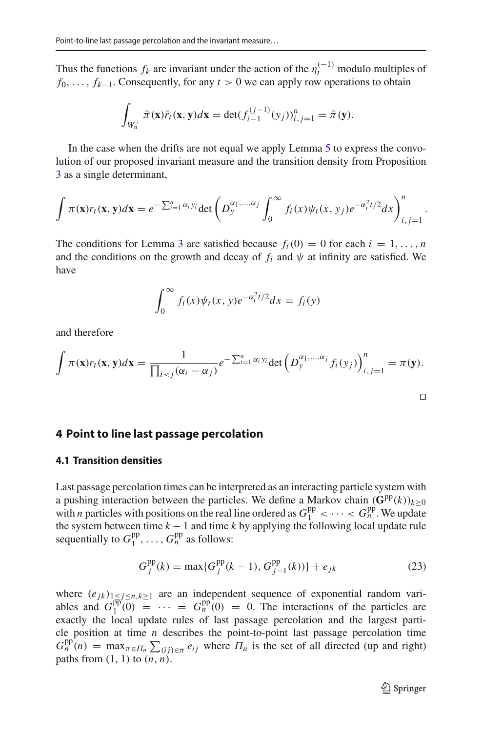Thus the functions  $f_k$  are invariant under the action of the  $\eta_t^{(-1)}$  modulo multiples of *f*<sub>0</sub>, ..., *f<sub>k−1</sub>*. Consequently, for any *t* > 0 we can apply row operations to obtain

$$
\int_{W_n^+} \bar{\pi}(\mathbf{x}) \bar{r}_t(\mathbf{x}, \mathbf{y}) d\mathbf{x} = \det(f_{i-1}^{(j-1)}(y_j))_{i,j=1}^n = \bar{\pi}(\mathbf{y}).
$$

In the case when the drifts are not equal we apply Lemma [5](#page-21-0) to express the convolution of our proposed invariant measure and the transition density from Proposition [3](#page-12-0) as a single determinant,

$$
\int \pi(\mathbf{x})r_t(\mathbf{x}, \mathbf{y})d\mathbf{x} = e^{-\sum_{i=1}^n \alpha_i y_i} \det \left( D_y^{\alpha_1, \dots, \alpha_j} \int_0^\infty f_i(x) \psi_t(x, y_j) e^{-\alpha_i^2 t/2} dx \right)_{i,j=1}^n
$$

The conditions for Lemma [3](#page-12-0) are satisfied because  $f_i(0) = 0$  for each  $i = 1, \ldots, n$ and the conditions on the growth and decay of  $f_i$  and  $\psi$  at infinity are satisfied. We have

$$
\int_0^\infty f_i(x)\psi_t(x,y)e^{-\alpha_i^2t/2}dx = f_i(y)
$$

and therefore

$$
\int \pi(\mathbf{x})r_t(\mathbf{x}, \mathbf{y})d\mathbf{x} = \frac{1}{\prod_{i < j} (\alpha_i - \alpha_j)} e^{-\sum_{i=1}^n \alpha_i y_i} \det \left( D_{\mathbf{y}}^{\alpha_1, \dots, \alpha_j} f_i(\mathbf{y}_j) \right)_{i,j=1}^n = \pi(\mathbf{y}).
$$

#### <span id="page-19-0"></span>**4 Point to line last passage percolation**

#### **4.1 Transition densities**

Last passage percolation times can be interpreted as an interacting particle system with a pushing interaction between the particles. We define a Markov chain  $(\mathbf{G}^{pp}(k))_{k>0}$ with *n* particles with positions on the real line ordered as  $G_1^{pp} < \cdots < G_n^{pp}$ . We update the system between time  $k - 1$  and time  $k$  by applying the following local update rule sequentially to  $G_1^{\text{pp}}$ , ...,  $G_n^{\text{pp}}$  as follows:

<span id="page-19-1"></span>
$$
G_j^{pp}(k) = \max\{G_j^{pp}(k-1), G_{j-1}^{pp}(k))\} + e_{jk}
$$
\n(23)

where  $(e_{jk})_{1 \leq j \leq n, k \geq 1}$  are an independent sequence of exponential random variables and  $G_1^{pp}(0) = \cdots = G_n^{pp}(0) = 0$ . The interactions of the particles are exactly the local update rules of last passage percolation and the largest particle position at time *n* describes the point-to-point last passage percolation time  $G_n^{\text{pp}}(n) = \max_{\pi \in \Pi_n} \sum_{(ij) \in \pi} e_{ij}$  where  $\Pi_n$  is the set of all directed (up and right) paths from  $(1, 1)$  to  $(n, n)$ .

.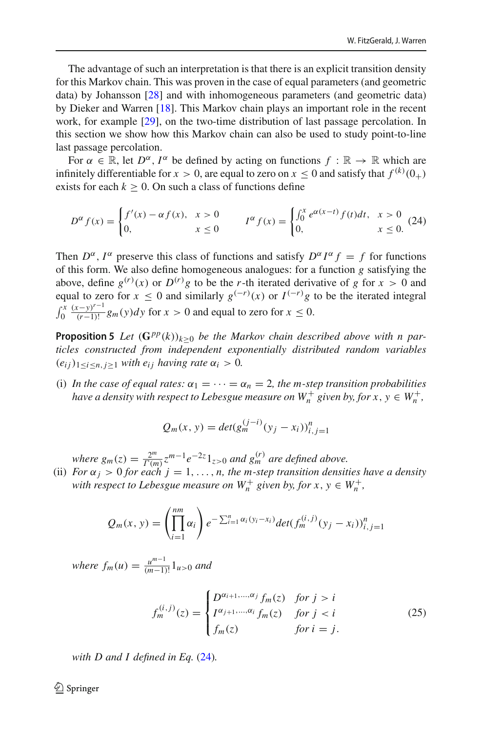The advantage of such an interpretation is that there is an explicit transition density for this Markov chain. This was proven in the case of equal parameters (and geometric data) by Johansson [\[28\]](#page-50-21) and with inhomogeneous parameters (and geometric data) by Dieker and Warren [\[18](#page-50-22)]. This Markov chain plays an important role in the recent work, for example [\[29\]](#page-50-23), on the two-time distribution of last passage percolation. In this section we show how this Markov chain can also be used to study point-to-line last passage percolation.

For  $\alpha \in \mathbb{R}$ , let  $D^{\alpha}$ ,  $I^{\alpha}$  be defined by acting on functions  $f : \mathbb{R} \to \mathbb{R}$  which are infinitely differentiable for  $x > 0$ , are equal to zero on  $x \le 0$  and satisfy that  $f^{(k)}(0_+)$ exists for each  $k \geq 0$ . On such a class of functions define

<span id="page-20-0"></span>
$$
D^{\alpha} f(x) = \begin{cases} f'(x) - \alpha f(x), & x > 0 \\ 0, & x \le 0 \end{cases} \qquad I^{\alpha} f(x) = \begin{cases} \int_0^x e^{\alpha(x-t)} f(t) dt, & x > 0 \\ 0, & x \le 0. \end{cases}
$$
 (24)

Then  $D^{\alpha}$ ,  $I^{\alpha}$  preserve this class of functions and satisfy  $D^{\alpha}I^{\alpha}f = f$  for functions of this form. We also define homogeneous analogues: for a function *g* satisfying the above, define  $g^{(r)}(x)$  or  $D^{(r)}g$  to be the *r*-th iterated derivative of *g* for  $x > 0$  and equal to zero for  $x \le 0$  and similarly  $g^{(-r)}(x)$  or  $I^{(-r)}g$  to be the iterated integral  $\int_0^x \frac{(x-y)^{r-1}}{(r-1)!} g_m(y) dy$  for  $x > 0$  and equal to zero for  $x \le 0$ .

<span id="page-20-2"></span>**Proposition 5** *Let*  $(\mathbf{G}^{pp}(k))_{k>0}$  *be the Markov chain described above with n particles constructed from independent exponentially distributed random variables*  $(e_{ij})_{1 \le i \le n, j \ge 1}$  *with*  $e_{ij}$  *having rate*  $\alpha_i > 0$ *.* 

(i) In the case of equal rates:  $\alpha_1 = \cdots = \alpha_n = 2$ , the m-step transition probabilities *have a density with respect to Lebesgue measure on*  $W_n^+$  *given by, for*  $x, y \in W_n^+$ *,* 

$$
Q_m(x, y) = det(g_m^{(j-i)}(y_j - x_i))_{i,j=1}^n
$$

*where*  $g_m(z) = \frac{2^m}{\Gamma(m)} z^{m-1} e^{-2z} 1_{z>0}$  *and*  $g_m^{(r)}$  *are defined above.* 

(ii) *For*  $\alpha_j > 0$  *for each*  $j = 1, \ldots, n$ , *the m-step transition densities have a density with respect to Lebesgue measure on*  $W_n^+$  *given by, for*  $x, y \in W_n^+$ ,

$$
Q_m(x, y) = \left(\prod_{i=1}^{nm} \alpha_i\right) e^{-\sum_{i=1}^{n} \alpha_i (y_i - x_i)} det(f_m^{(i,j)}(y_j - x_i))_{i,j=1}^n
$$

*where*  $f_m(u) = \frac{u^{m-1}}{(m-1)!} 1_{u>0}$  *and* 

<span id="page-20-1"></span>
$$
f_m^{(i,j)}(z) = \begin{cases} D^{\alpha_{i+1},\dots,\alpha_j} f_m(z) & \text{for } j > i \\ I^{\alpha_{j+1},\dots,\alpha_i} f_m(z) & \text{for } j < i \\ f_m(z) & \text{for } i = j. \end{cases}
$$
 (25)

*with D and I defined in Eq.* [\(24\)](#page-20-0)*.*

 $\bigcirc$  Springer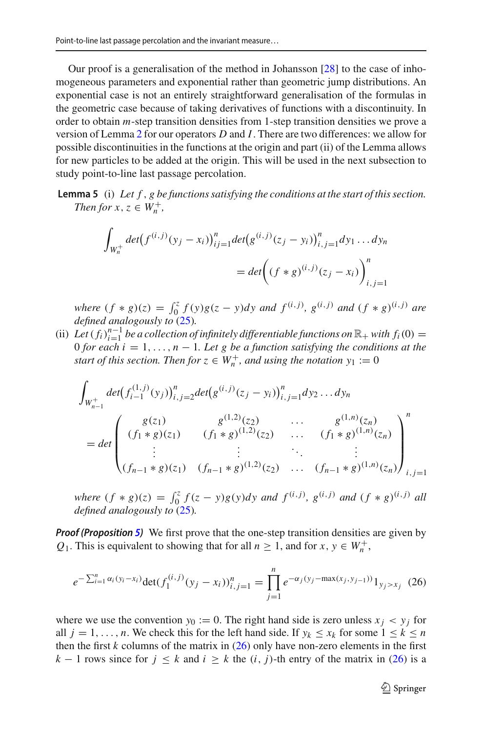Our proof is a generalisation of the method in Johansson [\[28](#page-50-21)] to the case of inhomogeneous parameters and exponential rather than geometric jump distributions. An exponential case is not an entirely straightforward generalisation of the formulas in the geometric case because of taking derivatives of functions with a discontinuity. In order to obtain *m*-step transition densities from 1-step transition densities we prove a version of Lemma [2](#page-15-2) for our operators *D* and *I*. There are two differences: we allow for possible discontinuities in the functions at the origin and part (ii) of the Lemma allows for new particles to be added at the origin. This will be used in the next subsection to study point-to-line last passage percolation.

**Lemma 5** (i) *Let f* , *g be functions satisfying the conditions at the start of this section. Then for*  $x, z \in W_n^+$ ,

<span id="page-21-0"></span>
$$
\int_{W_n^+} \det(f^{(i,j)}(y_j - x_i))_{ij=1}^n \det(g^{(i,j)}(z_j - y_i))_{i,j=1}^n dy_1 \dots dy_n
$$
  
= 
$$
\det\left((f * g)^{(i,j)}(z_j - x_i)\right)_{i,j=1}^n
$$

where  $(f * g)(z) = \int_0^z f(y)g(z - y)dy$  and  $f^{(i,j)}$ ,  $g^{(i,j)}$  and  $(f * g)^{(i,j)}$  are *defined analogously to* [\(25\)](#page-20-1)*.*

(ii) Let  $(f_i)_{i=1}^{n-1}$  *be a collection of infinitely differentiable functions on*  $\mathbb{R}_+$  *with*  $f_i(0) = 0$  *s* 0 *for each i* = 1, ...,  $n - 1$ *. Let g be a function satisfying the conditions at the start of this section. Then for*  $z \in W_n^+$ *, and using the notation*  $y_1 := 0$ 

$$
\int_{W_{n-1}^{+}} \det(f_{i-1}^{(1,j)}(y_j))_{i,j=2}^{n} \det(g^{(i,j)}(z_j - y_i))_{i,j=1}^{n} dy_2 \dots dy_n
$$
\n
$$
= \det \begin{pmatrix} g(z_1) & g^{(1,2)}(z_2) & \dots & g^{(1,n)}(z_n) \\ (f_1 * g)(z_1) & (f_1 * g)^{(1,2)}(z_2) & \dots & (f_1 * g)^{(1,n)}(z_n) \\ \vdots & \vdots & \ddots & \vdots \\ (f_{n-1} * g)(z_1) & (f_{n-1} * g)^{(1,2)}(z_2) & \dots & (f_{n-1} * g)^{(1,n)}(z_n) \end{pmatrix}_{i,j=1}^{n}
$$

where  $(f * g)(z) = \int_0^z f(z - y)g(y)dy$  and  $f^{(i,j)}$ ,  $g^{(i,j)}$  and  $(f * g)^{(i,j)}$  all *defined analogously to* [\(25\)](#page-20-1)*.*

*Proof (Proposition [5\)](#page-20-2)* We first prove that the one-step transition densities are given by *Q*<sub>1</sub>. This is equivalent to showing that for all  $n \ge 1$ , and for  $x, y \in W_n^+$ ,

<span id="page-21-1"></span>
$$
e^{-\sum_{i=1}^{n} \alpha_i (y_i - x_i)} \det(f_1^{(i,j)}(y_j - x_i))_{i,j=1}^n = \prod_{j=1}^n e^{-\alpha_j (y_j - \max(x_j, y_{j-1}))} 1_{y_j > x_j}
$$
(26)

where we use the convention  $y_0 := 0$ . The right hand side is zero unless  $x_i \leq y_i$  for all  $j = 1, \ldots, n$ . We check this for the left hand side. If  $y_k \le x_k$  for some  $1 \le k \le n$ then the first  $k$  columns of the matrix in  $(26)$  only have non-zero elements in the first *k* − 1 rows since for  $j \le k$  and  $i \ge k$  the  $(i, j)$ -th entry of the matrix in [\(26\)](#page-21-1) is a

<sup>2</sup> Springer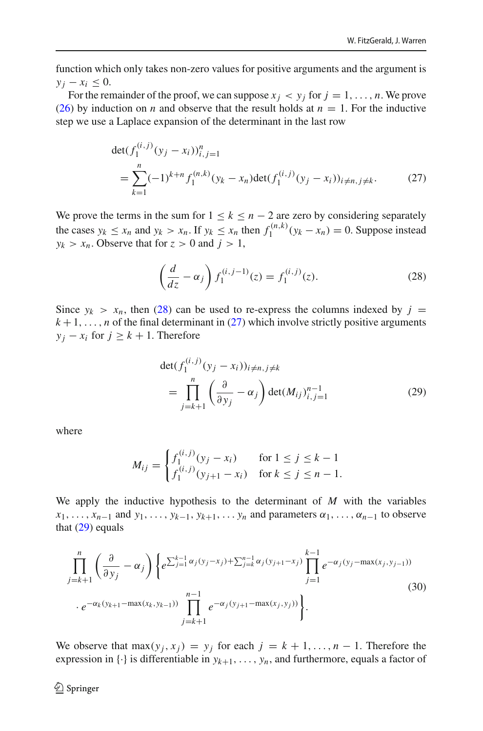function which only takes non-zero values for positive arguments and the argument is  $y_i - x_i \leq 0$ .

For the remainder of the proof, we can suppose  $x_i < y_i$  for  $j = 1, \ldots, n$ . We prove [\(26\)](#page-21-1) by induction on *n* and observe that the result holds at  $n = 1$ . For the inductive step we use a Laplace expansion of the determinant in the last row

<span id="page-22-1"></span>
$$
\det(f_1^{(i,j)}(y_j - x_i))_{i,j=1}^n
$$
  
= 
$$
\sum_{k=1}^n (-1)^{k+n} f_1^{(n,k)}(y_k - x_n) \det(f_1^{(i,j)}(y_j - x_i))_{i \neq n, j \neq k}.
$$
 (27)

We prove the terms in the sum for  $1 \leq k \leq n-2$  are zero by considering separately the cases  $y_k \le x_n$  and  $y_k > x_n$ . If  $y_k \le x_n$  then  $f_1^{(n,k)}(y_k - x_n) = 0$ . Suppose instead  $y_k > x_n$ . Observe that for  $z > 0$  and  $j > 1$ ,

<span id="page-22-0"></span>
$$
\left(\frac{d}{dz} - \alpha_j\right) f_1^{(i,j-1)}(z) = f_1^{(i,j)}(z). \tag{28}
$$

Since  $y_k > x_n$ , then [\(28\)](#page-22-0) can be used to re-express the columns indexed by  $j =$  $k+1, \ldots, n$  of the final determinant in [\(27\)](#page-22-1) which involve strictly positive arguments  $y_i - x_i$  for  $j \geq k + 1$ . Therefore

<span id="page-22-2"></span>
$$
\det(f_1^{(i,j)}(y_j - x_i))_{i \neq n, j \neq k} \n= \prod_{j=k+1}^n \left( \frac{\partial}{\partial y_j} - \alpha_j \right) \det(M_{ij})_{i,j=1}^{n-1}
$$
\n(29)

where

$$
M_{ij} = \begin{cases} f_1^{(i,j)}(y_j - x_i) & \text{for } 1 \le j \le k - 1\\ f_1^{(i,j)}(y_{j+1} - x_i) & \text{for } k \le j \le n - 1. \end{cases}
$$

We apply the inductive hypothesis to the determinant of *M* with the variables  $x_1, \ldots, x_{n-1}$  and  $y_1, \ldots, y_{k-1}, y_{k+1}, \ldots, y_n$  and parameters  $\alpha_1, \ldots, \alpha_{n-1}$  to observe that  $(29)$  equals

<span id="page-22-3"></span>
$$
\prod_{j=k+1}^{n} \left( \frac{\partial}{\partial y_j} - \alpha_j \right) \left\{ e^{\sum_{j=1}^{k-1} \alpha_j (y_j - x_j) + \sum_{j=k}^{n-1} \alpha_j (y_{j+1} - x_j)} \prod_{j=1}^{k-1} e^{-\alpha_j (y_j - \max(x_j, y_{j-1}))} \right. \\
\left. \cdot e^{-\alpha_k (y_{k+1} - \max(x_k, y_{k-1}))} \prod_{j=k+1}^{n-1} e^{-\alpha_j (y_{j+1} - \max(x_j, y_j))} \right\}.
$$
\n(30)

We observe that  $max(y_i, x_j) = y_j$  for each  $j = k + 1, ..., n - 1$ . Therefore the expression in  $\{\cdot\}$  is differentiable in  $y_{k+1}, \ldots, y_n$ , and furthermore, equals a factor of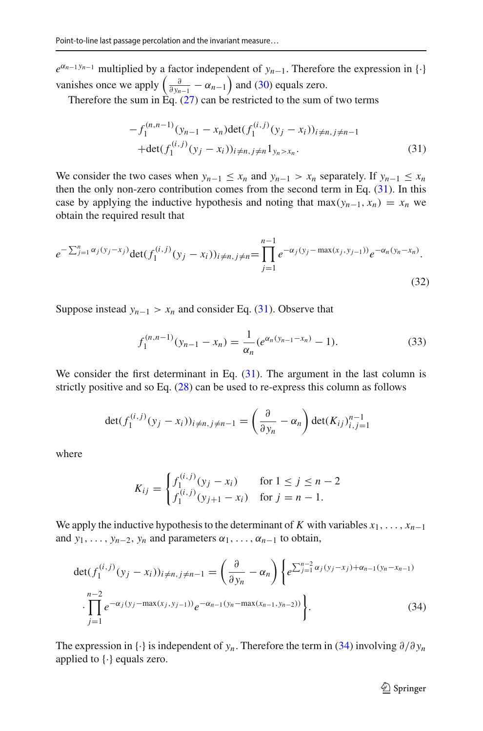$e^{\alpha_{n-1}y_{n-1}}$  multiplied by a factor independent of *y<sub>n−1</sub>*. Therefore the expression in {·} vanishes once we apply  $\left(\frac{\partial}{\partial y_{n-1}} - \alpha_{n-1}\right)$  and [\(30\)](#page-22-3) equals zero.

Therefore the sum in Eq.  $(27)$  can be restricted to the sum of two terms

<span id="page-23-0"></span>
$$
-f_1^{(n,n-1)}(y_{n-1} - x_n) \det(f_1^{(i,j)}(y_j - x_i))_{i \neq n, j \neq n-1}
$$
  
+
$$
\det(f_1^{(i,j)}(y_j - x_i))_{i \neq n, j \neq n} 1_{y_n > x_n}.
$$
 (31)

We consider the two cases when  $y_{n-1} \le x_n$  and  $y_{n-1} > x_n$  separately. If  $y_{n-1} \le x_n$ then the only non-zero contribution comes from the second term in Eq. [\(31\)](#page-23-0). In this case by applying the inductive hypothesis and noting that max $(y_{n-1}, x_n) = x_n$  we obtain the required result that

<span id="page-23-3"></span>
$$
e^{-\sum_{j=1}^{n} \alpha_j (y_j - x_j)} \det(f_1^{(i,j)}(y_j - x_i))_{i \neq n, j \neq n} = \prod_{j=1}^{n-1} e^{-\alpha_j (y_j - \max(x_j, y_{j-1}))} e^{-\alpha_n (y_n - x_n)}.
$$
\n(32)

Suppose instead  $y_{n-1} > x_n$  and consider Eq. [\(31\)](#page-23-0). Observe that

<span id="page-23-2"></span>
$$
f_1^{(n,n-1)}(y_{n-1}-x_n)=\frac{1}{\alpha_n}(e^{\alpha_n(y_{n-1}-x_n)}-1).
$$
 (33)

We consider the first determinant in Eq.  $(31)$ . The argument in the last column is strictly positive and so Eq.  $(28)$  can be used to re-express this column as follows

$$
\det(f_1^{(i,j)}(y_j - x_i))_{i \neq n, j \neq n-1} = \left(\frac{\partial}{\partial y_n} - \alpha_n\right) \det(K_{ij})_{i,j=1}^{n-1}
$$

where

$$
K_{ij} = \begin{cases} f_1^{(i,j)}(y_j - x_i) & \text{for } 1 \le j \le n - 2\\ f_1^{(i,j)}(y_{j+1} - x_i) & \text{for } j = n - 1. \end{cases}
$$

We apply the inductive hypothesis to the determinant of *K* with variables  $x_1, \ldots, x_{n-1}$ and  $y_1, \ldots, y_{n-2}, y_n$  and parameters  $\alpha_1, \ldots, \alpha_{n-1}$  to obtain,

<span id="page-23-1"></span>
$$
\det(f_1^{(i,j)}(y_j - x_i))_{i \neq n, j \neq n-1} = \left(\frac{\partial}{\partial y_n} - \alpha_n\right) \left\{ e^{\sum_{j=1}^{n-2} \alpha_j (y_j - x_j) + \alpha_{n-1} (y_n - x_{n-1})} \cdot \prod_{j=1}^{n-2} e^{-\alpha_j (y_j - \max(x_j, y_{j-1}))} e^{-\alpha_{n-1} (y_n - \max(x_{n-1}, y_{n-2}))} \right\}.
$$
\n(34)

The expression in {·} is independent of *yn*. Therefore the term in [\(34\)](#page-23-1) involving ∂/∂ *yn* applied to  $\{\cdot\}$  equals zero.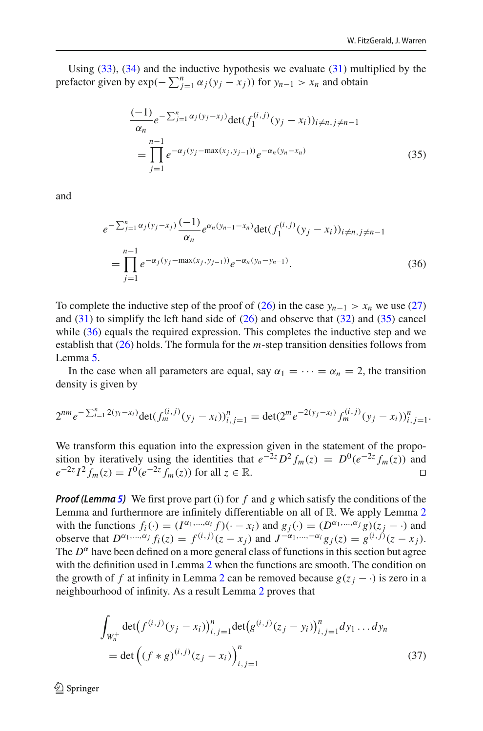Using  $(33)$ ,  $(34)$  and the inductive hypothesis we evaluate  $(31)$  multiplied by the prefactor given by  $\exp(-\sum_{j=1}^{n} \alpha_j(y_j - x_j))$  for  $y_{n-1} > x_n$  and obtain

<span id="page-24-0"></span>
$$
\frac{(-1)}{\alpha_n} e^{-\sum_{j=1}^n \alpha_j (y_j - x_j)} \det(f_1^{(i,j)}(y_j - x_i))_{i \neq n, j \neq n-1}
$$
\n
$$
= \prod_{j=1}^{n-1} e^{-\alpha_j (y_j - \max(x_j, y_{j-1}))} e^{-\alpha_n (y_n - x_n)}
$$
\n(35)

and

<span id="page-24-1"></span>
$$
e^{-\sum_{j=1}^{n} \alpha_j (y_j - x_j)} \frac{(-1)}{\alpha_n} e^{\alpha_n (y_{n-1} - x_n)} \det(f_1^{(i,j)}(y_j - x_i))_{i \neq n, j \neq n-1}
$$
  
= 
$$
\prod_{j=1}^{n-1} e^{-\alpha_j (y_j - \max(x_j, y_{j-1}))} e^{-\alpha_n (y_n - y_{n-1})}.
$$
 (36)

To complete the inductive step of the proof of [\(26\)](#page-21-1) in the case  $y_{n-1} > x_n$  we use [\(27\)](#page-22-1) and  $(31)$  to simplify the left hand side of  $(26)$  and observe that  $(32)$  and  $(35)$  cancel while [\(36\)](#page-24-1) equals the required expression. This completes the inductive step and we establish that [\(26\)](#page-21-1) holds. The formula for the *m*-step transition densities follows from Lemma [5.](#page-21-0)

In the case when all parameters are equal, say  $\alpha_1 = \cdots = \alpha_n = 2$ , the transition density is given by

$$
2^{nm}e^{-\sum_{i=1}^{n}2(y_i-x_i)}\det(f_m^{(i,j)}(y_j-x_i))_{i,j=1}^n=\det(2^me^{-2(y_j-x_i)}f_m^{(i,j)}(y_j-x_i))_{i,j=1}^n.
$$

We transform this equation into the expression given in the statement of the proposition by iteratively using the identities that  $e^{-2z}D^2 f_m(z) = D^0(e^{-2z} f_m(z))$  and  $e^{-2z}I^2 f_m(z) = I^0(e^{-2z} f_m(z))$  for all  $z \in \mathbb{R}$ .  $e^{-2z} I^2 f_m(z) = I^0(e^{-2z} f_m(z))$  for all  $z \in \mathbb{R}$ .

*Proof (Lemma [5\)](#page-21-0)* We first prove part (i) for *f* and *g* which satisfy the conditions of the Lemma and furthermore are infinitely differentiable on all of  $\mathbb{R}$ . We apply Lemma [2](#page-15-2) with the functions  $f_i(\cdot) = (I^{\alpha_1, ..., \alpha_i} f)(\cdot - x_i)$  and  $g_j(\cdot) = (D^{\alpha_1, ..., \alpha_j} g)(z_j - \cdot)$  and observe that  $D^{\alpha_1,...,\alpha_j} f_i(z) = f^{(i,j)}(z - x_j)$  and  $J^{-\alpha_1,...,-\alpha_i} g_j(z) = g^{(i,j)}(z - x_j)$ . The  $D^{\alpha}$  have been defined on a more general class of functions in this section but agree with the definition used in Lemma [2](#page-15-2) when the functions are smooth. The condition on the growth of *f* at infinity in Lemma [2](#page-15-2) can be removed because  $g(z_i - \cdot)$  is zero in a neighbourhood of infinity. As a result Lemma [2](#page-15-2) proves that

<span id="page-24-2"></span>
$$
\int_{W_n^+} \det(f^{(i,j)}(y_j - x_i))_{i,j=1}^n \det(g^{(i,j)}(z_j - y_i))_{i,j=1}^n dy_1 \dots dy_n
$$
\n
$$
= \det \left( (f * g)^{(i,j)}(z_j - x_i) \right)_{i,j=1}^n \tag{37}
$$

 $\textcircled{2}$  Springer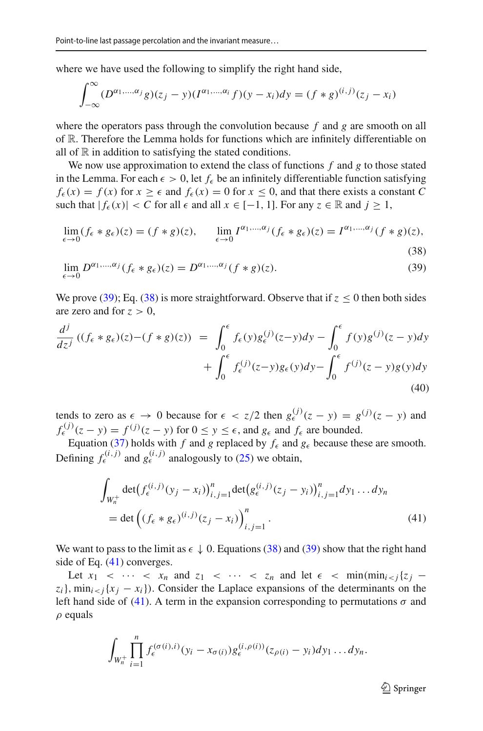where we have used the following to simplify the right hand side,

$$
\int_{-\infty}^{\infty} (D^{\alpha_1,\dots,\alpha_j}g)(z_j - y)(I^{\alpha_1,\dots,\alpha_i}f)(y - x_i)dy = (f * g)^{(i,j)}(z_j - x_i)
$$

where the operators pass through the convolution because *f* and *g* are smooth on all of R. Therefore the Lemma holds for functions which are infinitely differentiable on all of  $\mathbb R$  in addition to satisfying the stated conditions.

We now use approximation to extend the class of functions *f* and *g* to those stated in the Lemma. For each  $\epsilon > 0$ , let  $f_{\epsilon}$  be an infinitely differentiable function satisfying  $f_{\epsilon}(x) = f(x)$  for  $x > \epsilon$  and  $f_{\epsilon}(x) = 0$  for  $x < 0$ , and that there exists a constant *C* such that  $|f_{\epsilon}(x)| < C$  for all  $\epsilon$  and all  $x \in [-1, 1]$ . For any  $z \in \mathbb{R}$  and  $j \ge 1$ ,

<span id="page-25-0"></span>
$$
\lim_{\epsilon \to 0} (f_{\epsilon} * g_{\epsilon})(z) = (f * g)(z), \qquad \lim_{\epsilon \to 0} I^{\alpha_1, \dots, \alpha_j} (f_{\epsilon} * g_{\epsilon})(z) = I^{\alpha_1, \dots, \alpha_j} (f * g)(z),
$$
\n(38)

$$
\lim_{\epsilon \to 0} D^{\alpha_1, \dots, \alpha_j} (f_{\epsilon} * g_{\epsilon})(z) = D^{\alpha_1, \dots, \alpha_j} (f * g)(z). \tag{39}
$$

We prove [\(39\)](#page-25-0); Eq. [\(38\)](#page-25-0) is more straightforward. Observe that if  $z \le 0$  then both sides are zero and for  $z > 0$ ,

$$
\frac{d^j}{dz^j} \left( (f_\epsilon * g_\epsilon)(z) - (f * g)(z) \right) = \int_0^\epsilon f_\epsilon(y) g_\epsilon^{(j)}(z - y) dy - \int_0^\epsilon f(y) g^{(j)}(z - y) dy \n+ \int_0^\epsilon f_\epsilon^{(j)}(z - y) g_\epsilon(y) dy - \int_0^\epsilon f^{(j)}(z - y) g(y) dy
$$
\n(40)

tends to zero as  $\epsilon \to 0$  because for  $\epsilon < z/2$  then  $g_{\epsilon}^{(j)}(z - y) = g^{(j)}(z - y)$  and  $f_{\epsilon}^{(j)}(z - y) = f^{(j)}(z - y)$  for  $0 \le y \le \epsilon$ , and  $g_{\epsilon}$  and  $f_{\epsilon}$  are bounded.

Equation [\(37\)](#page-24-2) holds with *f* and *g* replaced by  $f_{\epsilon}$  and  $g_{\epsilon}$  because these are smooth. Defining  $f_{\epsilon}^{(i,j)}$  and  $g_{\epsilon}^{(i,j)}$  analogously to [\(25\)](#page-20-1) we obtain,

<span id="page-25-1"></span>
$$
\int_{W_n^+} \det(f_{\epsilon}^{(i,j)}(y_j - x_i))_{i,j=1}^n \det(g_{\epsilon}^{(i,j)}(z_j - y_i))_{i,j=1}^n dy_1 \dots dy_n
$$
\n
$$
= \det \left( (f_{\epsilon} * g_{\epsilon})^{(i,j)}(z_j - x_i) \right)_{i,j=1}^n.
$$
\n(41)

We want to pass to the limit as  $\epsilon \downarrow 0$ . Equations [\(38\)](#page-25-0) and [\(39\)](#page-25-0) show that the right hand side of Eq. [\(41\)](#page-25-1) converges.

Let  $x_1$  < ··· <  $x_n$  and  $z_1$  < ··· <  $z_n$  and let  $\epsilon$  < min $(\min_{i \leq i} \{z_i$  –  $z_i$ }, min<sub>*i*<*j*</sub> $\{x_j - x_i\}$ ). Consider the Laplace expansions of the determinants on the left hand side of [\(41\)](#page-25-1). A term in the expansion corresponding to permutations  $\sigma$  and  $\rho$  equals

$$
\int_{W_n^+}\prod_{i=1}^n f_{\epsilon}^{(\sigma(i),i)}(y_i-x_{\sigma(i)})g_{\epsilon}^{(i,\rho(i))}(z_{\rho(i)}-y_i)dy_1\dots dy_n.
$$

 $\mathcal{D}$  Springer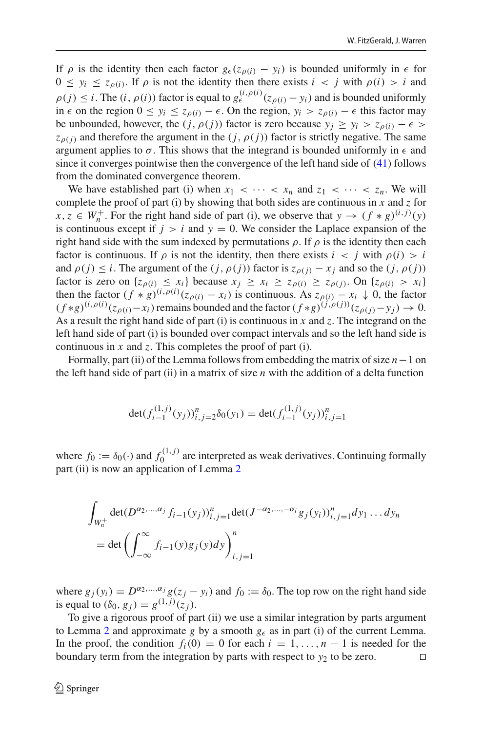If  $\rho$  is the identity then each factor  $g_{\epsilon}(z_{\rho(i)} - y_i)$  is bounded uniformly in  $\epsilon$  for  $0 \leq y_i \leq z_{\rho(i)}$ . If  $\rho$  is not the identity then there exists  $i < j$  with  $\rho(i) > i$  and  $\rho(j) \leq i$ . The  $(i, \rho(i))$  factor is equal to  $g_{\epsilon}^{(i), \rho(i)}(z_{\rho(i)} - y_i)$  and is bounded uniformly in  $\epsilon$  on the region  $0 \le y_i \le z_{\rho(i)} - \epsilon$ . On the region,  $y_i > z_{\rho(i)} - \epsilon$  this factor may be unbounded, however, the  $(j, \rho(j))$  factor is zero because  $y_i \ge y_i > z_{\rho(i)} - \epsilon >$  $z_{\rho(i)}$  and therefore the argument in the  $(j, \rho(j))$  factor is strictly negative. The same argument applies to  $\sigma$ . This shows that the integrand is bounded uniformly in  $\epsilon$  and since it converges pointwise then the convergence of the left hand side of [\(41\)](#page-25-1) follows from the dominated convergence theorem.

We have established part (i) when  $x_1 < \cdots < x_n$  and  $z_1 < \cdots < z_n$ . We will complete the proof of part (i) by showing that both sides are continuous in *x* and *z* for  $x, z \in W_n^+$ . For the right hand side of part (i), we observe that  $y \to (f * g)^{(i,j)}(y)$ is continuous except if  $j > i$  and  $y = 0$ . We consider the Laplace expansion of the right hand side with the sum indexed by permutations  $\rho$ . If  $\rho$  is the identity then each factor is continuous. If  $\rho$  is not the identity, then there exists  $i < j$  with  $\rho(i) > i$ and  $\rho(j) \leq i$ . The argument of the  $(j, \rho(j))$  factor is  $z_{\rho(i)} - x_j$  and so the  $(j, \rho(j))$ factor is zero on  $\{z_{\rho(i)} \leq x_i\}$  because  $x_i \geq x_i \geq z_{\rho(i)} \geq z_{\rho(j)}$ . On  $\{z_{\rho(i)} > x_i\}$ then the factor  $(f * g)^{(i,\rho(i))}(z_{\rho(i)} - x_i)$  is continuous. As  $z_{\rho(i)} - x_i \downarrow 0$ , the factor  $(f * g)^{(i, \rho(i))}(z_{\rho(i)} - x_i)$  remains bounded and the factor  $(f * g)^{(j, \rho(j))}(z_{\rho(j)} - y_j) \to 0$ . As a result the right hand side of part (i) is continuous in *x* and *z*. The integrand on the left hand side of part (i) is bounded over compact intervals and so the left hand side is continuous in *x* and *z*. This completes the proof of part (i).

Formally, part (ii) of the Lemma follows from embedding the matrix of size *n*−1 on the left hand side of part (ii) in a matrix of size *n* with the addition of a delta function

$$
\det(f_{i-1}^{(1,j)}(y_j))_{i,j=2}^n \delta_0(y_1) = \det(f_{i-1}^{(1,j)}(y_j))_{i,j=1}^n
$$

where  $f_0 := \delta_0(\cdot)$  and  $f_0^{(1,j)}$  are interpreted as weak derivatives. Continuing formally part (ii) is now an application of Lemma [2](#page-15-2)

$$
\int_{W_n^+} \det(D^{\alpha_2,\dots,\alpha_j} f_{i-1}(y_j))_{i,j=1}^n \det(J^{-\alpha_2,\dots,-\alpha_i} g_j(y_i))_{i,j=1}^n dy_1 \dots dy_n
$$
  
= det  $\left( \int_{-\infty}^{\infty} f_{i-1}(y) g_j(y) dy \right)_{i,j=1}^n$ 

where  $g_i(y_i) = D^{\alpha_2,...,\alpha_j} g(z_i - y_i)$  and  $f_0 := \delta_0$ . The top row on the right hand side is equal to  $(\delta_0, g_j) = g^{(1,j)}(z_j)$ .

To give a rigorous proof of part (ii) we use a similar integration by parts argument to Lemma [2](#page-15-2) and approximate *g* by a smooth  $g_{\epsilon}$  as in part (i) of the current Lemma. In the proof, the condition  $f_i(0) = 0$  for each  $i = 1, ..., n - 1$  is needed for the boundary term from the integration by parts with respect to  $y_2$  to be zero. □ boundary term from the integration by parts with respect to  $y_2$  to be zero.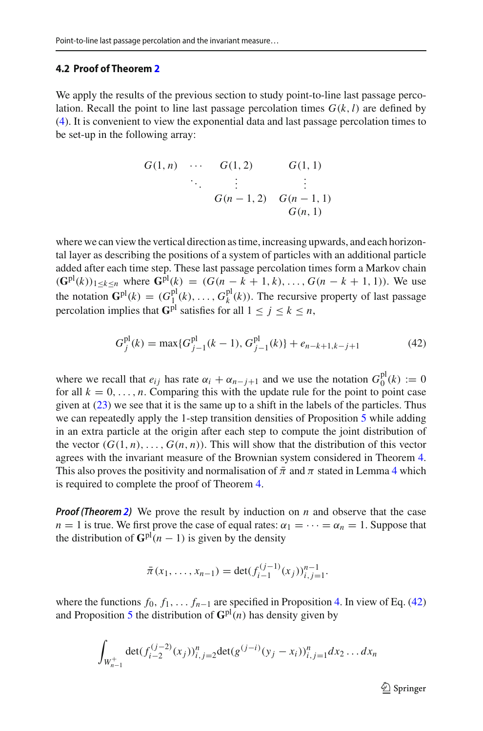#### **4.2 Proof of Theorem [2](#page-3-3)**

We apply the results of the previous section to study point-to-line last passage percolation. Recall the point to line last passage percolation times  $G(k, l)$  are defined by [\(4\)](#page-3-2). It is convenient to view the exponential data and last passage percolation times to be set-up in the following array:

$$
G(1, n) \cdots G(1, 2) \qquad G(1, 1) \n\ddots \qquad \vdots \qquad \vdots \nG(n-1, 2) \qquad G(n-1, 1) \nG(n, 1)
$$

where we can view the vertical direction as time, increasing upwards, and each horizontal layer as describing the positions of a system of particles with an additional particle added after each time step. These last passage percolation times form a Markov chain  $(G^{pl}(k))_{1 \leq k \leq n}$  where  $G^{pl}(k) = (G(n-k+1, k), \ldots, G(n-k+1, 1))$ . We use the notation  $\mathbf{G}^{\text{pl}}(k) = (G_1^{\text{pl}}(k), \dots, G_k^{\text{pl}}(k))$ . The recursive property of last passage percolation implies that  $G<sup>pl</sup>$  satisfies for all  $1 \leq i \leq k \leq n$ ,

<span id="page-27-0"></span>
$$
G_j^{pl}(k) = \max\{G_{j-1}^{pl}(k-1), G_{j-1}^{pl}(k)\} + e_{n-k+1,k-j+1}
$$
(42)

where we recall that  $e_{ij}$  has rate  $\alpha_i + \alpha_{n-j+1}$  and we use the notation  $G_0^{\text{pl}}(k) := 0$ for all  $k = 0, \ldots, n$ . Comparing this with the update rule for the point to point case given at  $(23)$  we see that it is the same up to a shift in the labels of the particles. Thus we can repeatedly apply the 1-step transition densities of Proposition [5](#page-20-2) while adding in an extra particle at the origin after each step to compute the joint distribution of the vector  $(G(1, n), \ldots, G(n, n))$ . This will show that the distribution of this vector agrees with the invariant measure of the Brownian system considered in Theorem [4.](#page-17-1) This also proves the positivity and normalisation of  $\bar{\pi}$  and  $\pi$  stated in Lemma [4](#page-18-0) which is required to complete the proof of Theorem [4.](#page-17-1)

*Proof (Theorem [2\)](#page-3-3)* We prove the result by induction on *n* and observe that the case *n* = 1 is true. We first prove the case of equal rates:  $\alpha_1 = \cdots = \alpha_n = 1$ . Suppose that the distribution of  $\mathbf{G}^{\text{pl}}(n-1)$  is given by the density

$$
\bar{\pi}(x_1,\ldots,x_{n-1})=\det(f_{i-1}^{(j-1)}(x_j))_{i,j=1}^{n-1}.
$$

where the functions  $f_0, f_1, \ldots, f_{n-1}$  are specified in Proposition [4.](#page-17-1) In view of Eq. [\(42\)](#page-27-0) and Proposition [5](#page-20-2) the distribution of  $\mathbf{G}^{\text{pl}}(n)$  has density given by

$$
\int_{W_{n-1}^+} \det(f_{i-2}^{(j-2)}(x_j))_{i,j=2}^n \det(g^{(j-i)}(y_j-x_i))_{i,j=1}^n dx_2 \dots dx_n
$$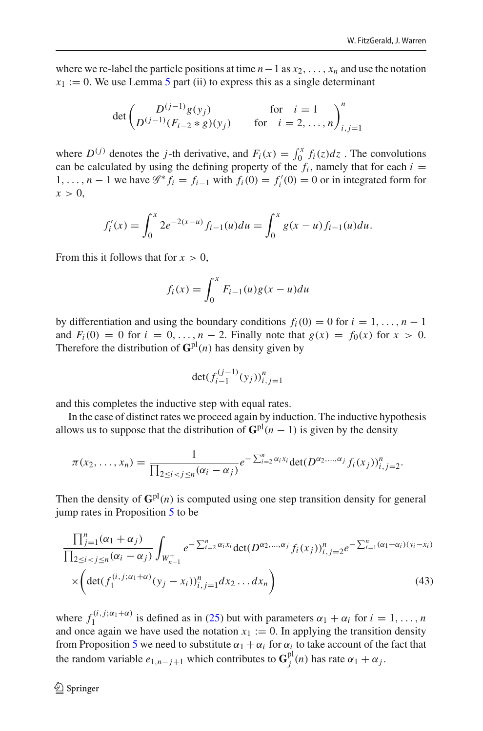where we re-label the particle positions at time  $n-1$  as  $x_2, \ldots, x_n$  and use the notation  $x_1 := 0$ . We use Lemma [5](#page-21-0) part (ii) to express this as a single determinant

$$
\det \begin{pmatrix} D^{(j-1)}g(y_j) & \text{for } i = 1 \\ D^{(j-1)}(F_{i-2} * g)(y_j) & \text{for } i = 2, ..., n \end{pmatrix}_{i,j=1}^n
$$

where  $D^{(j)}$  denotes the *j*-th derivative, and  $F_i(x) = \int_0^x f_i(z) dz$ . The convolutions can be calculated by using the defining property of the  $f_i$ , namely that for each  $i =$ 1,..., *n* − 1 we have  $\mathcal{G}^* f_i = f_{i-1}$  with  $f_i(0) = f'_i(0) = 0$  or in integrated form for  $x > 0$ ,

$$
f_i'(x) = \int_0^x 2e^{-2(x-u)} f_{i-1}(u) du = \int_0^x g(x-u) f_{i-1}(u) du.
$$

From this it follows that for  $x > 0$ ,

$$
f_i(x) = \int_0^x F_{i-1}(u)g(x-u)du
$$

by differentiation and using the boundary conditions  $f_i(0) = 0$  for  $i = 1, \ldots, n - 1$ and  $F_i(0) = 0$  for  $i = 0, ..., n - 2$ . Finally note that  $g(x) = f_0(x)$  for  $x > 0$ . Therefore the distribution of  $\mathbf{G}^{\text{pl}}(n)$  has density given by

$$
\det(f_{i-1}^{(j-1)}(y_j))_{i,j=1}^n
$$

and this completes the inductive step with equal rates.

In the case of distinct rates we proceed again by induction. The inductive hypothesis allows us to suppose that the distribution of  $\mathbf{G}^{\text{pl}}(n-1)$  is given by the density

$$
\pi(x_2,\ldots,x_n)=\frac{1}{\prod_{2\leq i
$$

Then the density of  $\mathbf{G}^{\text{pl}}(n)$  is computed using one step transition density for general jump rates in Proposition [5](#page-20-2) to be

<span id="page-28-0"></span>
$$
\frac{\prod_{j=1}^{n} (\alpha_1 + \alpha_j)}{\prod_{2 \le i < j \le n} (\alpha_i - \alpha_j)} \int_{W_{n-1}^+} e^{-\sum_{i=2}^n \alpha_i x_i} \det(D^{\alpha_2, \dots, \alpha_j} f_i(x_j))_{i,j=2}^n e^{-\sum_{i=1}^n (\alpha_1 + \alpha_i)(y_i - x_i)} \\
 \times \left( \det(f_1^{(i,j;\alpha_1 + \alpha)}(y_j - x_i))_{i,j=1}^n dx_2 \dots dx_n \right) \tag{43}
$$

where  $f_1^{(i,j;\alpha_1+\alpha)}$  is defined as in [\(25\)](#page-20-1) but with parameters  $\alpha_1 + \alpha_i$  for  $i = 1, \ldots, n$ and once again we have used the notation  $x_1 := 0$ . In applying the transition density from Proposition [5](#page-20-2) we need to substitute  $\alpha_1 + \alpha_i$  for  $\alpha_i$  to take account of the fact that the random variable  $e_{1,n-j+1}$  which contributes to  $\mathbf{G}_j^{\text{pl}}(n)$  has rate  $\alpha_1 + \alpha_j$ .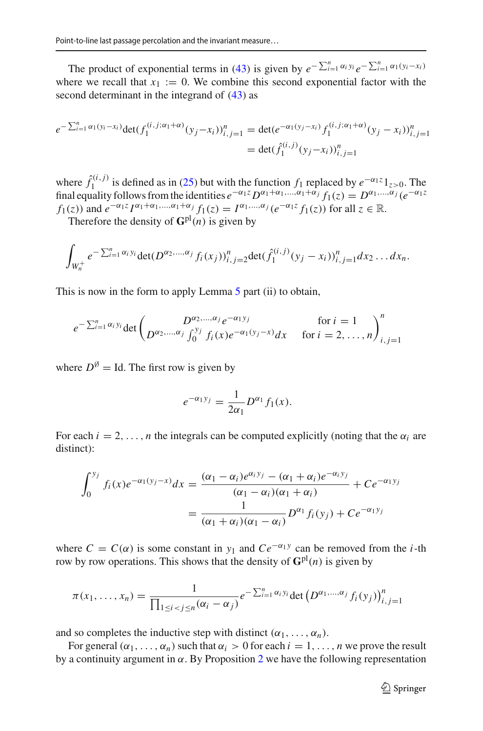The product of exponential terms in [\(43\)](#page-28-0) is given by  $e^{-\sum_{i=1}^{n} \alpha_i y_i} e^{-\sum_{i=1}^{n} \alpha_1 (y_i - x_i)}$ where we recall that  $x_1 := 0$ . We combine this second exponential factor with the second determinant in the integrand of [\(43\)](#page-28-0) as

$$
e^{-\sum_{i=1}^{n} \alpha_1(y_i - x_i)} \det(f_1^{(i,j;\alpha_1+\alpha)}(y_j - x_i))_{i,j=1}^n = \det(e^{-\alpha_1(y_j - x_i)} f_1^{(i,j;\alpha_1+\alpha)}(y_j - x_i))_{i,j=1}^n
$$
  
= 
$$
\det(\hat{f}_1^{(i,j)}(y_j - x_i))_{i,j=1}^n
$$

where  $\hat{f}_1^{(i,j)}$  is defined as in [\(25\)](#page-20-1) but with the function  $f_1$  replaced by  $e^{-\alpha_1 z}1_{z>0}$ . The final equality follows from the identities  $e^{-\alpha_1 z} D^{\alpha_1+\alpha_1,\dots,\alpha_1+\alpha_j} f_1(z) = D^{\alpha_1,\dots,\alpha_j} (e^{-\alpha_1 z})$ *f*<sub>1</sub>(*z*)) and  $e^{-\alpha_1 z} I^{\alpha_1 + \alpha_1, ..., \alpha_1 + \alpha_j} f_1(z) = I^{\alpha_1, ..., \alpha_j} (e^{-\alpha_1 z} f_1(z))$  for all  $z \in \mathbb{R}$ .

Therefore the density of  $\mathbf{G}^{\text{pl}}(n)$  is given by

$$
\int_{W_n^+} e^{-\sum_{i=1}^n \alpha_i y_i} \det(D^{\alpha_2,\dots,\alpha_j} f_i(x_j))_{i,j=2}^n \det(\hat{f}_1^{(i,j)}(y_j - x_i))_{i,j=1}^n dx_2 \dots dx_n.
$$

This is now in the form to apply Lemma [5](#page-21-0) part (ii) to obtain,

$$
e^{-\sum_{i=1}^{n} \alpha_i y_i} \det \begin{pmatrix} D^{\alpha_2,...,\alpha_j} e^{-\alpha_1 y_j} & \text{for } i = 1 \\ D^{\alpha_2,...,\alpha_j} \int_0^{y_j} f_i(x) e^{-\alpha_1 (y_j - x)} dx & \text{for } i = 2,...,n \end{pmatrix}_{i,j=1}^n
$$

where  $D^{\emptyset} =$  Id. The first row is given by

$$
e^{-\alpha_1y_j}=\frac{1}{2\alpha_1}D^{\alpha_1}f_1(x).
$$

For each  $i = 2, \ldots, n$  the integrals can be computed explicitly (noting that the  $\alpha_i$  are distinct):

$$
\int_0^{y_j} f_i(x)e^{-\alpha_1(y_j - x)} dx = \frac{(\alpha_1 - \alpha_i)e^{\alpha_i y_j} - (\alpha_1 + \alpha_i)e^{-\alpha_i y_j}}{(\alpha_1 - \alpha_i)(\alpha_1 + \alpha_i)} + Ce^{-\alpha_1 y_j}
$$

$$
= \frac{1}{(\alpha_1 + \alpha_i)(\alpha_1 - \alpha_i)}D^{\alpha_1}f_i(y_j) + Ce^{-\alpha_1 y_j}
$$

where  $C = C(\alpha)$  is some constant in  $y_1$  and  $Ce^{-\alpha_1 y}$  can be removed from the *i*-th row by row operations. This shows that the density of  $G<sup>pl</sup>(n)$  is given by

$$
\pi(x_1, ..., x_n) = \frac{1}{\prod_{1 \le i < j \le n} (\alpha_i - \alpha_j)} e^{-\sum_{i=1}^n \alpha_i y_i} \det (D^{\alpha_1, ..., \alpha_j} f_i(y_j))_{i,j=1}^n
$$

and so completes the inductive step with distinct  $(\alpha_1, \ldots, \alpha_n)$ .

For general  $(\alpha_1, \ldots, \alpha_n)$  such that  $\alpha_i > 0$  for each  $i = 1, \ldots, n$  we prove the result by a continuity argument in  $\alpha$ . By Proposition [2](#page-9-0) we have the following representation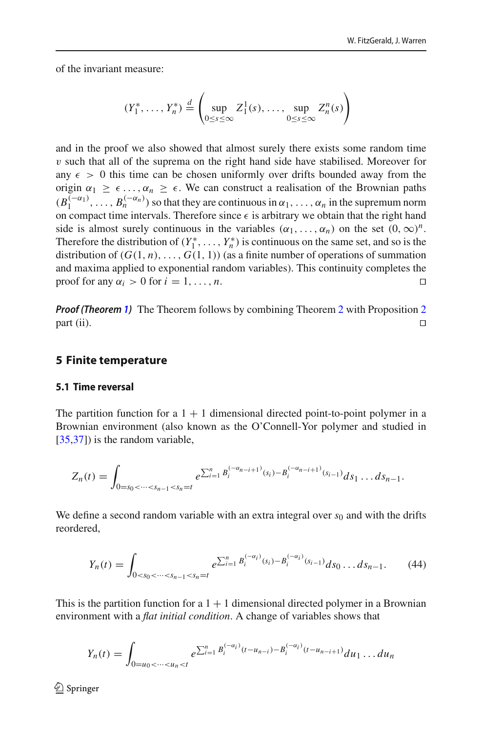of the invariant measure:

$$
(Y_1^*, \ldots, Y_n^*) \stackrel{d}{=} \left( \sup_{0 \le s \le \infty} Z_1^1(s), \ldots, \sup_{0 \le s \le \infty} Z_n^n(s) \right)
$$

and in the proof we also showed that almost surely there exists some random time  $v$  such that all of the suprema on the right hand side have stabilised. Moreover for any  $\epsilon > 0$  this time can be chosen uniformly over drifts bounded away from the origin  $\alpha_1 \geq \epsilon \ldots, \alpha_n \geq \epsilon$ . We can construct a realisation of the Brownian paths  $(B_1^{(-\alpha_1)}, \ldots, B_n^{(-\alpha_n)})$  so that they are continuous in  $\alpha_1, \ldots, \alpha_n$  in the supremum norm on compact time intervals. Therefore since  $\epsilon$  is arbitrary we obtain that the right hand side is almost surely continuous in the variables  $(\alpha_1, \ldots, \alpha_n)$  on the set  $(0, \infty)^n$ . Therefore the distribution of  $(Y_1^*, \ldots, Y_n^*)$  is continuous on the same set, and so is the distribution of  $(G(1, n), \ldots, G(1, 1))$  (as a finite number of operations of summation and maxima applied to exponential random variables). This continuity completes the proof for any  $\alpha_i > 0$  for  $i = 1, \ldots, n$ .

*Proof (Theorem [1\)](#page-2-0)* The Theorem follows by combining Theorem [2](#page-9-0) with Proposition 2  $part (ii).$ 

#### **5 Finite temperature**

#### <span id="page-30-1"></span>**5.1 Time reversal**

The partition function for a  $1 + 1$  dimensional directed point-to-point polymer in a Brownian environment (also known as the O'Connell-Yor polymer and studied in [\[35](#page-51-0)[,37](#page-51-8)]) is the random variable,

$$
Z_n(t) = \int_{0=s_0 < \cdots < s_{n-1} < s_n = t} e^{\sum_{i=1}^n B_i^{(-\alpha_{n-i+1})}(s_i) - B_i^{(-\alpha_{n-i+1})}(s_{i-1})} ds_1 \dots ds_{n-1}.
$$

We define a second random variable with an extra integral over  $s<sub>0</sub>$  and with the drifts reordered,

<span id="page-30-0"></span>
$$
Y_n(t) = \int_{0 < s_0 < \dots < s_{n-1} < s_n = t} e^{\sum_{i=1}^n B_i^{(-\alpha_i)}(s_i) - B_i^{(-\alpha_i)}(s_{i-1})} ds_0 \dots ds_{n-1}.\tag{44}
$$

This is the partition function for a  $1 + 1$  dimensional directed polymer in a Brownian environment with a *flat initial condition*. A change of variables shows that

$$
Y_n(t) = \int_{0=u_0 < \dots < u_n < t} e^{\sum_{i=1}^n B_i^{(-\alpha_i)}(t - u_{n-i}) - B_i^{(-\alpha_i)}(t - u_{n-i+1})} du_1 \dots du_n
$$

 $\textcircled{2}$  Springer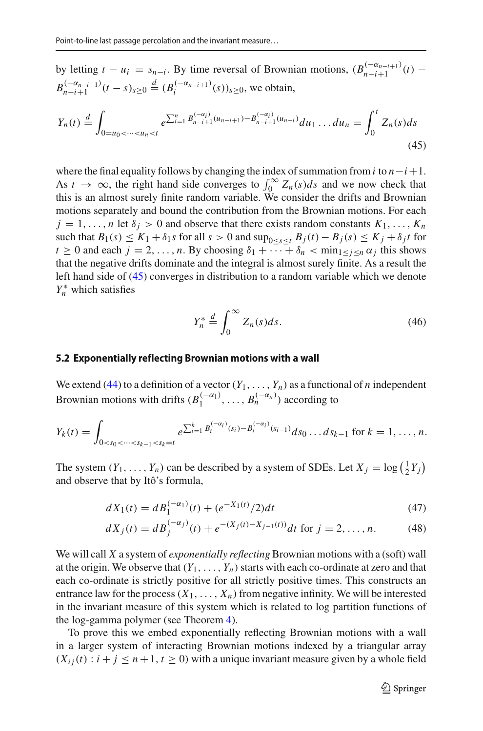by letting  $t - u_i = s_{n-i}$ . By time reversal of Brownian motions,  $(B_{n-i+1}^{(-\alpha_{n-i+1})}(t)$  –  $B_{n-i+1}^{(-\alpha_{n-i+1})}(t-s)_{s\geq 0} \stackrel{d}{=} (B_i^{(-\alpha_{n-i+1})}(s))_{s\geq 0}$ , we obtain,

<span id="page-31-0"></span>
$$
Y_n(t) \stackrel{d}{=} \int_{0=u_0 < \dots < u_n < t} e^{\sum_{i=1}^n B_{n-i+1}^{(-\alpha_i)} (u_{n-i+1}) - B_{n-i+1}^{(-\alpha_i)} (u_{n-i})} du_1 \dots du_n = \int_0^t Z_n(s) ds
$$
\n(45)

where the final equality follows by changing the index of summation from  $i$  to  $n-i+1$ . As  $t \to \infty$ , the right hand side converges to  $\int_0^\infty Z_n(s)ds$  and we now check that this is an almost surely finite random variable. We consider the drifts and Brownian motions separately and bound the contribution from the Brownian motions. For each  $j = 1, \ldots, n$  let  $\delta_j > 0$  and observe that there exists random constants  $K_1, \ldots, K_n$ such that  $B_1(s) \le K_1 + \delta_1 s$  for all  $s > 0$  and  $\sup_{0 \le s \le t} B_j(t) - B_j(s) \le K_j + \delta_j t$  for  $t \ge 0$  and each  $j = 2, \ldots, n$ . By choosing  $\delta_1 + \cdots + \delta_n < \min_{1 \le j \le n} \alpha_j$  this shows that the negative drifts dominate and the integral is almost surely finite. As a result the left hand side of [\(45\)](#page-31-0) converges in distribution to a random variable which we denote  $Y_n^*$  which satisfies

$$
Y_n^* \stackrel{d}{=} \int_0^\infty Z_n(s)ds. \tag{46}
$$

#### **5.2 Exponentially reflecting Brownian motions with a wall**

We extend [\(44\)](#page-30-0) to a definition of a vector  $(Y_1, \ldots, Y_n)$  as a functional of *n* independent Brownian motions with drifts  $(B_1^{(-\alpha_1)}, \ldots, B_n^{(-\alpha_n)})$  according to

$$
Y_k(t) = \int_{0 < s_0 < \dots < s_{k-1} < s_k = t} e^{\sum_{i=1}^k B_i^{(-\alpha_i)}(s_i) - B_i^{(-\alpha_i)}(s_{i-1})} ds_0 \dots ds_{k-1} \text{ for } k = 1, \dots, n.
$$

The system  $(Y_1, \ldots, Y_n)$  can be described by a system of SDEs. Let  $X_j = \log(\frac{1}{2}Y_j)$ and observe that by Itô's formula,

<span id="page-31-1"></span>
$$
dX_1(t) = dB_1^{(-\alpha_1)}(t) + (e^{-X_1(t)}/2)dt
$$
\n(47)

$$
dX_j(t) = dB_j^{(-\alpha_j)}(t) + e^{-(X_j(t) - X_{j-1}(t))}dt \text{ for } j = 2, ..., n.
$$
 (48)

We will call *X* a system of *exponentially reflecting* Brownian motions with a (soft) wall at the origin. We observe that  $(Y_1, \ldots, Y_n)$  starts with each co-ordinate at zero and that each co-ordinate is strictly positive for all strictly positive times. This constructs an entrance law for the process  $(X_1, \ldots, X_n)$  from negative infinity. We will be interested in the invariant measure of this system which is related to log partition functions of the log-gamma polymer (see Theorem [4\)](#page-34-0).

To prove this we embed exponentially reflecting Brownian motions with a wall in a larger system of interacting Brownian motions indexed by a triangular array  $(X_{ij}(t) : i + j \leq n + 1, t \geq 0)$  with a unique invariant measure given by a whole field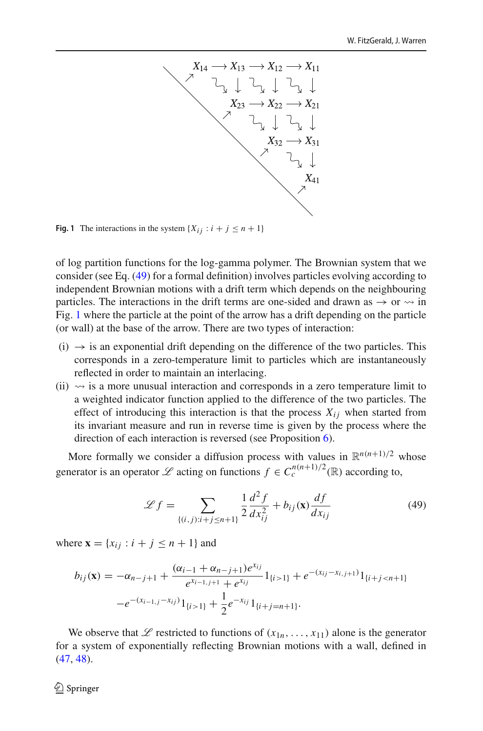

<span id="page-32-1"></span>**Fig. 1** The interactions in the system  $\{X_{ij} : i + j \leq n + 1\}$ 

of log partition functions for the log-gamma polymer. The Brownian system that we consider (see Eq. [\(49\)](#page-32-0) for a formal definition) involves particles evolving according to independent Brownian motions with a drift term which depends on the neighbouring particles. The interactions in the drift terms are one-sided and drawn as  $\rightarrow$  or  $\rightsquigarrow$  in Fig. [1](#page-32-1) where the particle at the point of the arrow has a drift depending on the particle (or wall) at the base of the arrow. There are two types of interaction:

- $(i) \rightarrow i$  s an exponential drift depending on the difference of the two particles. This corresponds in a zero-temperature limit to particles which are instantaneously reflected in order to maintain an interlacing.
- $(ii) \rightsquigarrow$  is a more unusual interaction and corresponds in a zero temperature limit to a weighted indicator function applied to the difference of the two particles. The effect of introducing this interaction is that the process  $X_{ij}$  when started from its invariant measure and run in reverse time is given by the process where the direction of each interaction is reversed (see Proposition [6\)](#page-42-0).

More formally we consider a diffusion process with values in  $\mathbb{R}^{n(n+1)/2}$  whose generator is an operator *L* acting on functions  $f \in C_c^{n(n+1)/2}(\mathbb{R})$  according to,

<span id="page-32-0"></span>
$$
\mathcal{L}f = \sum_{\{(i,j):i+j \le n+1\}} \frac{1}{2} \frac{d^2 f}{dx_{ij}^2} + b_{ij}(\mathbf{x}) \frac{df}{dx_{ij}}
$$
(49)

where  $\mathbf{x} = \{x_{ij} : i + j \leq n + 1\}$  and

$$
b_{ij}(\mathbf{x}) = -\alpha_{n-j+1} + \frac{(\alpha_{i-1} + \alpha_{n-j+1})e^{x_{ij}}}{e^{x_{i-1,j+1}} + e^{x_{ij}}} 1_{\{i>1\}} + e^{-(x_{ij} - x_{i,j+1})} 1_{\{i+j < n+1\}}
$$

$$
-e^{-(x_{i-1,j} - x_{ij})} 1_{\{i>1\}} + \frac{1}{2}e^{-x_{ij}} 1_{\{i+j = n+1\}}.
$$

We observe that  $\mathscr L$  restricted to functions of  $(x_{1n},...,x_{11})$  alone is the generator for a system of exponentially reflecting Brownian motions with a wall, defined in [\(47,](#page-31-1) [48\)](#page-31-1).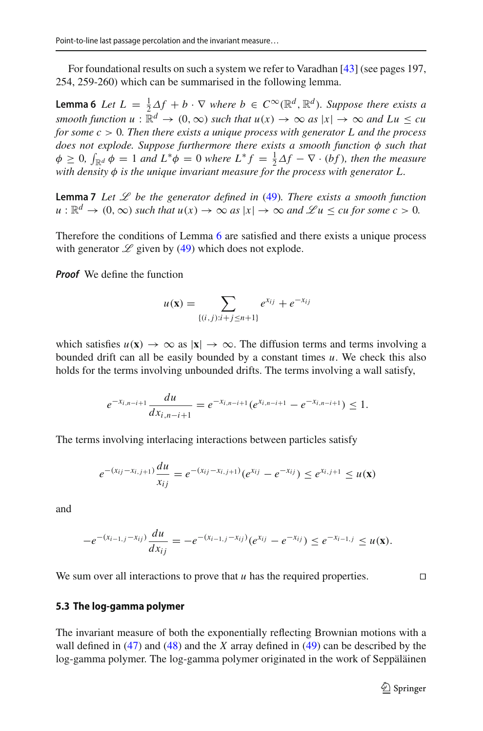<span id="page-33-0"></span>For foundational results on such a system we refer to Varadhan [\[43\]](#page-51-12) (see pages 197, 254, 259-260) which can be summarised in the following lemma.

**Lemma 6** Let  $L = \frac{1}{2} \Delta f + b \cdot \nabla$  where  $b \in C^{\infty}(\mathbb{R}^d, \mathbb{R}^d)$ . Suppose there exists a *smooth function*  $u : \mathbb{R}^d \to (0, \infty)$  *such that*  $u(x) \to \infty$  *as*  $|x| \to \infty$  *and Lu*  $\leq cu$ *for some c* > 0*. Then there exists a unique process with generator L and the process does not explode. Suppose furthermore there exists a smooth function* φ *such that*  $\phi \geq 0$ ,  $\int_{\mathbb{R}^d} \phi = 1$  *and*  $L^* \phi = 0$  *where*  $L^* f = \frac{1}{2} \Delta f - \nabla \cdot (bf)$ *, then the measure with density* φ *is the unique invariant measure for the process with generator L.*

<span id="page-33-1"></span>**Lemma 7** *Let L be the generator defined in* [\(49\)](#page-32-0)*. There exists a smooth function*  $u : \mathbb{R}^d \to (0, \infty)$  *such that*  $u(x) \to \infty$  *as*  $|x| \to \infty$  *and*  $\mathcal{L}u \leq cu$  *for some*  $c > 0$ *.* 

Therefore the conditions of Lemma [6](#page-33-0) are satisfied and there exists a unique process with generator  $\mathscr L$  given by [\(49\)](#page-32-0) which does not explode.

*Proof* We define the function

$$
u(\mathbf{x}) = \sum_{\{(i,j): i+j \le n+1\}} e^{x_{ij}} + e^{-x_{ij}}
$$

which satisfies  $u(\mathbf{x}) \to \infty$  as  $|\mathbf{x}| \to \infty$ . The diffusion terms and terms involving a bounded drift can all be easily bounded by a constant times *u*. We check this also holds for the terms involving unbounded drifts. The terms involving a wall satisfy,

$$
e^{-x_{i,n-i+1}}\frac{du}{dx_{i,n-i+1}}=e^{-x_{i,n-i+1}}(e^{x_{i,n-i+1}}-e^{-x_{i,n-i+1}})\leq 1.
$$

The terms involving interlacing interactions between particles satisfy

$$
e^{-(x_{ij}-x_{i,j+1})}\frac{du}{x_{ij}}=e^{-(x_{ij}-x_{i,j+1})}(e^{x_{ij}}-e^{-x_{ij}})\leq e^{x_{i,j+1}}\leq u(\mathbf{x})
$$

and

$$
-e^{-(x_{i-1,j}-x_{ij})}\frac{du}{dx_{ij}}=-e^{-(x_{i-1,j}-x_{ij})}(e^{x_{ij}}-e^{-x_{ij}})\leq e^{-x_{i-1,j}}\leq u(\mathbf{x}).
$$

We sum over all interactions to prove that *u* has the required properties.  $\Box$ 

#### **5.3 The log-gamma polymer**

The invariant measure of both the exponentially reflecting Brownian motions with a wall defined in [\(47\)](#page-31-1) and [\(48\)](#page-31-1) and the *X* array defined in [\(49\)](#page-32-0) can be described by the log-gamma polymer. The log-gamma polymer originated in the work of Seppäläinen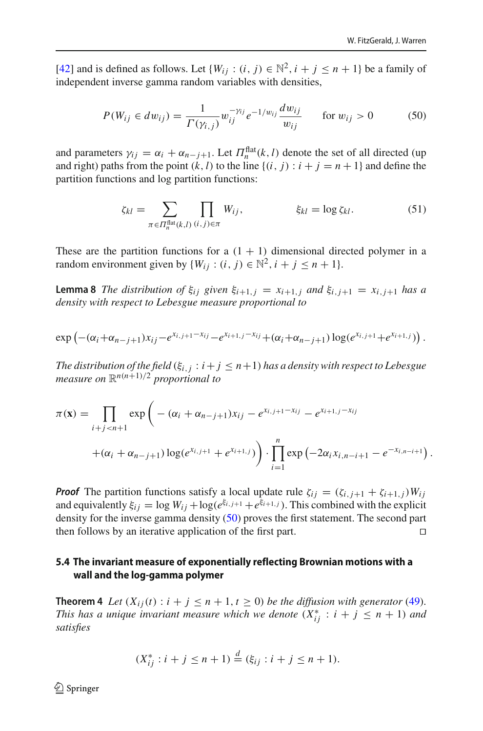[\[42](#page-51-10)] and is defined as follows. Let  $\{W_{ij} : (i, j) \in \mathbb{N}^2, i + j \leq n + 1\}$  be a family of independent inverse gamma random variables with densities,

<span id="page-34-1"></span>
$$
P(W_{ij} \in dw_{ij}) = \frac{1}{\Gamma(\gamma_{i,j})} w_{ij}^{-\gamma_{ij}} e^{-1/w_{ij}} \frac{dw_{ij}}{w_{ij}} \quad \text{for } w_{ij} > 0 \quad (50)
$$

and parameters  $\gamma_{ij} = \alpha_i + \alpha_{n-j+1}$ . Let  $\Pi_n^{\text{flat}}(k, l)$  denote the set of all directed (up and right) paths from the point  $(k, l)$  to the line  $\{(i, j) : i + j = n + 1\}$  and define the partition functions and log partition functions:

$$
\zeta_{kl} = \sum_{\pi \in \Pi_n^{\text{flat}}(k,l)} \prod_{(i,j)\in \pi} W_{ij}, \qquad \qquad \xi_{kl} = \log \zeta_{kl}. \tag{51}
$$

<span id="page-34-2"></span>These are the partition functions for a  $(1 + 1)$  dimensional directed polymer in a random environment given by  $\{W_{ij} : (i, j) \in \mathbb{N}^2, i + j \leq n + 1\}.$ 

**Lemma 8** *The distribution of*  $\xi_{ij}$  *given*  $\xi_{i+1,j} = x_{i+1,j}$  *and*  $\xi_{i,j+1} = x_{i,j+1}$  *has a density with respect to Lebesgue measure proportional to*

$$
\exp\left(-( \alpha_i+\alpha_{n-j+1}) x_{ij}-e^{x_{i,j+1}-x_{ij}}-e^{x_{i+1,j}-x_{ij}}+(\alpha_i+\alpha_{n-j+1}) \log(e^{x_{i,j+1}}+e^{x_{i+1,j}})\right).
$$

*The distribution of the field*  $(\xi_{i,j}: i + j \leq n+1)$  *has a density with respect to Lebesgue measure on*  $\mathbb{R}^{n(n+1)/2}$  *proportional to* 

$$
\pi(\mathbf{x}) = \prod_{i+j < n+1} \exp\left(-(\alpha_i + \alpha_{n-j+1})x_{ij} - e^{x_{i,j+1} - x_{ij}} - e^{x_{i+1,j} - x_{ij}}\right)
$$

$$
+(\alpha_i + \alpha_{n-j+1}) \log(e^{x_{i,j+1}} + e^{x_{i+1,j}})\right) \cdot \prod_{i=1}^n \exp(-2\alpha_i x_{i,n-i+1} - e^{-x_{i,n-i+1}}).
$$

*Proof* The partition functions satisfy a local update rule  $\zeta_{ij} = (\zeta_{i,j+1} + \zeta_{i+1,j})W_{ij}$ and equivalently  $\xi_{ij} = \log W_{ij} + \log(e^{\xi_{i,j+1}} + e^{\xi_{i+1,j}})$ . This combined with the explicit density for the inverse gamma density [\(50\)](#page-34-1) proves the first statement. The second part then follows by an iterative application of the first part. 

#### **5.4 The invariant measure of exponentially reflecting Brownian motions with a wall and the log-gamma polymer**

<span id="page-34-0"></span>**Theorem 4** *Let*  $(X_{ij}(t) : i + j \leq n+1, t \geq 0)$  *be the diffusion with generator* [\(49\)](#page-32-0). *This has a unique invariant measure which we denote*  $(X_{ij}^* : i + j \leq n + 1)$  and *satisfies*

$$
(X_{ij}^* : i + j \le n + 1) \stackrel{d}{=} (\xi_{ij} : i + j \le n + 1).
$$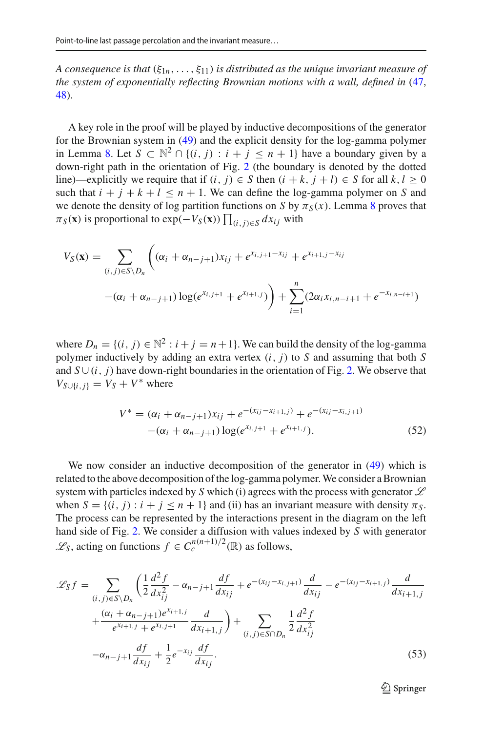*A consequence is that*  $(\xi_{1n},\ldots,\xi_{11})$  *is distributed as the unique invariant measure of the system of exponentially reflecting Brownian motions with a wall, defined in* [\(47,](#page-31-1) [48\)](#page-31-1).

A key role in the proof will be played by inductive decompositions of the generator for the Brownian system in [\(49\)](#page-32-0) and the explicit density for the log-gamma polymer in Lemma [8.](#page-34-2) Let  $S \subset \mathbb{N}^2 \cap \{(i, j) : i + j \le n + 1\}$  have a boundary given by a down-right path in the orientation of Fig. [2](#page-36-0) (the boundary is denoted by the dotted line)—explicitly we require that if  $(i, j) \in S$  then  $(i + k, j + l) \in S$  for all  $k, l \ge 0$ such that  $i + j + k + l \leq n + 1$ . We can define the log-gamma polymer on *S* and we denote the density of log partition functions on *S* by  $\pi_S(x)$ . Lemma [8](#page-34-2) proves that  $\pi_S(\mathbf{x})$  is proportional to exp( $-V_S(\mathbf{x})$ )  $\prod_{(i,j)\in S} dx_{ij}$  with

$$
V_S(\mathbf{x}) = \sum_{(i,j)\in S\setminus D_n} \left( (\alpha_i + \alpha_{n-j+1}) x_{ij} + e^{x_{i,j+1} - x_{ij}} + e^{x_{i+1,j} - x_{ij}} \right)
$$

$$
-(\alpha_i + \alpha_{n-j+1}) \log(e^{x_{i,j+1}} + e^{x_{i+1,j}}) + \sum_{i=1}^n (2\alpha_i x_{i,n-i+1} + e^{-x_{i,n-i+1}})
$$

where  $D_n = \{(i, j) \in \mathbb{N}^2 : i + j = n + 1\}$ . We can build the density of the log-gamma polymer inductively by adding an extra vertex  $(i, j)$  to  $S$  and assuming that both  $S$ and  $S \cup (i, j)$  have down-right boundaries in the orientation of Fig. [2.](#page-36-0) We observe that  $V_{S\cup\{i,j\}} = V_S + V^*$  where

<span id="page-35-0"></span>
$$
V^* = (\alpha_i + \alpha_{n-j+1})x_{ij} + e^{-(x_{ij} - x_{i+1,j})} + e^{-(x_{ij} - x_{i,j+1})}
$$
  
-(\alpha\_i + \alpha\_{n-j+1})\log(e^{x\_{i,j+1}} + e^{x\_{i+1,j}}). (52)

We now consider an inductive decomposition of the generator in  $(49)$  which is related to the above decomposition of the log-gamma polymer.We consider a Brownian system with particles indexed by *S* which (i) agrees with the process with generator *L* when  $S = \{(i, j) : i + j \leq n + 1\}$  and (ii) has an invariant measure with density  $\pi_S$ . The process can be represented by the interactions present in the diagram on the left hand side of Fig. [2.](#page-36-0) We consider a diffusion with values indexed by *S* with generator *L*<sup>*s*</sup>, acting on functions *f* ∈  $C_c^{n(n+1)/2}$  (ℝ) as follows,

$$
\mathcal{L}_{S}f = \sum_{(i,j)\in S\backslash D_n} \left( \frac{1}{2} \frac{d^2 f}{dx_{ij}^2} - \alpha_{n-j+1} \frac{df}{dx_{ij}} + e^{-(x_{ij}-x_{i,j+1})} \frac{d}{dx_{ij}} - e^{-(x_{ij}-x_{i+1,j})} \frac{d}{dx_{i+1,j}} + \frac{(\alpha_i + \alpha_{n-j+1})e^{x_{i+1,j}}}{e^{x_{i+1,j}} + e^{x_{i,j+1}}} \frac{d}{dx_{i+1,j}} \right) + \sum_{(i,j)\in S\cap D_n} \frac{1}{2} \frac{d^2 f}{dx_{ij}^2}
$$

$$
-\alpha_{n-j+1} \frac{df}{dx_{ij}} + \frac{1}{2} e^{-x_{ij}} \frac{df}{dx_{ij}}.
$$
(53)

<sup>2</sup> Springer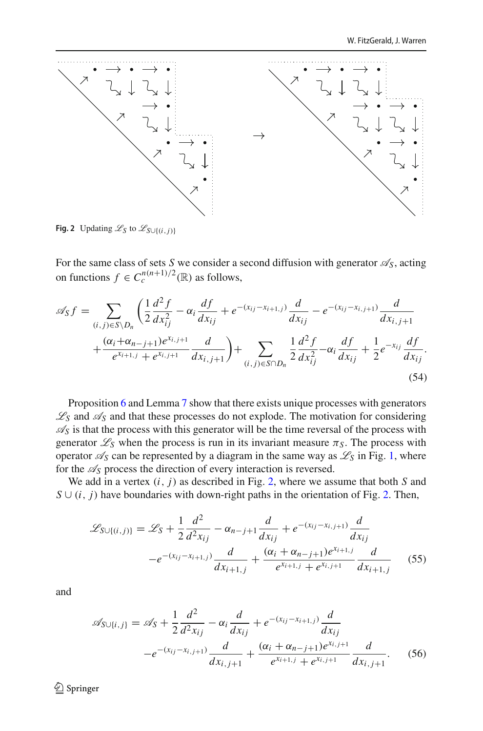

<span id="page-36-0"></span>**Fig. 2** Updating  $\mathcal{L}_S$  to  $\mathcal{L}_{S \cup \{(i,j)\}}$ 

For the same class of sets *S* we consider a second diffusion with generator  $\mathcal{A}_S$ , acting on functions  $f \in C_c^{n(n+1)/2}(\mathbb{R})$  as follows,

$$
\mathscr{A}_{S}f = \sum_{(i,j)\in S\setminus D_n} \left(\frac{1}{2}\frac{d^2f}{dx_{ij}^2} - \alpha_i \frac{df}{dx_{ij}} + e^{-(x_{ij}-x_{i+1,j})}\frac{d}{dx_{ij}} - e^{-(x_{ij}-x_{i,j+1})}\frac{d}{dx_{i,j+1}}\right) + \frac{(\alpha_i + \alpha_{n-j+1})e^{x_{i,j+1}}}{e^{x_{i+1,j}} + e^{x_{i,j+1}}}\frac{d}{dx_{i,j+1}}\right) + \sum_{(i,j)\in S\cap D_n} \frac{1}{2}\frac{d^2f}{dx_{ij}^2} - \alpha_i \frac{df}{dx_{ij}} + \frac{1}{2}e^{-x_{ij}}\frac{df}{dx_{ij}}.
$$
\n(54)

Proposition [6](#page-33-0) and Lemma [7](#page-33-1) show that there exists unique processes with generators  $\mathscr{L}_S$  and  $\mathscr{A}_S$  and that these processes do not explode. The motivation for considering  $\mathscr{A}_S$  is that the process with this generator will be the time reversal of the process with generator  $\mathcal{L}_S$  when the process is run in its invariant measure  $\pi_S$ . The process with operator  $\mathscr{A}_S$  can be represented by a diagram in the same way as  $\mathscr{L}_S$  in Fig. [1,](#page-32-1) where for the *AS* process the direction of every interaction is reversed.

We add in a vertex (*i*, *j*) as described in Fig. [2,](#page-36-0) where we assume that both *S* and  $S \cup (i, j)$  have boundaries with down-right paths in the orientation of Fig. [2.](#page-36-0) Then,

<span id="page-36-1"></span>
$$
\mathcal{L}_{S \cup \{(i,j)\}} = \mathcal{L}_{S} + \frac{1}{2} \frac{d^{2}}{d^{2}x_{ij}} - \alpha_{n-j+1} \frac{d}{dx_{ij}} + e^{-(x_{ij} - x_{i,j+1})} \frac{d}{dx_{ij}}
$$

$$
-e^{-(x_{ij} - x_{i+1,j})} \frac{d}{dx_{i+1,j}} + \frac{(\alpha_{i} + \alpha_{n-j+1})e^{x_{i+1,j}}}{e^{x_{i+1,j}} + e^{x_{i,j+1}}} \frac{d}{dx_{i+1,j}} \qquad (55)
$$

and

<span id="page-36-2"></span>
$$
\mathscr{A}_{S\cup\{i,j\}} = \mathscr{A}_{S} + \frac{1}{2} \frac{d^{2}}{d^{2}x_{ij}} - \alpha_{i} \frac{d}{dx_{ij}} + e^{-(x_{ij} - x_{i+1,j})} \frac{d}{dx_{ij}}
$$

$$
-e^{-(x_{ij} - x_{i,j+1})} \frac{d}{dx_{i,j+1}} + \frac{(\alpha_{i} + \alpha_{n-j+1})e^{x_{i,j+1}}}{e^{x_{i+1,j}} + e^{x_{i,j+1}}} \frac{d}{dx_{i,j+1}}.
$$
(56)

<sup>2</sup> Springer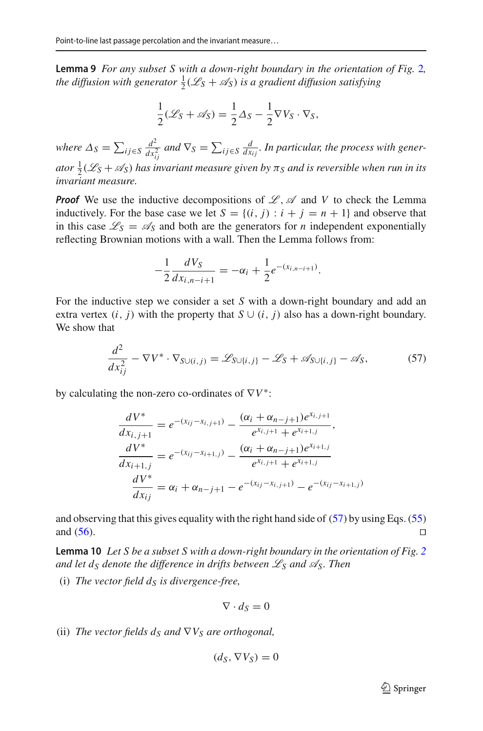<span id="page-37-1"></span>**Lemma 9** *For any subset S with a down-right boundary in the orientation of Fig.* [2](#page-36-0)*,* the diffusion with generator  $\frac{1}{2}(\mathscr{L}_S + \mathscr{A}_S)$  is a gradient diffusion satisfying

$$
\frac{1}{2}(\mathcal{L}_S + \mathcal{A}_S) = \frac{1}{2}\Delta_S - \frac{1}{2}\nabla V_S \cdot \nabla_S,
$$

*where*  $\Delta_S = \sum_{ij \in S}$ *d*2  $\frac{d^2}{dx_{ij}^2}$  and  $\nabla_S = \sum_{ij \in S} \frac{d}{dx_{ij}}$ . In particular, the process with gener*ator*  $\frac{1}{2}$ ( $\mathscr{L}_S + \mathscr{A}_S$ ) has invariant measure given by  $\pi_S$  and is reversible when run in its *invariant measure.*

*Proof* We use the inductive decompositions of  $\mathcal{L}, \mathcal{A}$  and V to check the Lemma inductively. For the base case we let  $S = \{(i, j) : i + j = n + 1\}$  and observe that in this case  $\mathcal{L}_S = \mathcal{A}_S$  and both are the generators for *n* independent exponentially reflecting Brownian motions with a wall. Then the Lemma follows from:

$$
-\frac{1}{2}\frac{dV_S}{dx_{i,n-i+1}} = -\alpha_i + \frac{1}{2}e^{-(x_{i,n-i+1})}.
$$

For the inductive step we consider a set *S* with a down-right boundary and add an extra vertex  $(i, j)$  with the property that  $S \cup (i, j)$  also has a down-right boundary. We show that

<span id="page-37-0"></span>
$$
\frac{d^2}{dx_{ij}^2} - \nabla V^* \cdot \nabla_{S \cup (i,j)} = \mathcal{L}_{S \cup \{i,j\}} - \mathcal{L}_S + \mathcal{A}_{S \cup \{i,j\}} - \mathcal{A}_S,\tag{57}
$$

by calculating the non-zero co-ordinates of ∇*V*∗:

$$
\frac{dV^*}{dx_{i,j+1}} = e^{-(x_{ij}-x_{i,j+1})} - \frac{(\alpha_i + \alpha_{n-j+1})e^{x_{i,j+1}}}{e^{x_{i,j+1}} + e^{x_{i+1,j}}},
$$
\n
$$
\frac{dV^*}{dx_{i+1,j}} = e^{-(x_{ij}-x_{i+1,j})} - \frac{(\alpha_i + \alpha_{n-j+1})e^{x_{i+1,j}}}{e^{x_{i,j+1}} + e^{x_{i+1,j}}}
$$
\n
$$
\frac{dV^*}{dx_{ij}} = \alpha_i + \alpha_{n-j+1} - e^{-(x_{ij}-x_{i,j+1})} - e^{-(x_{ij}-x_{i+1,j})}
$$

and observing that this gives equality with the right hand side of [\(57\)](#page-37-0) by using Eqs. [\(55\)](#page-36-1) and  $(56)$ .

<span id="page-37-2"></span>**Lemma 10** *Let S be a subset S with a down-right boundary in the orientation of Fig. [2](#page-36-0) and let d<sub>S</sub> denote the difference in drifts between*  $\mathscr{L}_S$  *and*  $\mathscr{A}_S$ *. Then* 

(i) *The vector field*  $d<sub>S</sub>$  *is divergence-free,* 

$$
\nabla \cdot d_S = 0
$$

(ii) *The vector fields*  $d_S$  *and*  $\nabla V_S$  *are orthogonal,* 

$$
(d_S, \nabla V_S) = 0
$$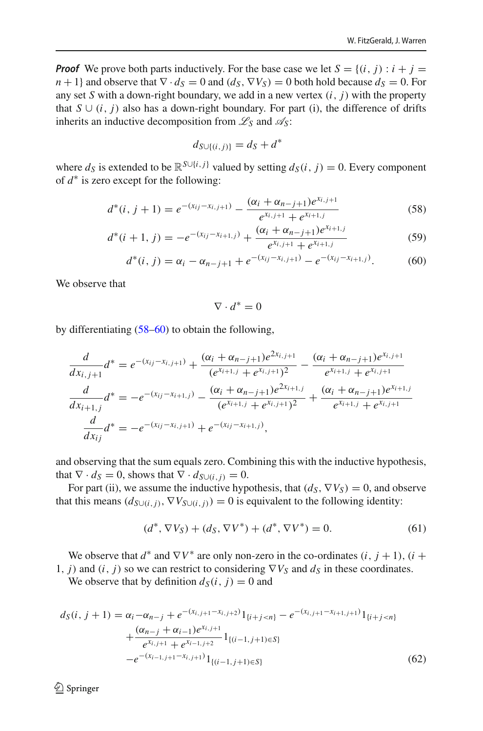*Proof* We prove both parts inductively. For the base case we let  $S = \{(i, j) : i + j = j\}$  $n+1$ } and observe that  $\nabla \cdot d_S = 0$  and  $(d_S, \nabla V_S) = 0$  both hold because  $d_S = 0$ . For any set *S* with a down-right boundary, we add in a new vertex  $(i, j)$  with the property that  $S \cup (i, j)$  also has a down-right boundary. For part (i), the difference of drifts inherits an inductive decomposition from  $\mathscr{L}_S$  and  $\mathscr{A}_S$ :

$$
d_{S\cup\{(i,j)\}} = d_S + d^*
$$

where  $d_S$  is extended to be  $\mathbb{R}^{S \cup \{i,j\}}$  valued by setting  $d_S(i, j) = 0$ . Every component of *d*∗ is zero except for the following:

<span id="page-38-0"></span>
$$
d^*(i, j + 1) = e^{-(x_{ij} - x_{i,j+1})} - \frac{(\alpha_i + \alpha_{n-j+1})e^{x_{i,j+1}}}{e^{x_{i,j+1}} + e^{x_{i+1,j}}}
$$
(58)

$$
d^*(i+1, j) = -e^{-(x_{ij}-x_{i+1,j})} + \frac{(\alpha_i + \alpha_{n-j+1})e^{x_{i+1,j}}}{e^{x_{i,j+1}} + e^{x_{i+1,j}}}
$$
(59)

$$
d^*(i, j) = \alpha_i - \alpha_{n-j+1} + e^{-(x_{ij} - x_{i,j+1})} - e^{-(x_{ij} - x_{i+1,j})}.
$$
 (60)

We observe that

$$
\nabla \cdot d^* = 0
$$

by differentiating [\(58–60\)](#page-38-0) to obtain the following,

$$
\frac{d}{dx_{i,j+1}}d^* = e^{-(x_{ij}-x_{i,j+1})} + \frac{(\alpha_i + \alpha_{n-j+1})e^{2x_{i,j+1}}}{(e^{x_{i+1,j}} + e^{x_{i,j+1}})^2} - \frac{(\alpha_i + \alpha_{n-j+1})e^{x_{i,j+1}}}{e^{x_{i+1,j}} + e^{x_{i,j+1}}}
$$
\n
$$
\frac{d}{dx_{i+1,j}}d^* = -e^{-(x_{ij}-x_{i+1,j})} - \frac{(\alpha_i + \alpha_{n-j+1})e^{2x_{i+1,j}}}{(e^{x_{i+1,j}} + e^{x_{i,j+1}})^2} + \frac{(\alpha_i + \alpha_{n-j+1})e^{x_{i+1,j}}}{e^{x_{i+1,j}} + e^{x_{i,j+1}}}
$$
\n
$$
\frac{d}{dx_{ij}}d^* = -e^{-(x_{ij}-x_{i,j+1})} + e^{-(x_{ij}-x_{i+1,j})},
$$

and observing that the sum equals zero. Combining this with the inductive hypothesis, that  $\nabla \cdot d_S = 0$ , shows that  $\nabla \cdot d_{S \cup (i,j)} = 0$ .

For part (ii), we assume the inductive hypothesis, that  $(d_S, \nabla V_S) = 0$ , and observe that this means  $(d_{S\cup(i,j)}, \nabla V_{S\cup(i,j)}) = 0$  is equivalent to the following identity:

<span id="page-38-1"></span>
$$
(d^*, \nabla V_S) + (d_S, \nabla V^*) + (d^*, \nabla V^*) = 0.
$$
 (61)

We observe that  $d^*$  and  $\nabla V^*$  are only non-zero in the co-ordinates  $(i, j + 1)$ ,  $(i +$ 1, *j*) and  $(i, j)$  so we can restrict to considering  $\nabla V_S$  and  $d_S$  in these coordinates.

We observe that by definition  $d_S(i, j) = 0$  and

<span id="page-38-2"></span>
$$
d_S(i, j + 1) = \alpha_i - \alpha_{n-j} + e^{-(x_{i,j+1} - x_{i,j+2})} 1_{\{i+j < n\}} - e^{-(x_{i,j+1} - x_{i+1,j+1})} 1_{\{i+j < n\}} + \frac{(\alpha_{n-j} + \alpha_{i-1})e^{x_{i,j+1}}}{e^{x_{i,j+1}} + e^{x_{i-1,j+2}}} 1_{\{(i-1,j+1) \in S\}} - e^{-(x_{i-1,j+1} - x_{i,j+1})} 1_{\{(i-1,j+1) \in S\}}
$$
(62)

 $\textcircled{2}$  Springer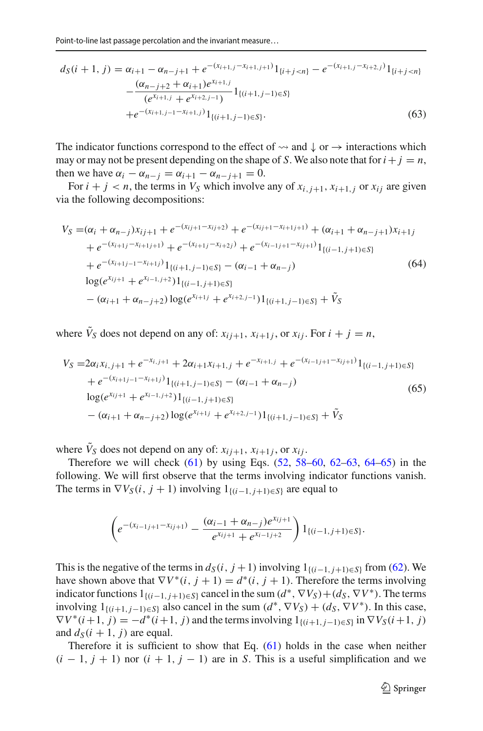$$
d_S(i + 1, j) = \alpha_{i+1} - \alpha_{n-j+1} + e^{-(x_{i+1,j} - x_{i+1,j+1})} 1_{\{i+j < n\}} - e^{-(x_{i+1,j} - x_{i+2,j})} 1_{\{i+j < n\}} - \frac{(\alpha_{n-j+2} + \alpha_{i+1})e^{x_{i+1,j}}}{(e^{x_{i+1,j}} + e^{x_{i+2,j-1}})} 1_{\{(i+1,j-1) \in S\}} + e^{-(x_{i+1,j-1} - x_{i+1,j})} 1_{\{(i+1,j-1) \in S\}}.
$$
\n
$$
(63)
$$

The indicator functions correspond to the effect of  $\leadsto$  and  $\downarrow$  or  $\rightarrow$  interactions which may or may not be present depending on the shape of *S*. We also note that for  $i + j = n$ , then we have  $\alpha_i - \alpha_{n-j} = \alpha_{i+1} - \alpha_{n-j+1} = 0$ .

For  $i + j < n$ , the terms in  $V_S$  which involve any of  $x_{i,j+1}, x_{i+1,j}$  or  $x_{ij}$  are given via the following decompositions:

<span id="page-39-0"></span>
$$
V_S = (\alpha_i + \alpha_{n-j})x_{ij+1} + e^{-(x_{ij+1} - x_{ij+2})} + e^{-(x_{ij+1} - x_{i+1j+1})} + (\alpha_{i+1} + \alpha_{n-j+1})x_{i+1j} + e^{-(x_{i+1j} - x_{i+1j+1})} + e^{-(x_{i+1j} - x_{i+2j})} + e^{-(x_{i-1j+1} - x_{ij+1})}1_{\{(i-1,j+1)\in S\}} + e^{-(x_{i+1j-1} - x_{i+1j})}1_{\{(i+1,j-1)\in S\}} - (\alpha_{i-1} + \alpha_{n-j})
$$
(64)  

$$
\log(e^{x_{ij+1}} + e^{x_{i-1,j+2}})1_{\{(i-1,j+1)\in S\}} - (\alpha_{i+1} + \alpha_{n-j+2})\log(e^{x_{i+1j}} + e^{x_{i+2,j-1}})1_{\{(i+1,j-1)\in S\}} + \tilde{V}_S
$$

where  $\hat{V}_S$  does not depend on any of:  $x_{i j+1}, x_{i+1 j}$ , or  $x_{i j}$ . For  $i + j = n$ ,

<span id="page-39-1"></span>
$$
V_S = 2\alpha_i x_{i,j+1} + e^{-x_{i,j+1}} + 2\alpha_{i+1} x_{i+1,j} + e^{-x_{i+1,j}} + e^{-(x_{i-1,j+1}-x_{i,j+1})} 1_{\{(i-1,j+1)\in S\}}
$$
  
+  $e^{-(x_{i+1,j-1}-x_{i+1,j})} 1_{\{(i+1,j-1)\in S\}} - (\alpha_{i-1} + \alpha_{n-j})$   

$$
\log(e^{x_{i,j+1}} + e^{x_{i-1,j+2}}) 1_{\{(i-1,j+1)\in S\}}
$$
  
-  $(\alpha_{i+1} + \alpha_{n-j+2}) \log(e^{x_{i+1,j}} + e^{x_{i+2,j-1}}) 1_{\{(i+1,j-1)\in S\}} + \tilde{V}_S$  (65)

where  $\tilde{V}_S$  does not depend on any of:  $x_{i,j+1}, x_{i+1,j}$ , or  $x_{i,j}$ .

Therefore we will check  $(61)$  by using Eqs.  $(52, 58-60, 62-63, 64-65)$  $(52, 58-60, 62-63, 64-65)$  $(52, 58-60, 62-63, 64-65)$  in the following. We will first observe that the terms involving indicator functions vanish. The terms in  $\nabla V_S(i, j + 1)$  involving  $1_{\{(i-1, j+1)\in S\}}$  are equal to

$$
\left(e^{-(x_{i-1j+1}-x_{ij+1})}-\frac{(\alpha_{i-1}+\alpha_{n-j})e^{x_{ij+1}}}{e^{x_{ij+1}}+e^{x_{i-1j+2}}}\right)1_{\{(i-1,j+1)\in S\}}.
$$

This is the negative of the terms in  $d_S(i, j + 1)$  involving  $1_{\{(i-1, j+1)\in S\}}$  from [\(62\)](#page-38-2). We have shown above that  $\nabla V^*(i, j + 1) = d^*(i, j + 1)$ . Therefore the terms involving indicator functions  $1_{\{(i-1,j+1)\in S\}}$  cancel in the sum  $(d^*, \nabla V_S) + (d_S, \nabla V^*)$ . The terms involving  $1_{\{(i+1,j-1)\in S\}}$  also cancel in the sum  $(d^*, \nabla V_S) + (d_S, \nabla V^*)$ . In this case,  $\nabla V^*(i+1, j) = -d^*(i+1, j)$  and the terms involving  $1_{\{(i+1, j-1)\in S\}}$  in  $\nabla V_S(i+1, j)$ and  $d_S(i + 1, i)$  are equal.

Therefore it is sufficient to show that Eq. [\(61\)](#page-38-1) holds in the case when neither  $(i - 1, j + 1)$  nor  $(i + 1, j - 1)$  are in *S*. This is a useful simplification and we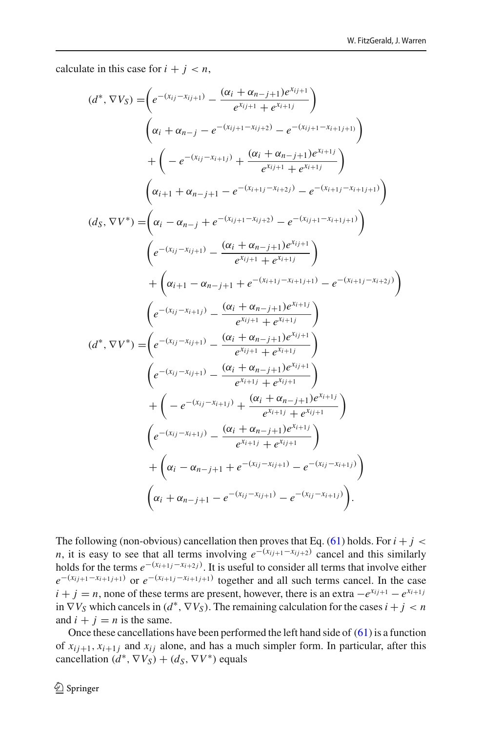calculate in this case for  $i + j < n$ ,

$$
(d^*, \nabla V_S) = \left(e^{-(x_{ij}-x_{ij+1})} - \frac{(\alpha_i + \alpha_{n-j+1})e^{x_{ij+1}}}{e^{x_{ij+1}} + e^{x_{i+1}}}\right) \n\left(\alpha_i + \alpha_{n-j} - e^{-(x_{ij+1}-x_{ij+2})} - e^{-(x_{ij+1}-x_{i+1j+1})}\right) \n+ \left(-e^{-(x_{ij}-x_{i+1j})} + \frac{(\alpha_i + \alpha_{n-j+1})e^{x_{i+1j}}}{e^{x_{ij+1}} + e^{x_{i+1j}}}\right) \n(d_s, \nabla V^*) = \left(\alpha_i - \alpha_{n-j} + e^{-(x_{i+1j}-x_{i+2j})} - e^{-(x_{i+1j}-x_{i+1j+1})}\right) \n\left(e^{-(x_{ij}-x_{ij+1})} - \frac{(\alpha_i + \alpha_{n-j+1})e^{x_{ij+1}}}{e^{x_{ij+1}} + e^{x_{i+1j}}}\right) \n+ \left(\alpha_{i+1} - \alpha_{n-j+1} + e^{-(x_{i+1j}-x_{i+1j+1})} - e^{-(x_{i+1j}-x_{i+2j})}\right) \n(e^{-(x_{ij}-x_{i+1j})} - \frac{(\alpha_i + \alpha_{n-j+1})e^{x_{i+1j}}}{e^{x_{i,j+1}} + e^{x_{i+1j}}}\right) \n(d^*, \nabla V^*) = \left(e^{-(x_{ij}-x_{i+1j})} - \frac{(\alpha_i + \alpha_{n-j+1})e^{x_{i+1j}}}{e^{x_{i+1}} + e^{x_{i+1j}}}\right) \n(e^{-(x_{ij}-x_{i+1j})} - \frac{(\alpha_i + \alpha_{n-j+1})e^{x_{i+1}}}{e^{x_{i+1j}} + e^{x_{i+1j}}}\right) \n+ \left(-e^{-(x_{ij}-x_{i+1j})} - \frac{(\alpha_i + \alpha_{n-j+1})e^{x_{i+1}}}{e^{x_{i+1j}} + e^{x_{i+1j}}}\right) \n(e^{-(x_{ij}-x_{i+1j})} - \frac{(\alpha_i + \alpha_{n-j+1})e^{x_{i+1j}}}{e^{x_{i+1j}} + e^{x_{i+1j}}}\right) \n+ \left(\alpha_i - \alpha
$$

The following (non-obvious) cancellation then proves that Eq.  $(61)$  holds. For  $i + j <$ *n*, it is easy to see that all terms involving  $e^{-(x_{ij+1}-x_{ij+2})}$  cancel and this similarly holds for the terms  $e^{-(x_{i+1} - x_{i+2j})}$ . It is useful to consider all terms that involve either  $e^{-(x_{ij+1}-x_{i+1j+1})}$  or  $e^{-(x_{i+1j}-x_{i+1j+1})}$  together and all such terms cancel. In the case  $i + j = n$ , none of these terms are present, however, there is an extra  $-e^{x_{ij+1}} - e^{x_{i+1j}}$ in  $\nabla V_S$  which cancels in  $(d^*, \nabla V_S)$ . The remaining calculation for the cases  $i + j < n$ and  $i + j = n$  is the same.

Once these cancellations have been performed the left hand side of  $(61)$  is a function of  $x_{i j+1}, x_{i+1 j}$  and  $x_{i j}$  alone, and has a much simpler form. In particular, after this cancellation  $(d^*, \nabla V_s) + (d_s, \nabla V^*)$  equals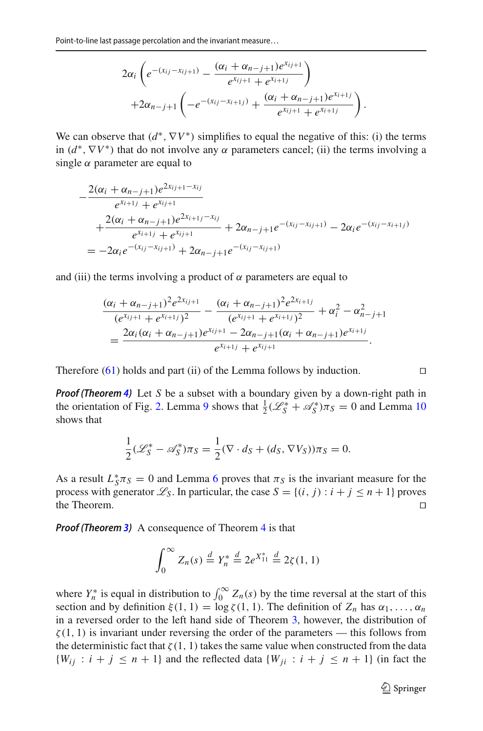$$
2\alpha_i \left(e^{-(x_{ij}-x_{ij+1})}-\frac{(\alpha_i+\alpha_{n-j+1})e^{x_{ij+1}}}{e^{x_{ij+1}}+e^{x_{i+1j}}}\right) + 2\alpha_{n-j+1}\left(-e^{-(x_{ij}-x_{i+1j})}+\frac{(\alpha_i+\alpha_{n-j+1})e^{x_{i+1j}}}{e^{x_{i,j+1}}+e^{x_{i+1j}}}\right).
$$

We can observe that  $(d^*, \nabla V^*)$  simplifies to equal the negative of this: (i) the terms in  $(d^*, \nabla V^*)$  that do not involve any  $\alpha$  parameters cancel; (ii) the terms involving a single  $\alpha$  parameter are equal to

$$
-\frac{2(\alpha_i + \alpha_{n-j+1})e^{2x_{ij+1} - x_{ij}}}{e^{x_{i+1}j} + e^{x_{ij+1}}}
$$
  
+ 
$$
\frac{2(\alpha_i + \alpha_{n-j+1})e^{2x_{i+1} - x_{ij}}}{e^{x_{i+1}j} + e^{x_{ij+1}}} + 2\alpha_{n-j+1}e^{-(x_{ij} - x_{ij+1})} - 2\alpha_i e^{-(x_{ij} - x_{i+1})}
$$
  
= 
$$
-2\alpha_i e^{-(x_{ij} - x_{ij+1})} + 2\alpha_{n-j+1}e^{-(x_{ij} - x_{ij+1})}
$$

and (iii) the terms involving a product of  $\alpha$  parameters are equal to

$$
\frac{(\alpha_i + \alpha_{n-j+1})^2 e^{2x_{ij+1}}}{(e^{x_{ij+1}} + e^{x_{i+1}})^2} - \frac{(\alpha_i + \alpha_{n-j+1})^2 e^{2x_{i+1}}}{(e^{x_{ij+1}} + e^{x_{i+1}})^2} + \alpha_i^2 - \alpha_{n-j+1}^2
$$

$$
= \frac{2\alpha_i(\alpha_i + \alpha_{n-j+1})e^{x_{ij+1}} - 2\alpha_{n-j+1}(\alpha_i + \alpha_{n-j+1})e^{x_{i+1}}}{e^{x_{i+1}} + e^{x_{ij+1}}}.
$$

Therefore  $(61)$  holds and part (ii) of the Lemma follows by induction.

*Proof (Theorem [4\)](#page-34-0)* Let *S* be a subset with a boundary given by a down-right path in the orientation of Fig. [2.](#page-36-0) Lemma [9](#page-37-1) shows that  $\frac{1}{2}(\mathcal{L}_S^* + \mathcal{A}_S^*)\pi_S = 0$  and Lemma [10](#page-37-2) shows that

$$
\frac{1}{2}(\mathscr{L}_S^* - \mathscr{A}_S^*)\pi_S = \frac{1}{2}(\nabla \cdot d_S + (d_S, \nabla V_S))\pi_S = 0.
$$

As a result  $L_S^* \pi_S = 0$  and Lemma [6](#page-33-0) proves that  $\pi_S$  is the invariant measure for the process with generator  $\mathcal{L}_S$ . In particular, the case  $S = \{(i, j) : i + j \le n + 1\}$  proves the Theorem. the Theorem.

*Proof (Theorem [3\)](#page-4-0)* A consequence of Theorem [4](#page-34-0) is that

$$
\int_0^\infty Z_n(s) \stackrel{d}{=} Y_n^* \stackrel{d}{=} 2e^{X_{11}^*} \stackrel{d}{=} 2\zeta(1, 1)
$$

where  $Y_n^*$  is equal in distribution to  $\int_0^\infty Z_n(s)$  by the time reversal at the start of this section and by definition  $\xi(1, 1) = \log \zeta(1, 1)$ . The definition of  $Z_n$  has  $\alpha_1, \ldots, \alpha_n$ in a reversed order to the left hand side of Theorem [3,](#page-4-0) however, the distribution of  $\zeta(1, 1)$  is invariant under reversing the order of the parameters — this follows from the deterministic fact that  $\zeta(1, 1)$  takes the same value when constructed from the data  ${W_{ij} : i + j \leq n + 1}$  and the reflected data  ${W_{ij} : i + j \leq n + 1}$  (in fact the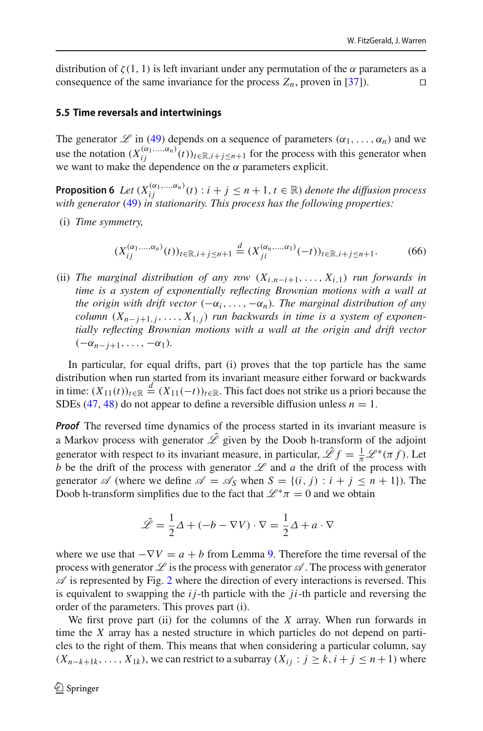distribution of  $\zeta(1, 1)$  is left invariant under any permutation of the  $\alpha$  parameters as a consequence of the same invariance for the process  $Z_n$ , proven in [\[37\]](#page-51-8)).

#### **5.5 Time reversals and intertwinings**

The generator  $\mathscr L$  in [\(49\)](#page-32-0) depends on a sequence of parameters  $(\alpha_1, \ldots, \alpha_n)$  and we use the notation  $(X_{ij}^{(\alpha_1,...,\alpha_n)}(t))_{t \in \mathbb{R}, i+j \leq n+1}$  for the process with this generator when we want to make the dependence on the  $\alpha$  parameters explicit.

<span id="page-42-0"></span>**Proposition 6** *Let*  $(X_{ij}^{(\alpha_1,\ldots,\alpha_n)}(t): i + j \leq n+1, t \in \mathbb{R})$  *denote the diffusion process with generator* [\(49\)](#page-32-0) *in stationarity. This process has the following properties:*

(i) *Time symmetry,*

$$
(X_{ij}^{(\alpha_1,\dots,\alpha_n)}(t))_{t\in\mathbb{R},i+j\leq n+1} \stackrel{d}{=} (X_{ji}^{(\alpha_n,\dots,\alpha_1)}(-t))_{t\in\mathbb{R},i+j\leq n+1}.\tag{66}
$$

(ii) *The marginal distribution of any row* (*Xi*,*n*−*i*+1,..., *Xi*,1) *run forwards in time is a system of exponentially reflecting Brownian motions with a wall at the origin with drift vector*  $(-\alpha_i, \ldots, -\alpha_n)$ *. The marginal distribution of any column*  $(X_{n-i+1,i},...,X_{1,i})$  *run backwards in time is a system of exponentially reflecting Brownian motions with a wall at the origin and drift vector*  $(-\alpha_{n-j+1},\ldots,-\alpha_1).$ 

In particular, for equal drifts, part (i) proves that the top particle has the same distribution when run started from its invariant measure either forward or backwards in time:  $(X_{11}(t))_{t \in \mathbb{R}} \stackrel{d}{=} (X_{11}(-t))_{t \in \mathbb{R}}$ . This fact does not strike us a priori because the SDEs [\(47,](#page-31-1) [48\)](#page-31-1) do not appear to define a reversible diffusion unless  $n = 1$ .

*Proof* The reversed time dynamics of the process started in its invariant measure is a Markov process with generator  $\hat{\mathscr{L}}$  given by the Doob h-transform of the adjoint generator with respect to its invariant measure, in particular,  $\hat{\mathscr{L}}f = \frac{1}{\pi} \mathscr{L}^*(\pi f)$ . Let *b* be the drift of the process with generator  $L$  and  $a$  the drift of the process with generator  $\mathscr A$  (where we define  $\mathscr A = \mathscr A_S$  when  $S = \{(i, j) : i + j \leq n + 1\}$ ). The Doob h-transform simplifies due to the fact that  $\mathcal{L}^* \pi = 0$  and we obtain

$$
\hat{\mathcal{L}} = \frac{1}{2}\Delta + (-b - \nabla V) \cdot \nabla = \frac{1}{2}\Delta + a \cdot \nabla
$$

where we use that  $-\nabla V = a + b$  from Lemma [9.](#page-37-1) Therefore the time reversal of the process with generator  $\mathscr L$  is the process with generator  $\mathscr A$ . The process with generator  $\mathscr A$  is represented by Fig. [2](#page-36-0) where the direction of every interactions is reversed. This is equivalent to swapping the *i j*-th particle with the *ji*-th particle and reversing the order of the parameters. This proves part (i).

We first prove part (ii) for the columns of the *X* array. When run forwards in time the *X* array has a nested structure in which particles do not depend on particles to the right of them. This means that when considering a particular column, say  $(X_{n-k+1,k}, \ldots, X_{1k})$ , we can restrict to a subarray  $(X_i; j \ge k, i + j \le n+1)$  where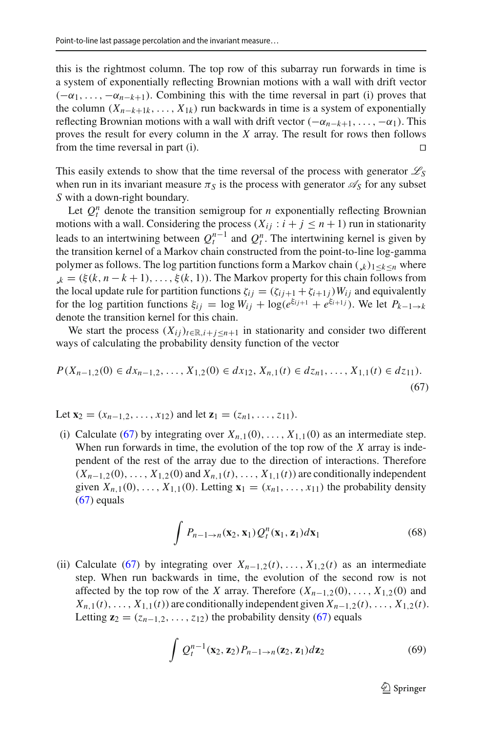this is the rightmost column. The top row of this subarray run forwards in time is a system of exponentially reflecting Brownian motions with a wall with drift vector  $(-\alpha_1,\ldots,-\alpha_{n-k+1})$ . Combining this with the time reversal in part (i) proves that the column  $(X_{n-k+1,k}, \ldots, X_{1k})$  run backwards in time is a system of exponentially reflecting Brownian motions with a wall with drift vector  $(-\alpha_{n-k+1}, \ldots, -\alpha_1)$ . This proves the result for every column in the *X* array. The result for rows then follows from the time reversal in part (i). 

This easily extends to show that the time reversal of the process with generator  $\mathcal{L}_S$ when run in its invariant measure  $\pi<sub>S</sub>$  is the process with generator  $\mathscr{A}_{S}$  for any subset *S* with a down-right boundary.

Let  $Q_t^n$  denote the transition semigroup for *n* exponentially reflecting Brownian motions with a wall. Considering the process  $(X_{ij} : i + j \le n + 1)$  run in stationarity leads to an intertwining between  $Q_t^{n-1}$  and  $Q_t^n$ . The intertwining kernel is given by the transition kernel of a Markov chain constructed from the point-to-line log-gamma polymer as follows. The log partition functions form a Markov chain  $(k)_{1\leq k\leq n}$  where  $\zeta_k = (\xi(k, n-k+1), \ldots, \xi(k, 1))$ . The Markov property for this chain follows from the local update rule for partition functions  $\zeta_{ij} = (\zeta_{ij+1} + \zeta_{i+1})W_{ij}$  and equivalently for the log partition functions  $\xi_{ij} = \log W_{ij} + \log(e^{\xi_{ij+1}} + e^{\xi_{i+1j}})$ . We let  $P_{k-1 \to k}$ denote the transition kernel for this chain.

We start the process  $(X_{ij})_{i \in \mathbb{R}, i+j \leq n+1}$  in stationarity and consider two different ways of calculating the probability density function of the vector

<span id="page-43-0"></span>
$$
P(X_{n-1,2}(0) \in dx_{n-1,2},...,X_{1,2}(0) \in dx_{12},X_{n,1}(t) \in dz_{n1},...,X_{1,1}(t) \in dz_{11}).
$$
\n(67)

Let  $\mathbf{x}_2 = (x_{n-1,2}, \ldots, x_{12})$  and let  $\mathbf{z}_1 = (z_{n1}, \ldots, z_{11}).$ 

(i) Calculate [\(67\)](#page-43-0) by integrating over  $X_{n,1}(0), \ldots, X_{1,1}(0)$  as an intermediate step. When run forwards in time, the evolution of the top row of the *X* array is independent of the rest of the array due to the direction of interactions. Therefore  $(X_{n-1,2}(0),\ldots,X_{1,2}(0)$  and  $X_{n,1}(t),\ldots,X_{1,1}(t)$  are conditionally independent given  $X_{n,1}(0), \ldots, X_{1,1}(0)$ . Letting  $\mathbf{x}_1 = (x_{n1}, \ldots, x_{11})$  the probability density  $(67)$  equals

<span id="page-43-1"></span>
$$
\int P_{n-1\to n}(\mathbf{x}_2, \mathbf{x}_1) Q_l^n(\mathbf{x}_1, \mathbf{z}_1) d\mathbf{x}_1
$$
\n(68)

(ii) Calculate [\(67\)](#page-43-0) by integrating over  $X_{n-1,2}(t), \ldots, X_{1,2}(t)$  as an intermediate step. When run backwards in time, the evolution of the second row is not affected by the top row of the *X* array. Therefore  $(X_{n-1,2}(0), \ldots, X_{1,2}(0)$  and  $X_{n,1}(t), \ldots, X_{1,1}(t)$  are conditionally independent given  $X_{n-1,2}(t), \ldots, X_{1,2}(t)$ . Letting  $z_2 = (z_{n-1,2}, \ldots, z_{12})$  the probability density [\(67\)](#page-43-0) equals

<span id="page-43-2"></span>
$$
\int Q_t^{n-1}(\mathbf{x}_2, \mathbf{z}_2) P_{n-1 \to n}(\mathbf{z}_2, \mathbf{z}_1) d\mathbf{z}_2 \tag{69}
$$

 $\mathcal{D}$  Springer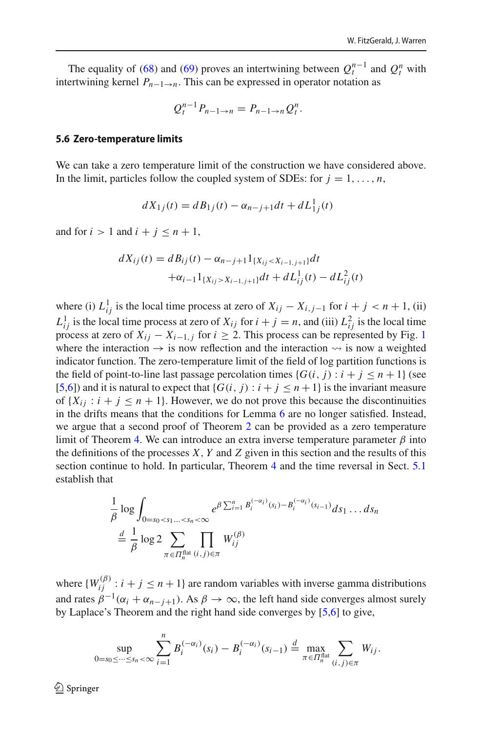The equality of [\(68\)](#page-43-1) and [\(69\)](#page-43-2) proves an intertwining between  $Q_t^{n-1}$  and  $Q_t^n$  with intertwining kernel  $P_{n-1\to n}$ . This can be expressed in operator notation as

$$
Q_t^{n-1}P_{n-1\to n}=P_{n-1\to n}Q_t^n.
$$

#### **5.6 Zero-temperature limits**

We can take a zero temperature limit of the construction we have considered above. In the limit, particles follow the coupled system of SDEs: for  $j = 1, \ldots, n$ ,

$$
dX_{1j}(t) = dB_{1j}(t) - \alpha_{n-j+1}dt + dL_{1j}^{1}(t)
$$

and for  $i > 1$  and  $i + j \leq n + 1$ ,

$$
dX_{ij}(t) = dB_{ij}(t) - \alpha_{n-j+1} 1_{\{X_{ij} < X_{i-1,j+1}\}} dt
$$

$$
+ \alpha_{i-1} 1_{\{X_{ij} > X_{i-1,j+1}\}} dt + dL_{ij}^1(t) - dL_{ij}^2(t)
$$

where (i)  $L_{ij}^1$  is the local time process at zero of  $X_{ij} - X_{i,j-1}$  for  $i + j < n + 1$ , (ii)  $L_{ij}^1$  is the local time process at zero of  $X_{ij}$  for  $i + j = n$ , and (iii)  $L_{ij}^2$  is the local time process at zero of  $X_{ij} - X_{i-1,j}$  $X_{ij} - X_{i-1,j}$  $X_{ij} - X_{i-1,j}$  for  $i \ge 2$ . This process can be represented by Fig. 1 where the interaction  $\rightarrow$  is now reflection and the interaction  $\rightsquigarrow$  is now a weighted indicator function. The zero-temperature limit of the field of log partition functions is the field of point-to-line last passage percolation times  ${G(i, j) : i + j \leq n + 1}$  (see [\[5](#page-49-4)[,6\]](#page-50-1)) and it is natural to expect that  ${G(i, j) : i + j \leq n+1}$  is the invariant measure of  $\{X_{ij} : i + j \leq n + 1\}$ . However, we do not prove this because the discontinuities in the drifts means that the conditions for Lemma [6](#page-33-0) are no longer satisfied. Instead, we argue that a second proof of Theorem [2](#page-3-3) can be provided as a zero temperature limit of Theorem [4.](#page-34-0) We can introduce an extra inverse temperature parameter  $\beta$  into the definitions of the processes *X*, *Y* and *Z* given in this section and the results of this section continue to hold. In particular, Theorem [4](#page-34-0) and the time reversal in Sect. [5.1](#page-30-1) establish that

$$
\frac{1}{\beta} \log \int_{0=s_0  

$$
\stackrel{d}{=} \frac{1}{\beta} \log 2 \sum_{\pi \in \Pi_n^{\text{flat}}(i,j)\in \pi} W_{ij}^{(\beta)}
$$
$$

where  $\{W_{ij}^{(\beta)} : i + j \leq n + 1\}$  are random variables with inverse gamma distributions and rates  $\beta^{-1}(\alpha_i + \alpha_{n-j+1})$ . As  $\beta \to \infty$ , the left hand side converges almost surely by Laplace's Theorem and the right hand side converges by [\[5](#page-49-4)[,6\]](#page-50-1) to give,

$$
\sup_{0=s_0\leq\cdots\leq s_n<\infty}\sum_{i=1}^n B_i^{(-\alpha_i)}(s_i)-B_i^{(-\alpha_i)}(s_{i-1})\stackrel{d}{=} \max_{\pi\in\Pi_n^{\text{flat}}}\sum_{(i,j)\in\pi}W_{ij}.
$$

 $\textcircled{2}$  Springer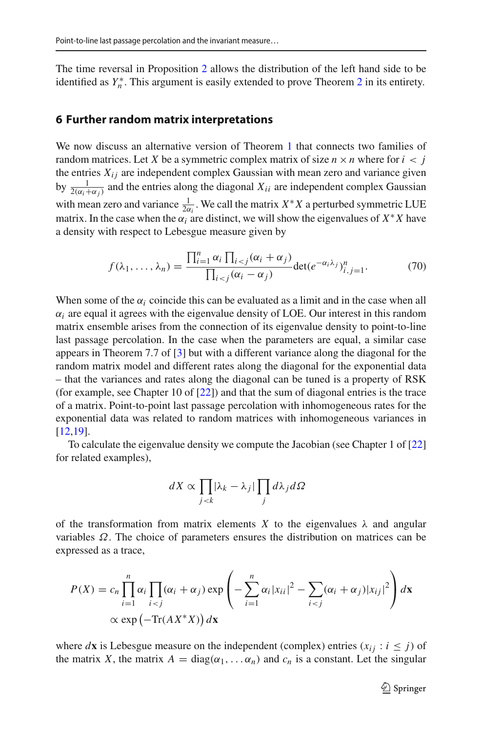The time reversal in Proposition [2](#page-9-0) allows the distribution of the left hand side to be identified as *Y*<sup>∗</sup><sub>*n*</sub>. This argument is easily extended to prove Theorem [2](#page-3-3) in its entirety.

#### **6 Further random matrix interpretations**

We now discuss an alternative version of Theorem [1](#page-2-0) that connects two families of random matrices. Let *X* be a symmetric complex matrix of size  $n \times n$  where for  $i < j$ the entries  $X_{ij}$  are independent complex Gaussian with mean zero and variance given by  $\frac{1}{2(\alpha_i+\alpha_j)}$  and the entries along the diagonal  $X_{ii}$  are independent complex Gaussian with mean zero and variance  $\frac{1}{2\alpha_i}$ . We call the matrix  $X^*X$  a perturbed symmetric LUE matrix. In the case when the  $\alpha_i$  are distinct, we will show the eigenvalues of  $X^*X$  have a density with respect to Lebesgue measure given by

$$
f(\lambda_1,\ldots,\lambda_n) = \frac{\prod_{i=1}^n \alpha_i \prod_{i < j} (\alpha_i + \alpha_j)}{\prod_{i < j} (\alpha_i - \alpha_j)} \det(e^{-\alpha_i \lambda_j})_{i,j=1}^n. \tag{70}
$$

When some of the  $\alpha_i$  coincide this can be evaluated as a limit and in the case when all  $\alpha_i$  are equal it agrees with the eigenvalue density of LOE. Our interest in this random matrix ensemble arises from the connection of its eigenvalue density to point-to-line last passage percolation. In the case when the parameters are equal, a similar case appears in Theorem 7.7 of [\[3\]](#page-49-2) but with a different variance along the diagonal for the random matrix model and different rates along the diagonal for the exponential data – that the variances and rates along the diagonal can be tuned is a property of RSK (for example, see Chapter 10 of [\[22\]](#page-50-19)) and that the sum of diagonal entries is the trace of a matrix. Point-to-point last passage percolation with inhomogeneous rates for the exponential data was related to random matrices with inhomogeneous variances in [\[12](#page-50-24)[,19](#page-50-25)].

To calculate the eigenvalue density we compute the Jacobian (see Chapter 1 of [\[22\]](#page-50-19) for related examples),

$$
dX \propto \prod_{j < k} |\lambda_k - \lambda_j| \prod_j d\lambda_j d\Omega
$$

of the transformation from matrix elements *X* to the eigenvalues  $\lambda$  and angular variables  $\Omega$ . The choice of parameters ensures the distribution on matrices can be expressed as a trace,

$$
P(X) = c_n \prod_{i=1}^n \alpha_i \prod_{i < j} (\alpha_i + \alpha_j) \exp\left(-\sum_{i=1}^n \alpha_i |x_{ii}|^2 - \sum_{i < j} (\alpha_i + \alpha_j) |x_{ij}|^2\right) d\mathbf{x}
$$
\n
$$
\propto \exp\left(-\text{Tr}(AX^*X)\right) d\mathbf{x}
$$

where *d***x** is Lebesgue measure on the independent (complex) entries  $(x_i : i \leq j)$  of the matrix *X*, the matrix  $A = \text{diag}(\alpha_1, \dots, \alpha_n)$  and  $c_n$  is a constant. Let the singular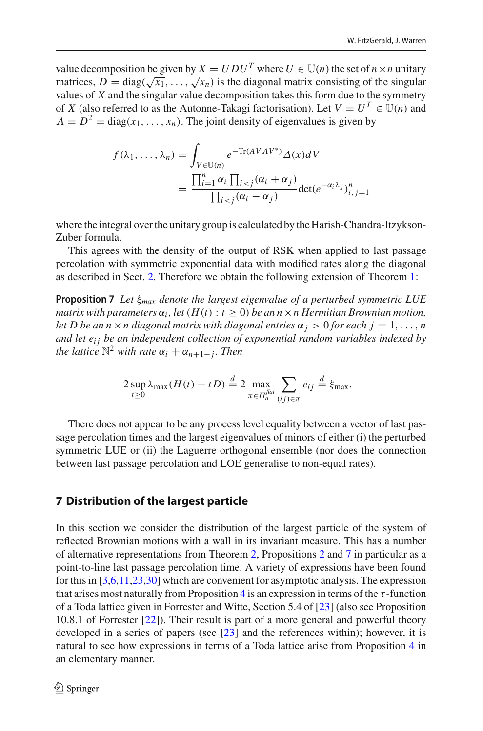value decomposition be given by  $X = U D U^T$  where  $U \in \mathbb{U}(n)$  the set of  $n \times n$  unitary matrices,  $D = diag(\sqrt{x_1}, \ldots, \sqrt{x_n})$  is the diagonal matrix consisting of the singular values of *X* and the singular value decomposition takes this form due to the symmetry of *X* (also referred to as the Autonne-Takagi factorisation). Let  $V = U^T \in \mathbb{U}(n)$  and  $\Lambda = D^2 = \text{diag}(x_1, \ldots, x_n)$ . The joint density of eigenvalues is given by

$$
f(\lambda_1, ..., \lambda_n) = \int_{V \in \mathbb{U}(n)} e^{-\text{Tr}(AVAV^*)} \Delta(x) dV
$$
  
= 
$$
\frac{\prod_{i=1}^n \alpha_i \prod_{i < j} (\alpha_i + \alpha_j)}{\prod_{i < j} (\alpha_i - \alpha_j)} \text{det}(e^{-\alpha_i \lambda_j})_{i,j=1}^n
$$

where the integral over the unitary group is calculated by the Harish-Chandra-Itzykson-Zuber formula.

This agrees with the density of the output of RSK when applied to last passage percolation with symmetric exponential data with modified rates along the diagonal as described in Sect. [2.](#page-5-0) Therefore we obtain the following extension of Theorem [1:](#page-2-0)

**Proposition 7** *Let* ξ*max denote the largest eigenvalue of a perturbed symmetric LUE matrix with parameters*  $\alpha_i$ , *let*  $(H(t): t \ge 0)$  *be an n* × *n Hermitian Brownian motion, let D be an n*  $\times$  *n diagonal matrix with diagonal entries*  $\alpha_j > 0$  *for each j* = 1, ..., *n and let ei j be an independent collection of exponential random variables indexed by the lattice*  $\mathbb{N}^2$  *with rate*  $\alpha_i + \alpha_{n+1-i}$ *. Then* 

<span id="page-46-0"></span>
$$
2 \sup_{t \geq 0} \lambda_{\max}(H(t) - tD) \stackrel{d}{=} 2 \max_{\pi \in \Pi_n^{\text{flat}}}\sum_{(ij) \in \pi} e_{ij} \stackrel{d}{=} \xi_{\max}.
$$

There does not appear to be any process level equality between a vector of last passage percolation times and the largest eigenvalues of minors of either (i) the perturbed symmetric LUE or (ii) the Laguerre orthogonal ensemble (nor does the connection between last passage percolation and LOE generalise to non-equal rates).

#### **7 Distribution of the largest particle**

<span id="page-46-1"></span>In this section we consider the distribution of the largest particle of the system of reflected Brownian motions with a wall in its invariant measure. This has a number of alternative representations from Theorem [2,](#page-3-3) Propositions [2](#page-9-0) and [7](#page-46-0) in particular as a point-to-line last passage percolation time. A variety of expressions have been found for this in [\[3](#page-49-2)[,6](#page-50-1)[,11](#page-50-2)[,23](#page-50-26)[,30\]](#page-50-27) which are convenient for asymptotic analysis. The expression that arises most naturally from Proposition [4](#page-17-1) is an expression in terms of the  $\tau$ -function of a Toda lattice given in Forrester and Witte, Section 5.4 of [\[23](#page-50-26)] (also see Proposition 10.8.1 of Forrester [\[22](#page-50-19)]). Their result is part of a more general and powerful theory developed in a series of papers (see [\[23\]](#page-50-26) and the references within); however, it is natural to see how expressions in terms of a Toda lattice arise from Proposition [4](#page-17-1) in an elementary manner.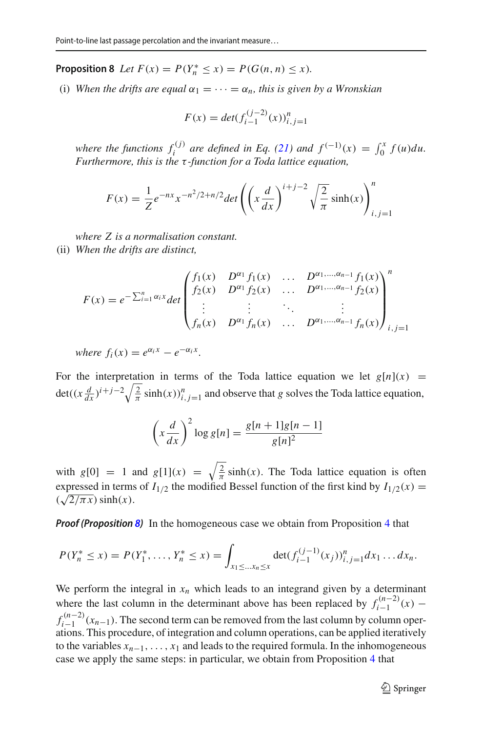**Proposition 8** *Let*  $F(x) = P(Y_n^* \le x) = P(G(n, n) \le x)$ *.* 

(i) When the drifts are equal  $\alpha_1 = \cdots = \alpha_n$ , this is given by a Wronskian

$$
F(x) = det(f_{i-1}^{(j-2)}(x))_{i,j=1}^n
$$

*where the functions*  $f_i^{(j)}$  *are defined in Eq. [\(21\)](#page-17-2) and*  $f^{(-1)}(x) = \int_0^x f(u) du$ . *Furthermore, this is the* τ *-function for a Toda lattice equation,*

$$
F(x) = \frac{1}{Z} e^{-nx} x^{-n^2/2 + n/2} \det \left( \left( x \frac{d}{dx} \right)^{i+j-2} \sqrt{\frac{2}{\pi}} \sinh(x) \right)_{i,j=1}^n
$$

*where Z is a normalisation constant.*

(ii) *When the drifts are distinct,*

$$
F(x) = e^{-\sum_{i=1}^{n} \alpha_i x} \det \begin{pmatrix} f_1(x) & D^{\alpha_1} f_1(x) & \dots & D^{\alpha_1, \dots, \alpha_{n-1}} f_1(x) \\ f_2(x) & D^{\alpha_1} f_2(x) & \dots & D^{\alpha_1, \dots, \alpha_{n-1}} f_2(x) \\ \vdots & \vdots & \ddots & \vdots \\ f_n(x) & D^{\alpha_1} f_n(x) & \dots & D^{\alpha_1, \dots, \alpha_{n-1}} f_n(x) \end{pmatrix}_{i,j=1}^n
$$

*where*  $f_i(x) = e^{\alpha_i x} - e^{-\alpha_i x}$ .

For the interpretation in terms of the Toda lattice equation we let  $g[n](x)$  =  $\det((x \frac{d}{dx})^{i+j-2} \sqrt{\frac{2}{\pi}} \sinh(x))_{i,j=1}^{n}$  and observe that *g* solves the Toda lattice equation,

$$
\left(x\frac{d}{dx}\right)^2 \log g[n] = \frac{g[n+1]g[n-1]}{g[n]^2}
$$

with  $g[0] = 1$  and  $g[1](x) = \sqrt{\frac{2}{\pi}} \sinh(x)$ . The Toda lattice equation is often expressed in terms of  $I_{1/2}$  the modified Bessel function of the first kind by  $I_{1/2}(x)$  =  $(\sqrt{2/\pi x})$  sinh(*x*).

*Proof (Proposition [8\)](#page-46-1)* In the homogeneous case we obtain from Proposition [4](#page-17-1) that

$$
P(Y_n^* \le x) = P(Y_1^*, \dots, Y_n^* \le x) = \int_{x_1 \le \dots x_n \le x} \det(f_{i-1}^{(j-1)}(x_j))_{i,j=1}^n dx_1 \dots dx_n.
$$

We perform the integral in  $x_n$  which leads to an integrand given by a determinant where the last column in the determinant above has been replaced by  $f_{i-1}^{(n-2)}(x)$  –  $f_{i-1}^{(n-2)}(x_{n-1})$ . The second term can be removed from the last column by column oper $a_{t-1}$  ations. This procedure, of integration and column operations, can be applied iteratively to the variables  $x_{n-1}, \ldots, x_1$  and leads to the required formula. In the inhomogeneous case we apply the same steps: in particular, we obtain from Proposition [4](#page-17-1) that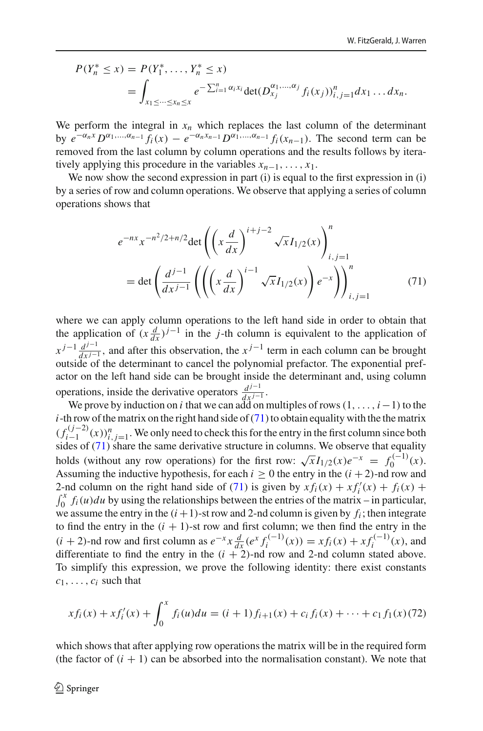$$
P(Y_n^* \le x) = P(Y_1^*, \dots, Y_n^* \le x)
$$
  
= 
$$
\int_{x_1 \le \dots \le x_n \le x} e^{-\sum_{i=1}^n \alpha_i x_i} \det(D_{x_j}^{\alpha_1, \dots, \alpha_j} f_i(x_j))_{i,j=1}^n dx_1 \dots dx_n.
$$

We perform the integral in  $x_n$  which replaces the last column of the determinant by  $e^{-\alpha_n x} D^{\alpha_1,...,\alpha_{n-1}} f_i(x) - e^{-\alpha_n x_{n-1}} D^{\alpha_1,...,\alpha_{n-1}} f_i(x_{n-1})$ . The second term can be removed from the last column by column operations and the results follows by iteratively applying this procedure in the variables  $x_{n-1}, \ldots, x_1$ .

We now show the second expression in part (i) is equal to the first expression in (i) by a series of row and column operations. We observe that applying a series of column operations shows that

<span id="page-48-0"></span>
$$
e^{-nx} x^{-n^2/2+n/2} \det \left( \left( x \frac{d}{dx} \right)^{i+j-2} \sqrt{x} I_{1/2}(x) \right)_{i,j=1}^n
$$
  
= det  $\left( \frac{d^{j-1}}{dx^{j-1}} \left( \left( \left( x \frac{d}{dx} \right)^{i-1} \sqrt{x} I_{1/2}(x) \right) e^{-x} \right) \right)_{i,j=1}^n$  (71)

where we can apply column operations to the left hand side in order to obtain that the application of  $(x \frac{d}{dx})^{j-1}$  in the *j*-th column is equivalent to the application of  $x^{j-1} \frac{d^{j-1}}{dx^{j-1}}$ , and after this observation, the  $x^{j-1}$  term in each column can be brought outside of the determinant to cancel the polynomial prefactor. The exponential prefactor on the left hand side can be brought inside the determinant and, using column operations, inside the derivative operators  $\frac{d^{j-1}}{dx^{j-1}}$ .

We prove by induction on *i* that we can add on multiples of rows  $(1, \ldots, i-1)$  to the *i*-th row of the matrix on the right hand side of [\(71\)](#page-48-0) to obtain equality with the the matrix  $(f_{i-1}^{(j-2)}(x))_{i,j=1}^n$ . We only need to check this for the entry in the first column since both sides of  $(71)$  share the same derivative structure in columns. We observe that equality holds (without any row operations) for the first row:  $\sqrt{x} I_{1/2}(x) e^{-x} = f_0^{(-1)}(x)$ . Assuming the inductive hypothesis, for each  $i \ge 0$  the entry in the  $(i + 2)$ -nd row and 2-nd column on the right hand side of [\(71\)](#page-48-0) is given by  $xf_i(x) + xf'_i(x) + f_i(x) +$  $\int_0^x f_i(u) du$  by using the relationships between the entries of the matrix – in particular, we assume the entry in the  $(i + 1)$ -st row and 2-nd column is given by  $f_i$ ; then integrate to find the entry in the  $(i + 1)$ -st row and first column; we then find the entry in the  $(i + 2)$ -nd row and first column as  $e^{-x} x \frac{d}{dx} (e^x f_i^{(-1)}(x)) = x f_i(x) + x f_i^{(-1)}(x)$ , and differentiate to find the entry in the  $(i + 2)$ -nd row and 2-nd column stated above. To simplify this expression, we prove the following identity: there exist constants *c*1,..., *ci* such that

<span id="page-48-1"></span>
$$
xf_i(x) + xf'_i(x) + \int_0^x f_i(u)du = (i+1)f_{i+1}(x) + c_i f_i(x) + \dots + c_1 f_1(x) (72)
$$

which shows that after applying row operations the matrix will be in the required form (the factor of  $(i + 1)$  can be absorbed into the normalisation constant). We note that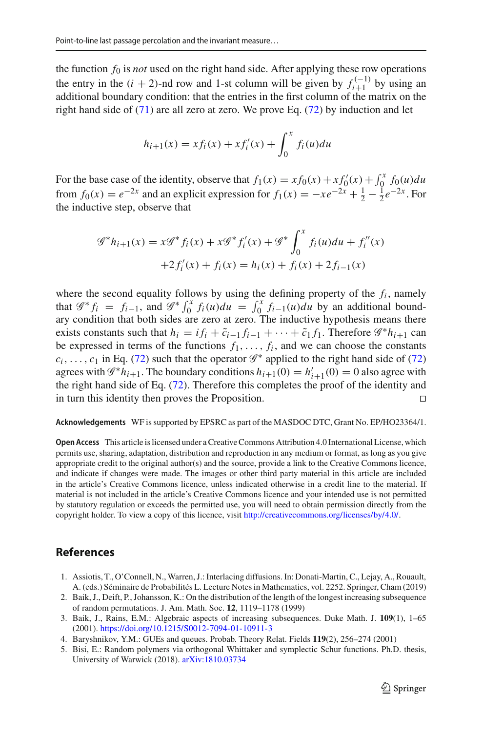the function  $f_0$  is *not* used on the right hand side. After applying these row operations the entry in the  $(i + 2)$ -nd row and 1-st column will be given by  $f_{i+1}^{(-1)}$  by using an additional hour dame can distance that the entries in the first solumn of the matrix on the additional boundary condition: that the entries in the first column of the matrix on the right hand side of  $(71)$  are all zero at zero. We prove Eq.  $(72)$  by induction and let

$$
h_{i+1}(x) = x f_i(x) + x f'_i(x) + \int_0^x f_i(u) du
$$

For the base case of the identity, observe that  $f_1(x) = x f_0(x) + x f'_0(x) + \int_0^x f_0(u) du$ from  $f_0(x) = e^{-2x}$  and an explicit expression for  $f_1(x) = -xe^{-2x} + \frac{1}{2} - \frac{1}{2}e^{-2x}$ . For the inductive step, observe that

$$
\mathcal{G}^* h_{i+1}(x) = x \mathcal{G}^* f_i(x) + x \mathcal{G}^* f'_i(x) + \mathcal{G}^* \int_0^x f_i(u) du + f''_i(x) + 2f'_i(x) + f_i(x) = h_i(x) + f_i(x) + 2f_{i-1}(x)
$$

where the second equality follows by using the defining property of the  $f_i$ , namely that  $\mathscr{G}^* f_i = f_{i-1}$ , and  $\mathscr{G}^* f_0^x f_i(u) du = \int_0^x f_{i-1}(u) du$  by an additional boundary condition that both sides are zero at zero. The inductive hypothesis means there exists constants such that  $h_i = i f_i + \tilde{c}_{i-1} f_{i-1} + \cdots + \tilde{c}_1 f_1$ . Therefore  $\mathscr{G}^* h_{i+1}$  can be expressed in terms of the functions  $f_1, \ldots, f_i$ , and we can choose the constants  $c_i$ ,...,  $c_1$  in Eq. [\(72\)](#page-48-1) such that the operator  $\mathscr{G}^*$  applied to the right hand side of (72) agrees with  $\mathcal{G}^* h_{i+1}$ . The boundary conditions  $h_{i+1}(0) = h'_{i+1}(0) = 0$  also agree with the right hand side of Eq. [\(72\)](#page-48-1). Therefore this completes the proof of the identity and in turn this identity then proves the Proposition. 

**Acknowledgements** WF is supported by EPSRC as part of the MASDOC DTC, Grant No. EP/HO23364/1.

**Open Access** This article is licensed under a Creative Commons Attribution 4.0 International License, which permits use, sharing, adaptation, distribution and reproduction in any medium or format, as long as you give appropriate credit to the original author(s) and the source, provide a link to the Creative Commons licence, and indicate if changes were made. The images or other third party material in this article are included in the article's Creative Commons licence, unless indicated otherwise in a credit line to the material. If material is not included in the article's Creative Commons licence and your intended use is not permitted by statutory regulation or exceeds the permitted use, you will need to obtain permission directly from the copyright holder. To view a copy of this licence, visit [http://creativecommons.org/licenses/by/4.0/.](http://creativecommons.org/licenses/by/4.0/)

#### **References**

- <span id="page-49-3"></span>1. Assiotis, T., O'Connell, N., Warren, J.: Interlacing diffusions. In: Donati-Martin, C., Lejay, A., Rouault, A. (eds.) Séminaire de Probabilités L. Lecture Notes in Mathematics, vol. 2252. Springer, Cham (2019)
- <span id="page-49-0"></span>2. Baik, J., Deift, P., Johansson, K.: On the distribution of the length of the longest increasing subsequence of random permutations. J. Am. Math. Soc. **12**, 1119–1178 (1999)
- <span id="page-49-2"></span>3. Baik, J., Rains, E.M.: Algebraic aspects of increasing subsequences. Duke Math. J. **109**(1), 1–65 (2001). <https://doi.org/10.1215/S0012-7094-01-10911-3>
- <span id="page-49-1"></span>4. Baryshnikov, Y.M.: GUEs and queues. Probab. Theory Relat. Fields **119**(2), 256–274 (2001)
- <span id="page-49-4"></span>5. Bisi, E.: Random polymers via orthogonal Whittaker and symplectic Schur functions. Ph.D. thesis, University of Warwick (2018). [arXiv:1810.03734](http://arxiv.org/abs/1810.03734)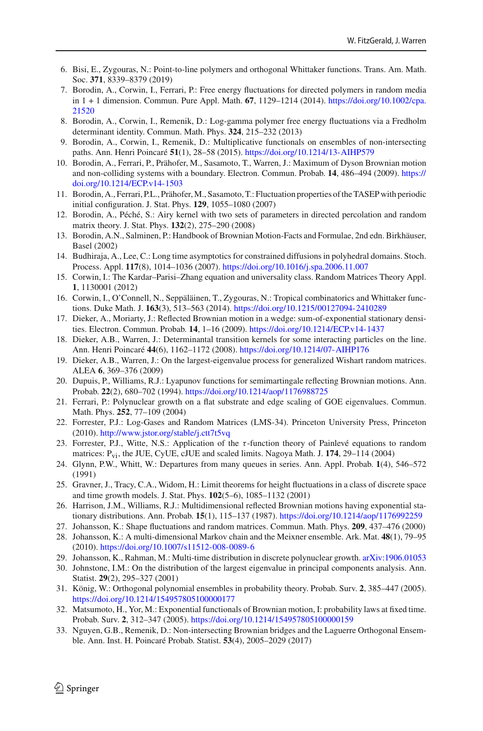- <span id="page-50-1"></span>6. Bisi, E., Zygouras, N.: Point-to-line polymers and orthogonal Whittaker functions. Trans. Am. Math. Soc. **371**, 8339–8379 (2019)
- <span id="page-50-14"></span>7. Borodin, A., Corwin, I., Ferrari, P.: Free energy fluctuations for directed polymers in random media in 1 + 1 dimension. Commun. Pure Appl. Math. **67**, 1129–1214 (2014). [https://doi.org/10.1002/cpa.](https://doi.org/10.1002/cpa.21520) [21520](https://doi.org/10.1002/cpa.21520)
- <span id="page-50-15"></span>8. Borodin, A., Corwin, I., Remenik, D.: Log-gamma polymer free energy fluctuations via a Fredholm determinant identity. Commun. Math. Phys. **324**, 215–232 (2013)
- <span id="page-50-5"></span>9. Borodin, A., Corwin, I., Remenik, D.: Multiplicative functionals on ensembles of non-intersecting paths. Ann. Henri Poincaré **51**(1), 28–58 (2015). <https://doi.org/10.1214/13-AIHP579>
- <span id="page-50-7"></span>10. Borodin, A., Ferrari, P., Prähofer, M., Sasamoto, T., Warren, J.: Maximum of Dyson Brownian motion and non-colliding systems with a boundary. Electron. Commun. Probab. **14**, 486–494 (2009). [https://](https://doi.org/10.1214/ECP.v14-1503) [doi.org/10.1214/ECP.v14-1503](https://doi.org/10.1214/ECP.v14-1503)
- <span id="page-50-2"></span>11. Borodin, A., Ferrari, P.L., Prähofer,M., Sasamoto, T.: Fluctuation properties of the TASEP with periodic initial configuration. J. Stat. Phys. **129**, 1055–1080 (2007)
- <span id="page-50-24"></span>12. Borodin, A., Péché, S.: Airy kernel with two sets of parameters in directed percolation and random matrix theory. J. Stat. Phys. **132**(2), 275–290 (2008)
- <span id="page-50-20"></span>13. Borodin, A.N., Salminen, P.: Handbook of Brownian Motion-Facts and Formulae, 2nd edn. Birkhäuser, Basel (2002)
- <span id="page-50-8"></span>14. Budhiraja, A., Lee, C.: Long time asymptotics for constrained diffusions in polyhedral domains. Stoch. Process. Appl. **117**(8), 1014–1036 (2007). <https://doi.org/10.1016/j.spa.2006.11.007>
- <span id="page-50-17"></span>15. Corwin, I.: The Kardar–Parisi–Zhang equation and universality class. Random Matrices Theory Appl. **1**, 1130001 (2012)
- <span id="page-50-16"></span>16. Corwin, I., O'Connell, N., Seppäläinen, T., Zygouras, N.: Tropical combinatorics and Whittaker functions. Duke Math. J. **163**(3), 513–563 (2014). <https://doi.org/10.1215/00127094-2410289>
- <span id="page-50-9"></span>17. Dieker, A., Moriarty, J.: Reflected Brownian motion in a wedge: sum-of-exponential stationary densities. Electron. Commun. Probab. **14**, 1–16 (2009). <https://doi.org/10.1214/ECP.v14-1437>
- <span id="page-50-22"></span>18. Dieker, A.B., Warren, J.: Determinantal transition kernels for some interacting particles on the line. Ann. Henri Poincaré **44**(6), 1162–1172 (2008). <https://doi.org/10.1214/07-AIHP176>
- <span id="page-50-25"></span>19. Dieker, A.B., Warren, J.: On the largest-eigenvalue process for generalized Wishart random matrices. ALEA **6**, 369–376 (2009)
- <span id="page-50-10"></span>20. Dupuis, P., Williams, R.J.: Lyapunov functions for semimartingale reflecting Brownian motions. Ann. Probab. **22**(2), 680–702 (1994). <https://doi.org/10.1214/aop/1176988725>
- <span id="page-50-3"></span>21. Ferrari, P.: Polynuclear growth on a flat substrate and edge scaling of GOE eigenvalues. Commun. Math. Phys. **252**, 77–109 (2004)
- <span id="page-50-19"></span>22. Forrester, P.J.: Log-Gases and Random Matrices (LMS-34). Princeton University Press, Princeton (2010). <http://www.jstor.org/stable/j.ctt7t5vq>
- <span id="page-50-26"></span>23. Forrester, P.J., Witte, N.S.: Application of the  $\tau$ -function theory of Painlevé equations to random matrices: Pvi, the JUE, CyUE, cJUE and scaled limits. Nagoya Math. J. **174**, 29–114 (2004)
- <span id="page-50-11"></span>24. Glynn, P.W., Whitt, W.: Departures from many queues in series. Ann. Appl. Probab. **1**(4), 546–572 (1991)
- <span id="page-50-6"></span>25. Gravner, J., Tracy, C.A., Widom, H.: Limit theorems for height fluctuations in a class of discrete space and time growth models. J. Stat. Phys. **102**(5–6), 1085–1132 (2001)
- <span id="page-50-12"></span>26. Harrison, J.M., Williams, R.J.: Multidimensional reflected Brownian motions having exponential stationary distributions. Ann. Probab. **15**(1), 115–137 (1987). <https://doi.org/10.1214/aop/1176992259>
- <span id="page-50-0"></span>27. Johansson, K.: Shape fluctuations and random matrices. Commun. Math. Phys. **209**, 437–476 (2000)
- <span id="page-50-21"></span>28. Johansson, K.: A multi-dimensional Markov chain and the Meixner ensemble. Ark. Mat. **48**(1), 79–95 (2010). <https://doi.org/10.1007/s11512-008-0089-6>
- <span id="page-50-23"></span>29. Johansson, K., Rahman, M.: Multi-time distribution in discrete polynuclear growth. [arXiv:1906.01053](http://arxiv.org/abs/1906.01053)
- <span id="page-50-27"></span>30. Johnstone, I.M.: On the distribution of the largest eigenvalue in principal components analysis. Ann. Statist. **29**(2), 295–327 (2001)
- <span id="page-50-18"></span>31. König, W.: Orthogonal polynomial ensembles in probability theory. Probab. Surv. **2**, 385–447 (2005). <https://doi.org/10.1214/154957805100000177>
- <span id="page-50-13"></span>32. Matsumoto, H., Yor, M.: Exponential functionals of Brownian motion, I: probability laws at fixed time. Probab. Surv. **2**, 312–347 (2005). <https://doi.org/10.1214/154957805100000159>
- <span id="page-50-4"></span>33. Nguyen, G.B., Remenik, D.: Non-intersecting Brownian bridges and the Laguerre Orthogonal Ensemble. Ann. Inst. H. Poincaré Probab. Statist. **53**(4), 2005–2029 (2017)